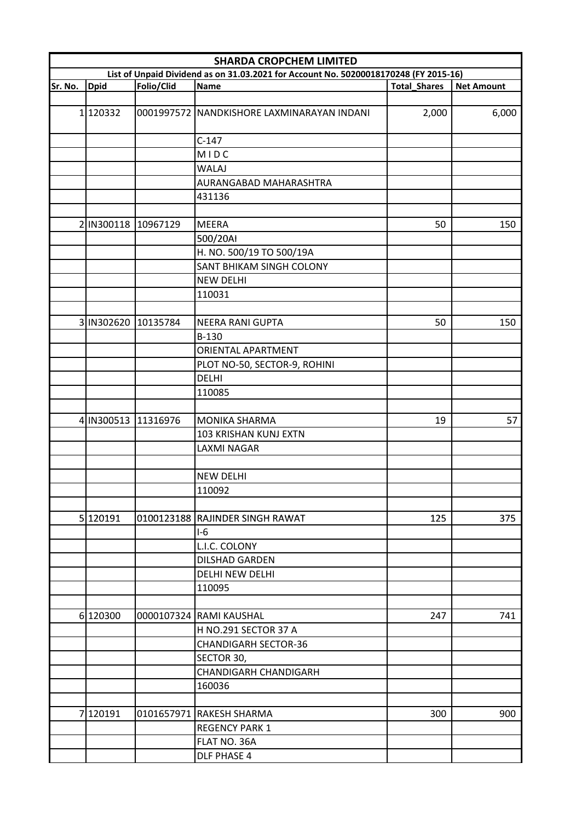|                                                                                      | <b>SHARDA CROPCHEM LIMITED</b> |                     |                                            |                     |                   |  |  |
|--------------------------------------------------------------------------------------|--------------------------------|---------------------|--------------------------------------------|---------------------|-------------------|--|--|
| List of Unpaid Dividend as on 31.03.2021 for Account No. 50200018170248 (FY 2015-16) |                                |                     |                                            |                     |                   |  |  |
| Sr. No.                                                                              | <b>Dpid</b>                    | Folio/Clid          | <b>Name</b>                                | <b>Total Shares</b> | <b>Net Amount</b> |  |  |
|                                                                                      |                                |                     |                                            |                     |                   |  |  |
|                                                                                      | 1120332                        |                     | 0001997572 NANDKISHORE LAXMINARAYAN INDANI | 2,000               | 6,000             |  |  |
|                                                                                      |                                |                     |                                            |                     |                   |  |  |
|                                                                                      |                                |                     | $C-147$                                    |                     |                   |  |  |
|                                                                                      |                                |                     | MIDC                                       |                     |                   |  |  |
|                                                                                      |                                |                     | <b>WALAJ</b>                               |                     |                   |  |  |
|                                                                                      |                                |                     | AURANGABAD MAHARASHTRA                     |                     |                   |  |  |
|                                                                                      |                                |                     | 431136                                     |                     |                   |  |  |
|                                                                                      |                                |                     |                                            |                     |                   |  |  |
|                                                                                      | 2 IN300118 10967129            |                     | <b>MEERA</b>                               | 50                  | 150               |  |  |
|                                                                                      |                                |                     | 500/20AI                                   |                     |                   |  |  |
|                                                                                      |                                |                     | H. NO. 500/19 TO 500/19A                   |                     |                   |  |  |
|                                                                                      |                                |                     | SANT BHIKAM SINGH COLONY                   |                     |                   |  |  |
|                                                                                      |                                |                     | <b>NEW DELHI</b>                           |                     |                   |  |  |
|                                                                                      |                                |                     | 110031                                     |                     |                   |  |  |
|                                                                                      |                                |                     |                                            |                     |                   |  |  |
|                                                                                      | 3 IN302620                     | 10135784            | <b>NEERA RANI GUPTA</b>                    | 50                  | 150               |  |  |
|                                                                                      |                                |                     | B-130                                      |                     |                   |  |  |
|                                                                                      |                                |                     | ORIENTAL APARTMENT                         |                     |                   |  |  |
|                                                                                      |                                |                     | PLOT NO-50, SECTOR-9, ROHINI               |                     |                   |  |  |
|                                                                                      |                                |                     | <b>DELHI</b>                               |                     |                   |  |  |
|                                                                                      |                                |                     | 110085                                     |                     |                   |  |  |
|                                                                                      |                                |                     |                                            |                     |                   |  |  |
|                                                                                      |                                | 4 IN300513 11316976 | MONIKA SHARMA                              | 19                  | 57                |  |  |
|                                                                                      |                                |                     | 103 KRISHAN KUNJ EXTN                      |                     |                   |  |  |
|                                                                                      |                                |                     | <b>LAXMI NAGAR</b>                         |                     |                   |  |  |
|                                                                                      |                                |                     |                                            |                     |                   |  |  |
|                                                                                      |                                |                     | <b>NEW DELHI</b>                           |                     |                   |  |  |
|                                                                                      |                                |                     | 110092                                     |                     |                   |  |  |
|                                                                                      |                                |                     |                                            |                     |                   |  |  |
|                                                                                      | 5 120191                       |                     | 0100123188 RAJINDER SINGH RAWAT            | 125                 | 375               |  |  |
|                                                                                      |                                |                     | $I-6$                                      |                     |                   |  |  |
|                                                                                      |                                |                     | L.I.C. COLONY                              |                     |                   |  |  |
|                                                                                      |                                |                     | <b>DILSHAD GARDEN</b>                      |                     |                   |  |  |
|                                                                                      |                                |                     | <b>DELHI NEW DELHI</b>                     |                     |                   |  |  |
|                                                                                      |                                |                     | 110095                                     |                     |                   |  |  |
|                                                                                      |                                |                     |                                            |                     |                   |  |  |
|                                                                                      | 6 120300                       |                     | 0000107324 RAMI KAUSHAL                    | 247                 | 741               |  |  |
|                                                                                      |                                |                     | H NO.291 SECTOR 37 A                       |                     |                   |  |  |
|                                                                                      |                                |                     | <b>CHANDIGARH SECTOR-36</b>                |                     |                   |  |  |
|                                                                                      |                                |                     | SECTOR 30,                                 |                     |                   |  |  |
|                                                                                      |                                |                     | <b>CHANDIGARH CHANDIGARH</b>               |                     |                   |  |  |
|                                                                                      |                                |                     | 160036                                     |                     |                   |  |  |
|                                                                                      |                                |                     |                                            |                     |                   |  |  |
|                                                                                      | 7 120191                       |                     | 0101657971 RAKESH SHARMA                   | 300                 | 900               |  |  |
|                                                                                      |                                |                     | <b>REGENCY PARK 1</b>                      |                     |                   |  |  |
|                                                                                      |                                |                     | FLAT NO. 36A                               |                     |                   |  |  |
|                                                                                      |                                |                     | <b>DLF PHASE 4</b>                         |                     |                   |  |  |
|                                                                                      |                                |                     |                                            |                     |                   |  |  |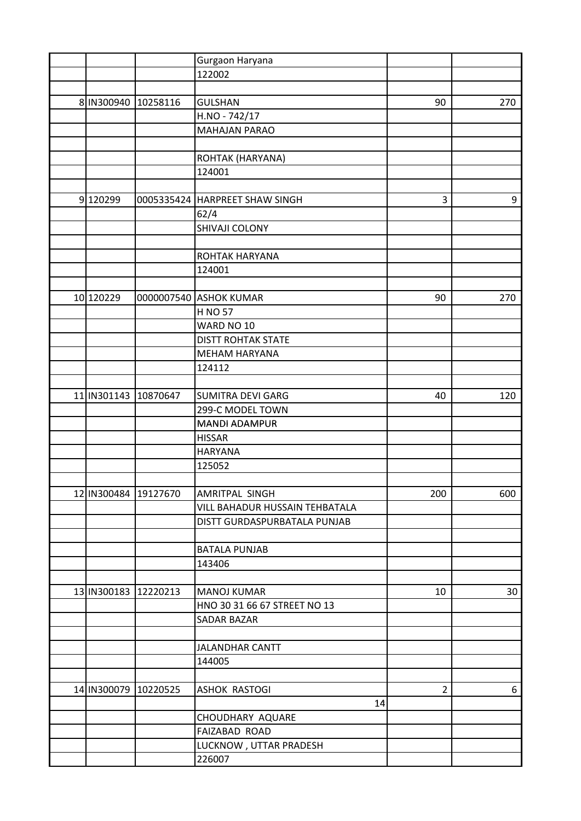|           |                      | Gurgaon Haryana                |                |     |
|-----------|----------------------|--------------------------------|----------------|-----|
|           |                      | 122002                         |                |     |
|           |                      |                                |                |     |
|           | 8 IN300940 10258116  | <b>GULSHAN</b>                 | 90             | 270 |
|           |                      | H.NO - 742/17                  |                |     |
|           |                      | <b>MAHAJAN PARAO</b>           |                |     |
|           |                      |                                |                |     |
|           |                      | ROHTAK (HARYANA)               |                |     |
|           |                      | 124001                         |                |     |
|           |                      |                                |                |     |
| 9 120299  |                      | 0005335424 HARPREET SHAW SINGH | 3              | 9   |
|           |                      | 62/4                           |                |     |
|           |                      | SHIVAJI COLONY                 |                |     |
|           |                      |                                |                |     |
|           |                      | ROHTAK HARYANA                 |                |     |
|           |                      | 124001                         |                |     |
|           |                      |                                |                |     |
| 10 120229 |                      | 0000007540 ASHOK KUMAR         | 90             | 270 |
|           |                      | <b>H NO 57</b>                 |                |     |
|           |                      | WARD NO 10                     |                |     |
|           |                      | <b>DISTT ROHTAK STATE</b>      |                |     |
|           |                      | <b>MEHAM HARYANA</b>           |                |     |
|           |                      | 124112                         |                |     |
|           |                      |                                |                |     |
|           | 11 IN301143 10870647 | <b>SUMITRA DEVI GARG</b>       | 40             | 120 |
|           |                      |                                |                |     |
|           |                      | 299-C MODEL TOWN               |                |     |
|           |                      | <b>MANDI ADAMPUR</b>           |                |     |
|           |                      | <b>HISSAR</b>                  |                |     |
|           |                      | <b>HARYANA</b>                 |                |     |
|           |                      | 125052                         |                |     |
|           |                      |                                |                |     |
|           | 12 IN300484 19127670 | AMRITPAL SINGH                 | 200            | 600 |
|           |                      | VILL BAHADUR HUSSAIN TEHBATALA |                |     |
|           |                      | DISTT GURDASPURBATALA PUNJAB   |                |     |
|           |                      |                                |                |     |
|           |                      | <b>BATALA PUNJAB</b>           |                |     |
|           |                      | 143406                         |                |     |
|           |                      |                                |                |     |
|           | 13 IN300183 12220213 | <b>MANOJ KUMAR</b>             | 10             | 30  |
|           |                      | HNO 30 31 66 67 STREET NO 13   |                |     |
|           |                      | SADAR BAZAR                    |                |     |
|           |                      |                                |                |     |
|           |                      | <b>JALANDHAR CANTT</b>         |                |     |
|           |                      | 144005                         |                |     |
|           |                      |                                |                |     |
|           | 14 IN300079 10220525 | ASHOK RASTOGI                  | $\overline{2}$ | 6   |
|           |                      | 14                             |                |     |
|           |                      | CHOUDHARY AQUARE               |                |     |
|           |                      | FAIZABAD ROAD                  |                |     |
|           |                      | LUCKNOW, UTTAR PRADESH         |                |     |
|           |                      | 226007                         |                |     |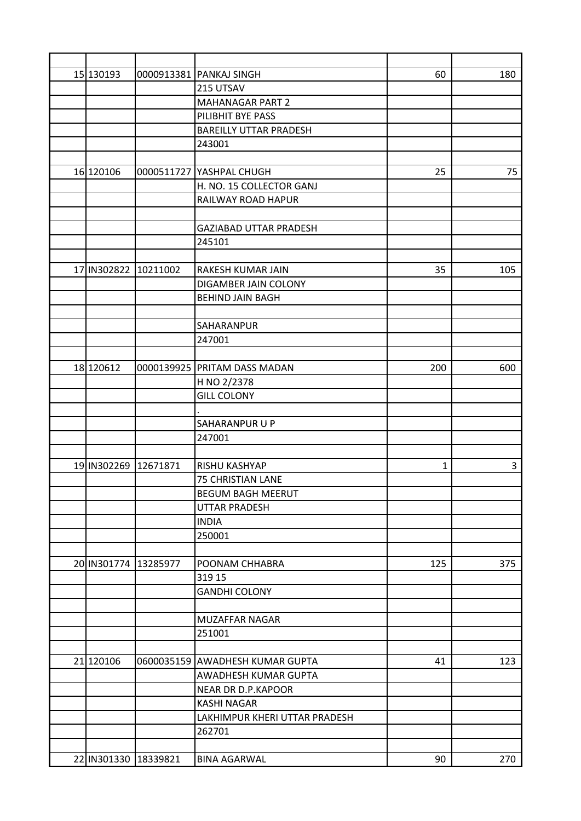| 15 130193             |            | 0000913381 PANKAJ SINGH         | 60  | 180 |
|-----------------------|------------|---------------------------------|-----|-----|
|                       |            | 215 UTSAV                       |     |     |
|                       |            | <b>MAHANAGAR PART 2</b>         |     |     |
|                       |            | PILIBHIT BYE PASS               |     |     |
|                       |            | <b>BAREILLY UTTAR PRADESH</b>   |     |     |
|                       |            | 243001                          |     |     |
|                       |            |                                 |     |     |
| 16 120106             | 0000511727 | <b>YASHPAL CHUGH</b>            | 25  | 75  |
|                       |            | H. NO. 15 COLLECTOR GANJ        |     |     |
|                       |            | RAILWAY ROAD HAPUR              |     |     |
|                       |            |                                 |     |     |
|                       |            | <b>GAZIABAD UTTAR PRADESH</b>   |     |     |
|                       |            | 245101                          |     |     |
|                       |            |                                 |     |     |
| 17 IN302822 10211002  |            | RAKESH KUMAR JAIN               | 35  | 105 |
|                       |            | DIGAMBER JAIN COLONY            |     |     |
|                       |            | <b>BEHIND JAIN BAGH</b>         |     |     |
|                       |            |                                 |     |     |
|                       |            | SAHARANPUR                      |     |     |
|                       |            | 247001                          |     |     |
|                       |            |                                 |     |     |
| 18 120612             |            | 0000139925 PRITAM DASS MADAN    | 200 | 600 |
|                       |            | H NO 2/2378                     |     |     |
|                       |            | <b>GILL COLONY</b>              |     |     |
|                       |            |                                 |     |     |
|                       |            | SAHARANPUR U P                  |     |     |
|                       |            | 247001                          |     |     |
|                       |            |                                 |     |     |
| 19 IN 302269 12671871 |            | RISHU KASHYAP                   | 1   | 3   |
|                       |            | 75 CHRISTIAN LANE               |     |     |
|                       |            | <b>BEGUM BAGH MEERUT</b>        |     |     |
|                       |            | <b>UTTAR PRADESH</b>            |     |     |
|                       |            | <b>INDIA</b>                    |     |     |
|                       |            | 250001                          |     |     |
|                       |            |                                 |     |     |
| 20 IN301774           | 13285977   | POONAM CHHABRA                  | 125 | 375 |
|                       |            | 319 15                          |     |     |
|                       |            | <b>GANDHI COLONY</b>            |     |     |
|                       |            |                                 |     |     |
|                       |            | MUZAFFAR NAGAR                  |     |     |
|                       |            | 251001                          |     |     |
|                       |            |                                 |     |     |
| 21 120106             |            | 0600035159 AWADHESH KUMAR GUPTA | 41  | 123 |
|                       |            | AWADHESH KUMAR GUPTA            |     |     |
|                       |            | NEAR DR D.P.KAPOOR              |     |     |
|                       |            | <b>KASHI NAGAR</b>              |     |     |
|                       |            | LAKHIMPUR KHERI UTTAR PRADESH   |     |     |
|                       |            | 262701                          |     |     |
|                       |            |                                 |     |     |
| 22 IN301330 18339821  |            | <b>BINA AGARWAL</b>             | 90  | 270 |
|                       |            |                                 |     |     |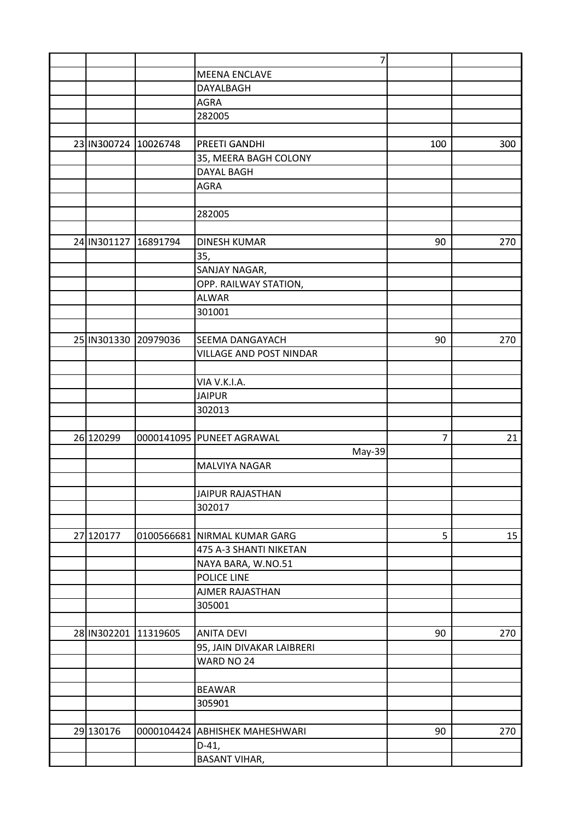|                      |                      | $\overline{7}$                 |     |     |
|----------------------|----------------------|--------------------------------|-----|-----|
|                      |                      | <b>MEENA ENCLAVE</b>           |     |     |
|                      |                      | DAYALBAGH                      |     |     |
|                      |                      | <b>AGRA</b>                    |     |     |
|                      |                      | 282005                         |     |     |
|                      |                      |                                |     |     |
| 23 IN300724 10026748 |                      | PREETI GANDHI                  | 100 | 300 |
|                      |                      | 35, MEERA BAGH COLONY          |     |     |
|                      |                      | <b>DAYAL BAGH</b>              |     |     |
|                      |                      | <b>AGRA</b>                    |     |     |
|                      |                      |                                |     |     |
|                      |                      | 282005                         |     |     |
|                      |                      |                                |     |     |
| 24 IN301127          | 16891794             | <b>DINESH KUMAR</b>            | 90  | 270 |
|                      |                      | 35,                            |     |     |
|                      |                      | SANJAY NAGAR,                  |     |     |
|                      |                      | OPP. RAILWAY STATION,          |     |     |
|                      |                      | <b>ALWAR</b>                   |     |     |
|                      |                      | 301001                         |     |     |
|                      |                      |                                |     |     |
| 25 IN301330 20979036 |                      | SEEMA DANGAYACH                | 90  | 270 |
|                      |                      |                                |     |     |
|                      |                      | VILLAGE AND POST NINDAR        |     |     |
|                      |                      |                                |     |     |
|                      |                      | VIA V.K.I.A.                   |     |     |
|                      |                      | <b>JAIPUR</b>                  |     |     |
|                      |                      | 302013                         |     |     |
|                      |                      |                                |     |     |
| 26 120299            |                      | 0000141095 PUNEET AGRAWAL      | 7   | 21  |
|                      |                      | May-39                         |     |     |
|                      |                      | MALVIYA NAGAR                  |     |     |
|                      |                      |                                |     |     |
|                      |                      | JAIPUR RAJASTHAN               |     |     |
|                      |                      | 302017                         |     |     |
|                      |                      |                                |     |     |
| 27 120177            |                      | 0100566681 NIRMAL KUMAR GARG   | 5   | 15  |
|                      |                      | 475 A-3 SHANTI NIKETAN         |     |     |
|                      |                      | NAYA BARA, W.NO.51             |     |     |
|                      |                      | POLICE LINE                    |     |     |
|                      |                      | AJMER RAJASTHAN                |     |     |
|                      |                      | 305001                         |     |     |
|                      |                      |                                |     |     |
|                      | 28 IN302201 11319605 | <b>ANITA DEVI</b>              | 90  | 270 |
|                      |                      | 95, JAIN DIVAKAR LAIBRERI      |     |     |
|                      |                      | WARD NO 24                     |     |     |
|                      |                      |                                |     |     |
|                      |                      | <b>BEAWAR</b>                  |     |     |
|                      |                      | 305901                         |     |     |
|                      |                      |                                |     |     |
| 29 130176            |                      | 0000104424 ABHISHEK MAHESHWARI | 90  | 270 |
|                      |                      | $D-41,$                        |     |     |
|                      |                      | <b>BASANT VIHAR,</b>           |     |     |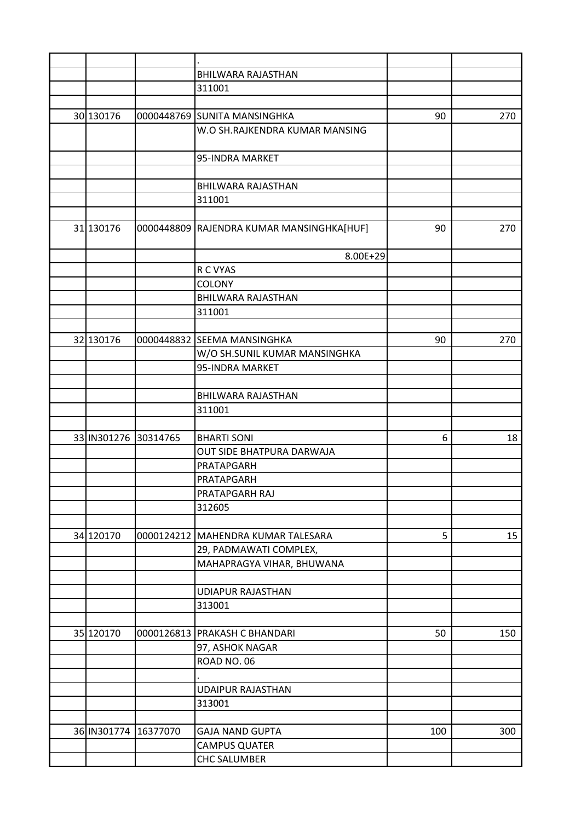|                      |          | BHILWARA RAJASTHAN                        |     |     |
|----------------------|----------|-------------------------------------------|-----|-----|
|                      |          | 311001                                    |     |     |
|                      |          |                                           |     |     |
| 30 130176            |          | 0000448769 SUNITA MANSINGHKA              | 90  | 270 |
|                      |          | W.O SH.RAJKENDRA KUMAR MANSING            |     |     |
|                      |          | 95-INDRA MARKET                           |     |     |
|                      |          |                                           |     |     |
|                      |          | BHILWARA RAJASTHAN                        |     |     |
|                      |          | 311001                                    |     |     |
|                      |          |                                           |     |     |
| 31 130176            |          | 0000448809 RAJENDRA KUMAR MANSINGHKA[HUF] | 90  | 270 |
|                      |          | 8.00E+29                                  |     |     |
|                      |          | R C VYAS                                  |     |     |
|                      |          | <b>COLONY</b>                             |     |     |
|                      |          | BHILWARA RAJASTHAN                        |     |     |
|                      |          | 311001                                    |     |     |
|                      |          |                                           |     |     |
| 32 130176            |          | 0000448832 SEEMA MANSINGHKA               | 90  | 270 |
|                      |          | W/O SH.SUNIL KUMAR MANSINGHKA             |     |     |
|                      |          | 95-INDRA MARKET                           |     |     |
|                      |          |                                           |     |     |
|                      |          | <b>BHILWARA RAJASTHAN</b>                 |     |     |
|                      |          | 311001                                    |     |     |
|                      |          |                                           |     |     |
| 33 IN301276 30314765 |          | <b>BHARTI SONI</b>                        | 6   | 18  |
|                      |          | OUT SIDE BHATPURA DARWAJA                 |     |     |
|                      |          | PRATAPGARH                                |     |     |
|                      |          | PRATAPGARH                                |     |     |
|                      |          | PRATAPGARH RAJ                            |     |     |
|                      |          | 312605                                    |     |     |
|                      |          |                                           |     |     |
| 34 120170            |          | 0000124212 MAHENDRA KUMAR TALESARA        | 5   | 15  |
|                      |          | 29, PADMAWATI COMPLEX,                    |     |     |
|                      |          | MAHAPRAGYA VIHAR, BHUWANA                 |     |     |
|                      |          |                                           |     |     |
|                      |          | <b>UDIAPUR RAJASTHAN</b>                  |     |     |
|                      |          | 313001                                    |     |     |
|                      |          |                                           |     |     |
| 35 120170            |          | 0000126813 PRAKASH C BHANDARI             | 50  | 150 |
|                      |          | 97, ASHOK NAGAR                           |     |     |
|                      |          | ROAD NO. 06                               |     |     |
|                      |          |                                           |     |     |
|                      |          | <b>UDAIPUR RAJASTHAN</b>                  |     |     |
|                      |          | 313001                                    |     |     |
|                      |          |                                           |     |     |
|                      |          |                                           |     |     |
| 36 IN301774          | 16377070 | <b>GAJA NAND GUPTA</b>                    | 100 | 300 |
|                      |          | <b>CAMPUS QUATER</b>                      |     |     |
|                      |          | <b>CHC SALUMBER</b>                       |     |     |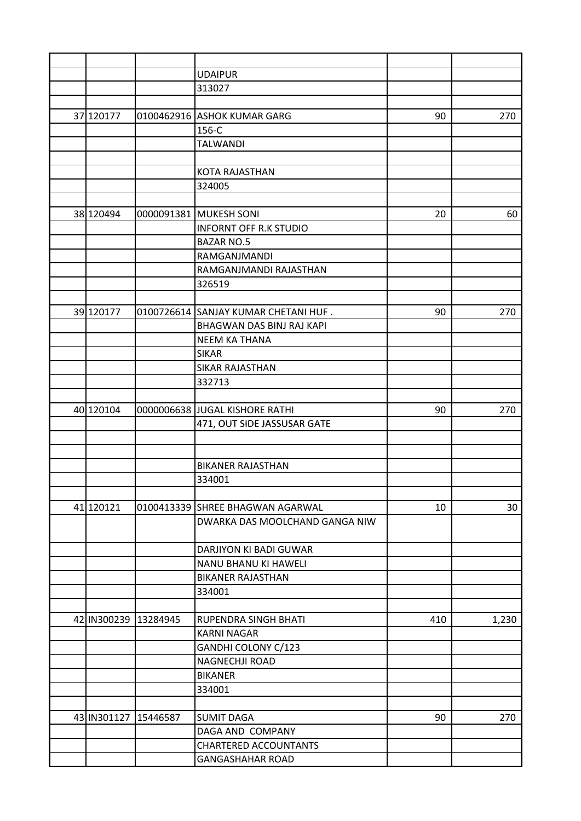|                      |                      | <b>UDAIPUR</b>                       |     |       |
|----------------------|----------------------|--------------------------------------|-----|-------|
|                      |                      | 313027                               |     |       |
|                      |                      |                                      |     |       |
| 37 120177            |                      | 0100462916 ASHOK KUMAR GARG          | 90  | 270   |
|                      |                      | 156-C                                |     |       |
|                      |                      | <b>TALWANDI</b>                      |     |       |
|                      |                      |                                      |     |       |
|                      |                      | KOTA RAJASTHAN                       |     |       |
|                      |                      | 324005                               |     |       |
|                      |                      |                                      |     |       |
| 38 120494            |                      | 0000091381 MUKESH SONI               | 20  | 60    |
|                      |                      | <b>INFORNT OFF R.K STUDIO</b>        |     |       |
|                      |                      | <b>BAZAR NO.5</b>                    |     |       |
|                      |                      | RAMGANJMANDI                         |     |       |
|                      |                      | RAMGANJMANDI RAJASTHAN               |     |       |
|                      |                      | 326519                               |     |       |
|                      |                      |                                      |     |       |
| 39 120177            |                      | 0100726614 SANJAY KUMAR CHETANI HUF. | 90  | 270   |
|                      |                      | BHAGWAN DAS BINJ RAJ KAPI            |     |       |
|                      |                      | <b>NEEM KA THANA</b>                 |     |       |
|                      |                      | <b>SIKAR</b>                         |     |       |
|                      |                      | SIKAR RAJASTHAN                      |     |       |
|                      |                      | 332713                               |     |       |
|                      |                      |                                      |     |       |
| 40 120104            |                      | 0000006638 JJUGAL KISHORE RATHI      | 90  | 270   |
|                      |                      | 471, OUT SIDE JASSUSAR GATE          |     |       |
|                      |                      |                                      |     |       |
|                      |                      |                                      |     |       |
|                      |                      | <b>BIKANER RAJASTHAN</b>             |     |       |
|                      |                      |                                      |     |       |
|                      |                      | 334001                               |     |       |
| 41 120121            |                      |                                      | 10  |       |
|                      |                      | 0100413339 SHREE BHAGWAN AGARWAL     |     | 30    |
|                      |                      | DWARKA DAS MOOLCHAND GANGA NIW       |     |       |
|                      |                      |                                      |     |       |
|                      |                      | DARJIYON KI BADI GUWAR               |     |       |
|                      |                      | NANU BHANU KI HAWELI                 |     |       |
|                      |                      | <b>BIKANER RAJASTHAN</b>             |     |       |
|                      |                      | 334001                               |     |       |
|                      |                      |                                      |     |       |
| 42 IN300239 13284945 |                      | RUPENDRA SINGH BHATI                 | 410 | 1,230 |
|                      |                      | <b>KARNI NAGAR</b>                   |     |       |
|                      |                      | GANDHI COLONY C/123                  |     |       |
|                      |                      | <b>NAGNECHJI ROAD</b>                |     |       |
|                      |                      | <b>BIKANER</b>                       |     |       |
|                      |                      | 334001                               |     |       |
|                      |                      |                                      |     |       |
|                      | 43 IN301127 15446587 | <b>SUMIT DAGA</b>                    | 90  | 270   |
|                      |                      | DAGA AND COMPANY                     |     |       |
|                      |                      | <b>CHARTERED ACCOUNTANTS</b>         |     |       |
|                      |                      | <b>GANGASHAHAR ROAD</b>              |     |       |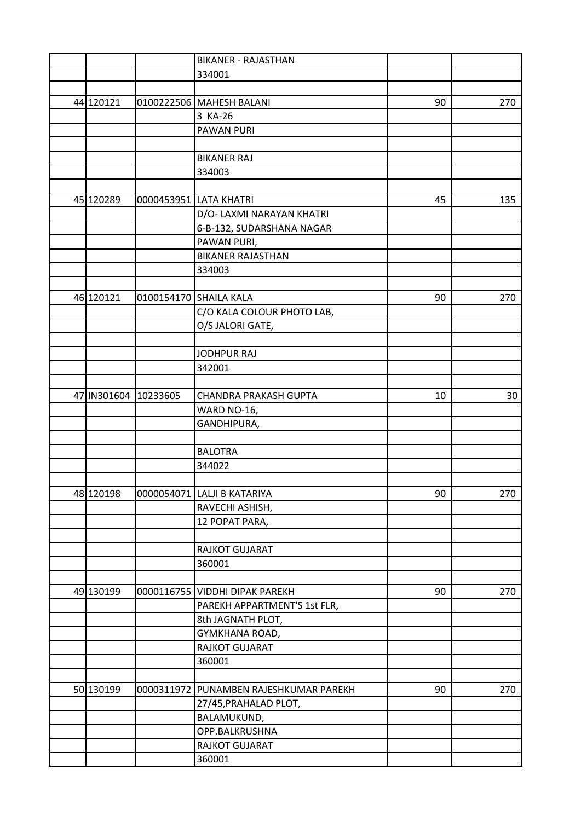|             |            | <b>BIKANER - RAJASTHAN</b>             |    |     |
|-------------|------------|----------------------------------------|----|-----|
|             |            | 334001                                 |    |     |
|             |            |                                        |    |     |
| 44 120121   |            | 0100222506 MAHESH BALANI               | 90 | 270 |
|             |            | 3 KA-26                                |    |     |
|             |            | PAWAN PURI                             |    |     |
|             |            |                                        |    |     |
|             |            | <b>BIKANER RAJ</b>                     |    |     |
|             |            | 334003                                 |    |     |
|             |            |                                        |    |     |
| 45 120289   |            | 0000453951 LATA KHATRI                 | 45 | 135 |
|             |            | D/O- LAXMI NARAYAN KHATRI              |    |     |
|             |            | 6-B-132, SUDARSHANA NAGAR              |    |     |
|             |            | PAWAN PURI,                            |    |     |
|             |            | <b>BIKANER RAJASTHAN</b>               |    |     |
|             |            | 334003                                 |    |     |
|             |            |                                        |    |     |
| 46 120121   |            | 0100154170 SHAILA KALA                 | 90 | 270 |
|             |            | C/O KALA COLOUR PHOTO LAB,             |    |     |
|             |            | O/S JALORI GATE,                       |    |     |
|             |            |                                        |    |     |
|             |            | <b>JODHPUR RAJ</b>                     |    |     |
|             |            | 342001                                 |    |     |
|             |            |                                        |    |     |
| 47 IN301604 | 10233605   | <b>CHANDRA PRAKASH GUPTA</b>           | 10 | 30  |
|             |            |                                        |    |     |
|             |            | WARD NO-16,<br>GANDHIPURA,             |    |     |
|             |            |                                        |    |     |
|             |            | <b>BALOTRA</b>                         |    |     |
|             |            | 344022                                 |    |     |
|             |            |                                        |    |     |
|             |            |                                        |    |     |
| 48 120198   |            | 0000054071  LALJI B KATARIYA           | 90 | 270 |
|             |            | RAVECHI ASHISH,                        |    |     |
|             |            | 12 POPAT PARA,                         |    |     |
|             |            |                                        |    |     |
|             |            | RAJKOT GUJARAT                         |    |     |
|             |            | 360001                                 |    |     |
|             |            |                                        |    |     |
| 49 130199   | 0000116755 | <b>VIDDHI DIPAK PAREKH</b>             | 90 | 270 |
|             |            | PAREKH APPARTMENT'S 1st FLR,           |    |     |
|             |            | 8th JAGNATH PLOT,                      |    |     |
|             |            | GYMKHANA ROAD,                         |    |     |
|             |            | RAJKOT GUJARAT                         |    |     |
|             |            | 360001                                 |    |     |
|             |            |                                        |    |     |
| 50 130199   |            | 0000311972 PUNAMBEN RAJESHKUMAR PAREKH | 90 | 270 |
|             |            | 27/45, PRAHALAD PLOT,                  |    |     |
|             |            | BALAMUKUND,                            |    |     |
|             |            | OPP.BALKRUSHNA                         |    |     |
|             |            | RAJKOT GUJARAT                         |    |     |
|             |            | 360001                                 |    |     |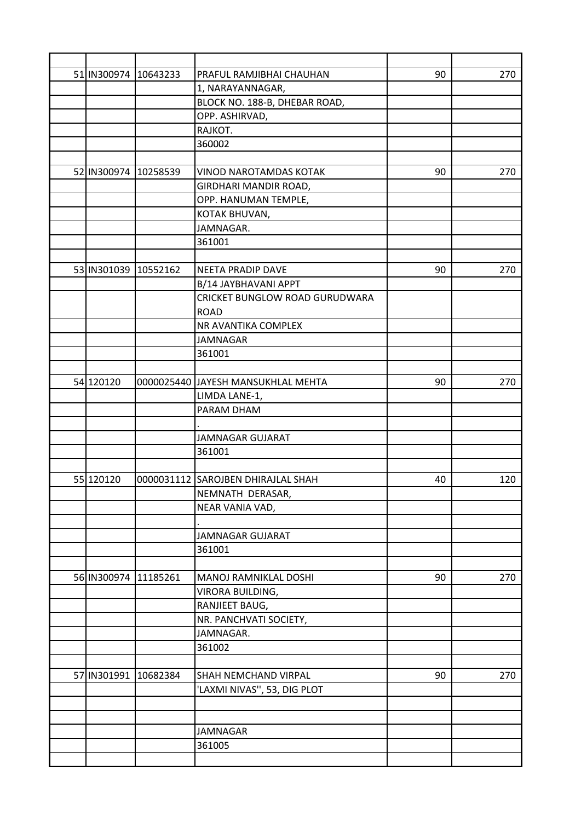| 51 IN300974 10643233 |          | PRAFUL RAMJIBHAI CHAUHAN           | 90 | 270 |
|----------------------|----------|------------------------------------|----|-----|
|                      |          | 1, NARAYANNAGAR,                   |    |     |
|                      |          | BLOCK NO. 188-B, DHEBAR ROAD,      |    |     |
|                      |          | OPP. ASHIRVAD,                     |    |     |
|                      |          | RAJKOT.                            |    |     |
|                      |          | 360002                             |    |     |
|                      |          |                                    |    |     |
| 52 IN300974          | 10258539 | <b>VINOD NAROTAMDAS KOTAK</b>      | 90 | 270 |
|                      |          | GIRDHARI MANDIR ROAD,              |    |     |
|                      |          | OPP. HANUMAN TEMPLE,               |    |     |
|                      |          | KOTAK BHUVAN,                      |    |     |
|                      |          | JAMNAGAR.                          |    |     |
|                      |          | 361001                             |    |     |
|                      |          |                                    |    |     |
| 53 IN301039 10552162 |          | <b>NEETA PRADIP DAVE</b>           | 90 | 270 |
|                      |          | B/14 JAYBHAVANI APPT               |    |     |
|                      |          | CRICKET BUNGLOW ROAD GURUDWARA     |    |     |
|                      |          | <b>ROAD</b>                        |    |     |
|                      |          | NR AVANTIKA COMPLEX                |    |     |
|                      |          | <b>JAMNAGAR</b>                    |    |     |
|                      |          | 361001                             |    |     |
|                      |          |                                    |    |     |
| 54 120120            |          | 0000025440 JAYESH MANSUKHLAL MEHTA | 90 | 270 |
|                      |          | LIMDA LANE-1,                      |    |     |
|                      |          | PARAM DHAM                         |    |     |
|                      |          |                                    |    |     |
|                      |          | <b>JAMNAGAR GUJARAT</b>            |    |     |
|                      |          | 361001                             |    |     |
|                      |          |                                    |    |     |
| 55 120120            |          | 0000031112 SAROJBEN DHIRAJLAL SHAH | 40 | 120 |
|                      |          | NEMNATH DERASAR,                   |    |     |
|                      |          | NEAR VANIA VAD,                    |    |     |
|                      |          |                                    |    |     |
|                      |          | <b>JAMNAGAR GUJARAT</b>            |    |     |
|                      |          | 361001                             |    |     |
|                      |          |                                    |    |     |
| 56 IN300974          | 11185261 | MANOJ RAMNIKLAL DOSHI              | 90 | 270 |
|                      |          | VIRORA BUILDING,                   |    |     |
|                      |          | RANJIEET BAUG,                     |    |     |
|                      |          | NR. PANCHVATI SOCIETY,             |    |     |
|                      |          | JAMNAGAR.                          |    |     |
|                      |          | 361002                             |    |     |
|                      |          |                                    |    |     |
| 57 IN301991 10682384 |          | SHAH NEMCHAND VIRPAL               | 90 | 270 |
|                      |          | 'LAXMI NIVAS'', 53, DIG PLOT       |    |     |
|                      |          |                                    |    |     |
|                      |          |                                    |    |     |
|                      |          | JAMNAGAR                           |    |     |
|                      |          | 361005                             |    |     |
|                      |          |                                    |    |     |
|                      |          |                                    |    |     |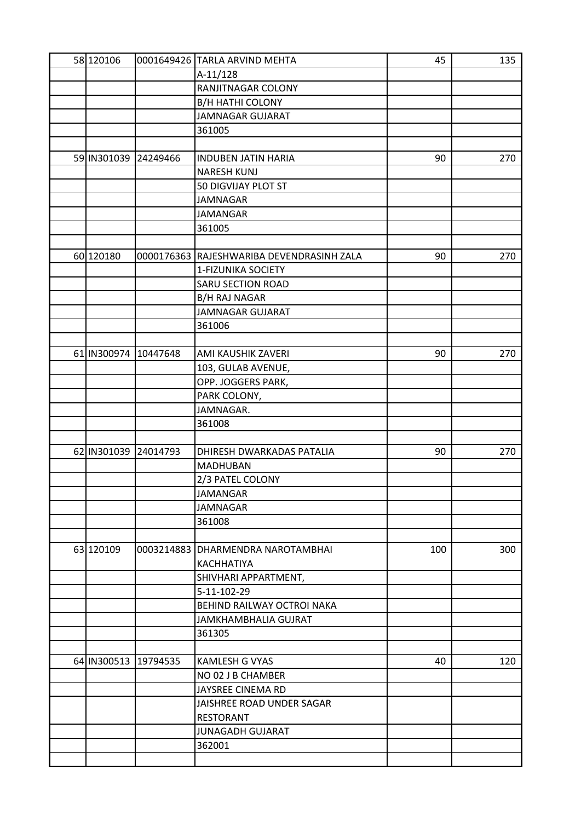| 58 120106            |          | 0001649426 TARLA ARVIND MEHTA                  | 45  | 135 |
|----------------------|----------|------------------------------------------------|-----|-----|
|                      |          | A-11/128                                       |     |     |
|                      |          | RANJITNAGAR COLONY                             |     |     |
|                      |          | <b>B/H HATHI COLONY</b>                        |     |     |
|                      |          | <b>JAMNAGAR GUJARAT</b>                        |     |     |
|                      |          | 361005                                         |     |     |
|                      |          |                                                |     |     |
| 59 IN301039 24249466 |          | <b>INDUBEN JATIN HARIA</b>                     | 90  | 270 |
|                      |          | <b>NARESH KUNJ</b>                             |     |     |
|                      |          | 50 DIGVIJAY PLOT ST                            |     |     |
|                      |          | <b>JAMNAGAR</b>                                |     |     |
|                      |          | <b>JAMANGAR</b>                                |     |     |
|                      |          | 361005                                         |     |     |
|                      |          |                                                |     |     |
| 60 120180            |          | 0000176363 RAJESHWARIBA DEVENDRASINH ZALA      | 90  | 270 |
|                      |          | 1-FIZUNIKA SOCIETY                             |     |     |
|                      |          | <b>SARU SECTION ROAD</b>                       |     |     |
|                      |          | <b>B/H RAJ NAGAR</b>                           |     |     |
|                      |          | <b>JAMNAGAR GUJARAT</b>                        |     |     |
|                      |          | 361006                                         |     |     |
|                      |          |                                                |     |     |
| 61 IN300974 10447648 |          | AMI KAUSHIK ZAVERI                             | 90  | 270 |
|                      |          | 103, GULAB AVENUE,                             |     |     |
|                      |          | OPP. JOGGERS PARK,                             |     |     |
|                      |          | PARK COLONY,                                   |     |     |
|                      |          | JAMNAGAR.                                      |     |     |
|                      |          | 361008                                         |     |     |
|                      |          |                                                |     |     |
| 62 IN301039          | 24014793 | DHIRESH DWARKADAS PATALIA                      | 90  | 270 |
|                      |          | <b>MADHUBAN</b>                                |     |     |
|                      |          | 2/3 PATEL COLONY                               |     |     |
|                      |          | JAMANGAR                                       |     |     |
|                      |          | <b>JAMNAGAR</b>                                |     |     |
|                      |          | 361008                                         |     |     |
|                      |          |                                                |     |     |
| 63 120109            |          | 0003214883   DHARMENDRA NAROTAMBHAI            | 100 | 300 |
|                      |          | KACHHATIYA                                     |     |     |
|                      |          | SHIVHARI APPARTMENT,                           |     |     |
|                      |          | 5-11-102-29                                    |     |     |
|                      |          | BEHIND RAILWAY OCTROI NAKA                     |     |     |
|                      |          | JAMKHAMBHALIA GUJRAT                           |     |     |
|                      |          | 361305                                         |     |     |
|                      |          |                                                |     |     |
| 64 IN300513 19794535 |          | <b>KAMLESH G VYAS</b>                          | 40  | 120 |
|                      |          | NO 02 J B CHAMBER                              |     |     |
|                      |          |                                                |     |     |
|                      |          | JAYSREE CINEMA RD<br>JAISHREE ROAD UNDER SAGAR |     |     |
|                      |          | <b>RESTORANT</b>                               |     |     |
|                      |          |                                                |     |     |
|                      |          | <b>JUNAGADH GUJARAT</b>                        |     |     |
|                      |          | 362001                                         |     |     |
|                      |          |                                                |     |     |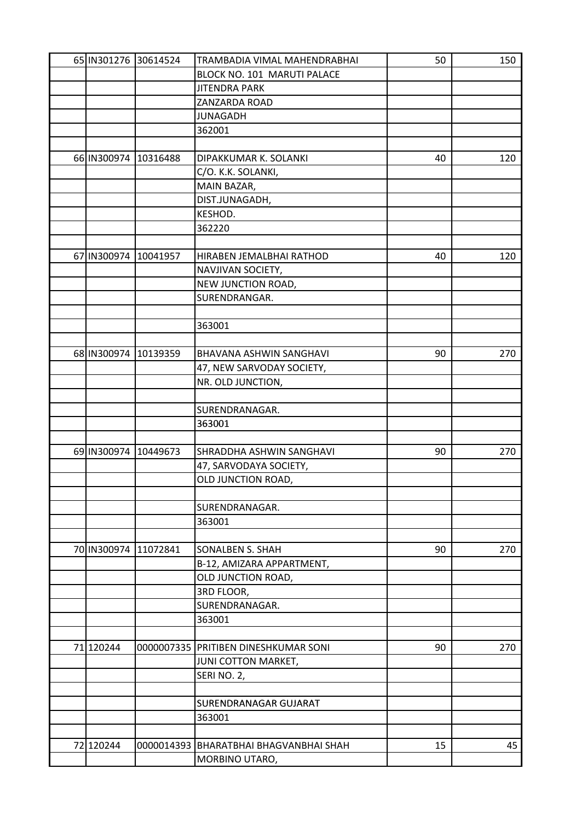|             | 65 IN301276 30614524 | TRAMBADIA VIMAL MAHENDRABHAI             | 50 | 150 |
|-------------|----------------------|------------------------------------------|----|-----|
|             |                      | BLOCK NO. 101 MARUTI PALACE              |    |     |
|             |                      | <b>JITENDRA PARK</b>                     |    |     |
|             |                      | ZANZARDA ROAD                            |    |     |
|             |                      | <b>JUNAGADH</b>                          |    |     |
|             |                      | 362001                                   |    |     |
|             |                      |                                          |    |     |
| 66 IN300974 | 10316488             | DIPAKKUMAR K. SOLANKI                    | 40 | 120 |
|             |                      | C/O. K.K. SOLANKI,                       |    |     |
|             |                      | MAIN BAZAR,                              |    |     |
|             |                      | DIST.JUNAGADH,                           |    |     |
|             |                      | KESHOD.                                  |    |     |
|             |                      | 362220                                   |    |     |
|             |                      |                                          |    |     |
| 67 IN300974 | 10041957             | HIRABEN JEMALBHAI RATHOD                 | 40 | 120 |
|             |                      | NAVJIVAN SOCIETY,                        |    |     |
|             |                      | NEW JUNCTION ROAD,                       |    |     |
|             |                      | SURENDRANGAR.                            |    |     |
|             |                      |                                          |    |     |
|             |                      | 363001                                   |    |     |
|             |                      |                                          |    |     |
|             | 68 IN300974 10139359 | BHAVANA ASHWIN SANGHAVI                  | 90 | 270 |
|             |                      |                                          |    |     |
|             |                      | 47, NEW SARVODAY SOCIETY,                |    |     |
|             |                      | NR. OLD JUNCTION,                        |    |     |
|             |                      |                                          |    |     |
|             |                      | SURENDRANAGAR.                           |    |     |
|             |                      | 363001                                   |    |     |
|             |                      |                                          |    |     |
| 69 IN300974 | 10449673             | SHRADDHA ASHWIN SANGHAVI                 | 90 | 270 |
|             |                      | 47, SARVODAYA SOCIETY,                   |    |     |
|             |                      | OLD JUNCTION ROAD,                       |    |     |
|             |                      |                                          |    |     |
|             |                      | SURENDRANAGAR.                           |    |     |
|             |                      | 363001                                   |    |     |
|             |                      |                                          |    |     |
| 70 IN300974 | 11072841             | SONALBEN S. SHAH                         | 90 | 270 |
|             |                      | B-12, AMIZARA APPARTMENT,                |    |     |
|             |                      | OLD JUNCTION ROAD,                       |    |     |
|             |                      | 3RD FLOOR,                               |    |     |
|             |                      | SURENDRANAGAR.                           |    |     |
|             |                      | 363001                                   |    |     |
|             |                      |                                          |    |     |
| 71 120244   |                      | 0000007335 PRITIBEN DINESHKUMAR SONI     | 90 | 270 |
|             |                      | JUNI COTTON MARKET,                      |    |     |
|             |                      | SERINO. 2,                               |    |     |
|             |                      |                                          |    |     |
|             |                      | SURENDRANAGAR GUJARAT                    |    |     |
|             |                      | 363001                                   |    |     |
|             |                      |                                          |    |     |
| 72 120244   |                      | 0000014393   BHARATBHAI BHAGVANBHAI SHAH | 15 | 45  |
|             |                      | MORBINO UTARO,                           |    |     |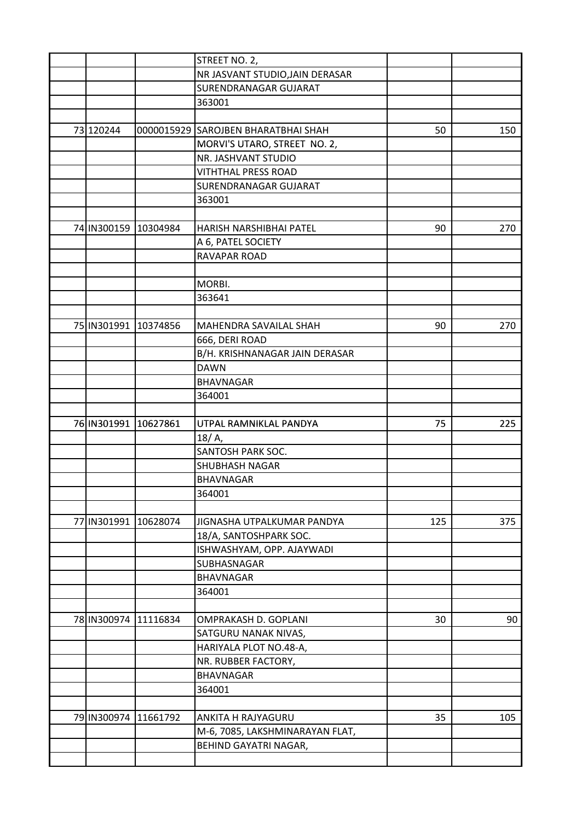|                      |                      | STREET NO. 2,                       |     |     |
|----------------------|----------------------|-------------------------------------|-----|-----|
|                      |                      | NR JASVANT STUDIO, JAIN DERASAR     |     |     |
|                      |                      | SURENDRANAGAR GUJARAT               |     |     |
|                      |                      | 363001                              |     |     |
|                      |                      |                                     |     |     |
| 73 120244            |                      | 0000015929 SAROJBEN BHARATBHAI SHAH | 50  | 150 |
|                      |                      | MORVI'S UTARO, STREET NO. 2,        |     |     |
|                      |                      | NR. JASHVANT STUDIO                 |     |     |
|                      |                      | <b>VITHTHAL PRESS ROAD</b>          |     |     |
|                      |                      | SURENDRANAGAR GUJARAT               |     |     |
|                      |                      | 363001                              |     |     |
|                      |                      |                                     |     |     |
|                      | 74 IN300159 10304984 | HARISH NARSHIBHAI PATEL             | 90  | 270 |
|                      |                      | A 6, PATEL SOCIETY                  |     |     |
|                      |                      | RAVAPAR ROAD                        |     |     |
|                      |                      |                                     |     |     |
|                      |                      | MORBI.                              |     |     |
|                      |                      | 363641                              |     |     |
|                      |                      |                                     |     |     |
|                      | 75 IN301991 10374856 | MAHENDRA SAVAILAL SHAH              | 90  | 270 |
|                      |                      | 666, DERI ROAD                      |     |     |
|                      |                      | B/H. KRISHNANAGAR JAIN DERASAR      |     |     |
|                      |                      | <b>DAWN</b>                         |     |     |
|                      |                      | <b>BHAVNAGAR</b>                    |     |     |
|                      |                      | 364001                              |     |     |
|                      |                      |                                     |     |     |
| 76 IN301991 10627861 |                      | UTPAL RAMNIKLAL PANDYA              | 75  | 225 |
|                      |                      | $18/A$ ,                            |     |     |
|                      |                      | SANTOSH PARK SOC.                   |     |     |
|                      |                      | <b>SHUBHASH NAGAR</b>               |     |     |
|                      |                      | <b>BHAVNAGAR</b>                    |     |     |
|                      |                      | 364001                              |     |     |
|                      |                      |                                     |     |     |
|                      | 77 IN301991 10628074 | JIGNASHA UTPALKUMAR PANDYA          | 125 | 375 |
|                      |                      | 18/A, SANTOSHPARK SOC.              |     |     |
|                      |                      | ISHWASHYAM, OPP. AJAYWADI           |     |     |
|                      |                      | SUBHASNAGAR                         |     |     |
|                      |                      | <b>BHAVNAGAR</b>                    |     |     |
|                      |                      | 364001                              |     |     |
|                      |                      |                                     |     |     |
| 78 IN300974          | 11116834             | OMPRAKASH D. GOPLANI                | 30  | 90  |
|                      |                      | SATGURU NANAK NIVAS,                |     |     |
|                      |                      | HARIYALA PLOT NO.48-A,              |     |     |
|                      |                      | NR. RUBBER FACTORY,                 |     |     |
|                      |                      | <b>BHAVNAGAR</b>                    |     |     |
|                      |                      | 364001                              |     |     |
|                      |                      |                                     |     |     |
|                      | 79 IN300974 11661792 | ANKITA H RAJYAGURU                  | 35  | 105 |
|                      |                      | M-6, 7085, LAKSHMINARAYAN FLAT,     |     |     |
|                      |                      | BEHIND GAYATRI NAGAR,               |     |     |
|                      |                      |                                     |     |     |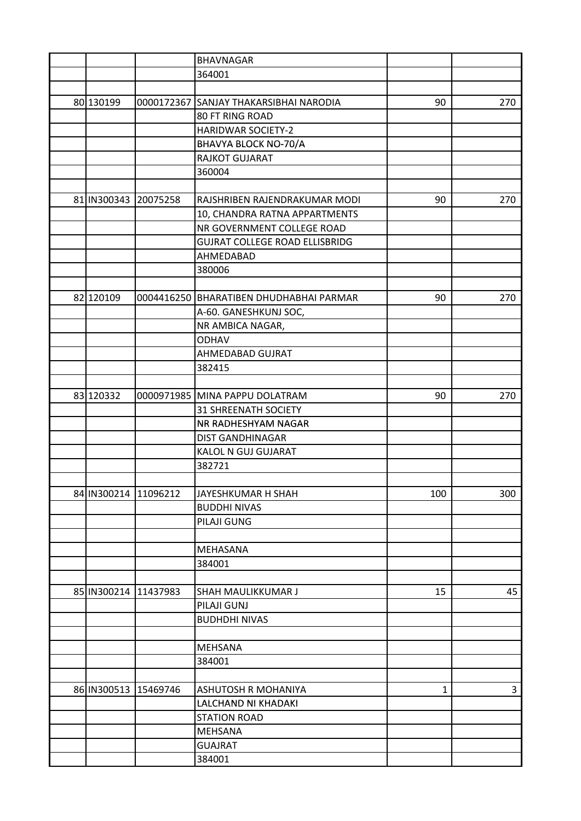|             |                      | <b>BHAVNAGAR</b>                        |     |     |
|-------------|----------------------|-----------------------------------------|-----|-----|
|             |                      | 364001                                  |     |     |
|             |                      |                                         |     |     |
| 80 130199   | 0000172367           | <b>SANJAY THAKARSIBHAI NARODIA</b>      | 90  | 270 |
|             |                      | 80 FT RING ROAD                         |     |     |
|             |                      | <b>HARIDWAR SOCIETY-2</b>               |     |     |
|             |                      | BHAVYA BLOCK NO-70/A                    |     |     |
|             |                      | RAJKOT GUJARAT                          |     |     |
|             |                      | 360004                                  |     |     |
|             |                      |                                         |     |     |
|             | 81 IN300343 20075258 | RAJSHRIBEN RAJENDRAKUMAR MODI           | 90  | 270 |
|             |                      | 10, CHANDRA RATNA APPARTMENTS           |     |     |
|             |                      | NR GOVERNMENT COLLEGE ROAD              |     |     |
|             |                      | <b>GUJRAT COLLEGE ROAD ELLISBRIDG</b>   |     |     |
|             |                      | AHMEDABAD                               |     |     |
|             |                      | 380006                                  |     |     |
|             |                      |                                         |     |     |
| 82 120109   |                      | 0004416250 BHARATIBEN DHUDHABHAI PARMAR | 90  | 270 |
|             |                      | A-60. GANESHKUNJ SOC,                   |     |     |
|             |                      | NR AMBICA NAGAR,                        |     |     |
|             |                      | <b>ODHAV</b>                            |     |     |
|             |                      | AHMEDABAD GUJRAT                        |     |     |
|             |                      | 382415                                  |     |     |
|             |                      |                                         |     |     |
| 83 120332   |                      | 0000971985 MINA PAPPU DOLATRAM          | 90  | 270 |
|             |                      | <b>31 SHREENATH SOCIETY</b>             |     |     |
|             |                      | NR RADHESHYAM NAGAR                     |     |     |
|             |                      | <b>DIST GANDHINAGAR</b>                 |     |     |
|             |                      | KALOL N GUJ GUJARAT                     |     |     |
|             |                      | 382721                                  |     |     |
|             |                      |                                         |     |     |
|             | 84 IN300214 11096212 | JAYESHKUMAR H SHAH                      | 100 | 300 |
|             |                      | <b>BUDDHI NIVAS</b>                     |     |     |
|             |                      | PILAJI GUNG                             |     |     |
|             |                      |                                         |     |     |
|             |                      | MEHASANA                                |     |     |
|             |                      | 384001                                  |     |     |
|             |                      |                                         |     |     |
|             | 85 IN300214 11437983 | SHAH MAULIKKUMAR J                      | 15  | 45  |
|             |                      | PILAJI GUNJ                             |     |     |
|             |                      | <b>BUDHDHI NIVAS</b>                    |     |     |
|             |                      |                                         |     |     |
|             |                      | MEHSANA                                 |     |     |
|             |                      | 384001                                  |     |     |
|             |                      |                                         |     |     |
| 86 IN300513 | 15469746             | ASHUTOSH R MOHANIYA                     | 1   | 3   |
|             |                      | LALCHAND NI KHADAKI                     |     |     |
|             |                      | <b>STATION ROAD</b>                     |     |     |
|             |                      | <b>MEHSANA</b>                          |     |     |
|             |                      | <b>GUAJRAT</b>                          |     |     |
|             |                      | 384001                                  |     |     |
|             |                      |                                         |     |     |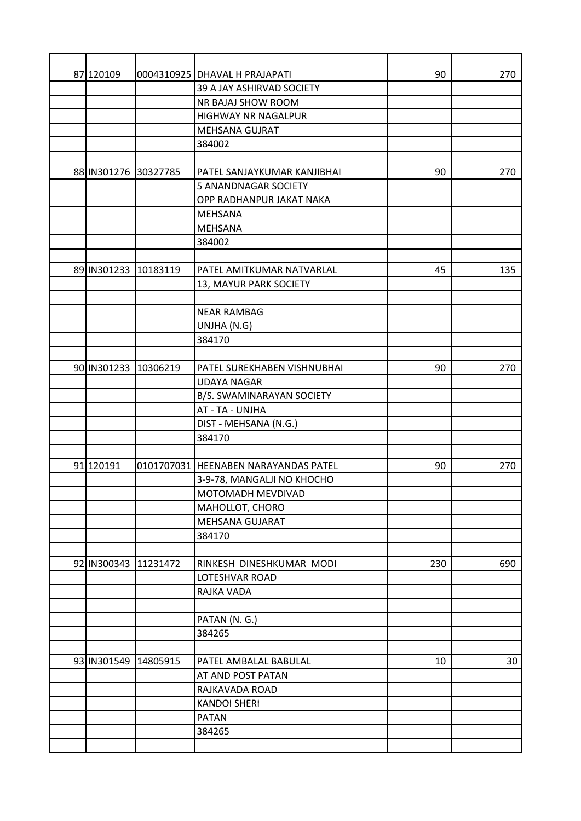| 87 120109            |          | 0004310925 DHAVAL H PRAJAPATI        | 90  | 270 |
|----------------------|----------|--------------------------------------|-----|-----|
|                      |          | 39 A JAY ASHIRVAD SOCIETY            |     |     |
|                      |          | NR BAJAJ SHOW ROOM                   |     |     |
|                      |          | <b>HIGHWAY NR NAGALPUR</b>           |     |     |
|                      |          | MEHSANA GUJRAT                       |     |     |
|                      |          | 384002                               |     |     |
|                      |          |                                      |     |     |
| 88 IN301276 30327785 |          | PATEL SANJAYKUMAR KANJIBHAI          | 90  | 270 |
|                      |          | 5 ANANDNAGAR SOCIETY                 |     |     |
|                      |          | OPP RADHANPUR JAKAT NAKA             |     |     |
|                      |          | <b>MEHSANA</b>                       |     |     |
|                      |          | MEHSANA                              |     |     |
|                      |          | 384002                               |     |     |
|                      |          |                                      |     |     |
| 89 IN301233 10183119 |          | PATEL AMITKUMAR NATVARLAL            | 45  | 135 |
|                      |          | 13, MAYUR PARK SOCIETY               |     |     |
|                      |          |                                      |     |     |
|                      |          | <b>NEAR RAMBAG</b>                   |     |     |
|                      |          | UNJHA (N.G)                          |     |     |
|                      |          | 384170                               |     |     |
|                      |          |                                      |     |     |
| 90 IN301233          | 10306219 | PATEL SUREKHABEN VISHNUBHAI          | 90  | 270 |
|                      |          | <b>UDAYA NAGAR</b>                   |     |     |
|                      |          | B/S. SWAMINARAYAN SOCIETY            |     |     |
|                      |          | AT - TA - UNJHA                      |     |     |
|                      |          | DIST - MEHSANA (N.G.)                |     |     |
|                      |          | 384170                               |     |     |
|                      |          |                                      |     |     |
| 91 120191            |          | 0101707031 HEENABEN NARAYANDAS PATEL | 90  | 270 |
|                      |          | 3-9-78, MANGALJI NO KHOCHO           |     |     |
|                      |          | MOTOMADH MEVDIVAD                    |     |     |
|                      |          | MAHOLLOT, CHORO                      |     |     |
|                      |          | MEHSANA GUJARAT                      |     |     |
|                      |          | 384170                               |     |     |
|                      |          |                                      |     |     |
| 92 IN300343          | 11231472 | RINKESH DINESHKUMAR MODI             | 230 | 690 |
|                      |          | LOTESHVAR ROAD                       |     |     |
|                      |          | RAJKA VADA                           |     |     |
|                      |          |                                      |     |     |
|                      |          | PATAN (N. G.)                        |     |     |
|                      |          | 384265                               |     |     |
|                      |          |                                      |     |     |
| 93 IN301549 14805915 |          | PATEL AMBALAL BABULAL                | 10  | 30  |
|                      |          | AT AND POST PATAN                    |     |     |
|                      |          | RAJKAVADA ROAD                       |     |     |
|                      |          | <b>KANDOI SHERI</b>                  |     |     |
|                      |          | <b>PATAN</b>                         |     |     |
|                      |          | 384265                               |     |     |
|                      |          |                                      |     |     |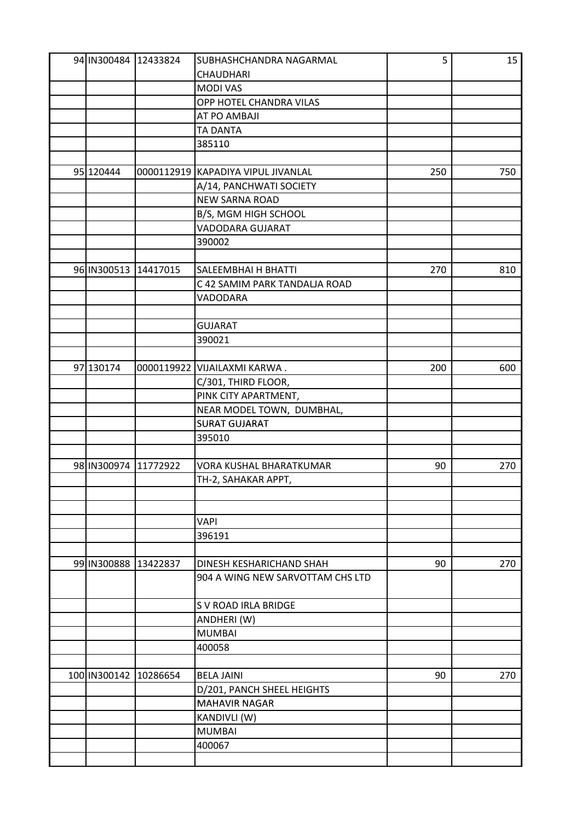| 94 IN300484 12433824 |                       | SUBHASHCHANDRA NAGARMAL            | 5   | 15  |
|----------------------|-----------------------|------------------------------------|-----|-----|
|                      |                       | CHAUDHARI                          |     |     |
|                      |                       | <b>MODI VAS</b>                    |     |     |
|                      |                       | OPP HOTEL CHANDRA VILAS            |     |     |
|                      |                       | AT PO AMBAJI                       |     |     |
|                      |                       | TA DANTA                           |     |     |
|                      |                       | 385110                             |     |     |
|                      |                       |                                    |     |     |
| 95 120444            |                       | 0000112919 KAPADIYA VIPUL JIVANLAL | 250 | 750 |
|                      |                       | A/14, PANCHWATI SOCIETY            |     |     |
|                      |                       | <b>NEW SARNA ROAD</b>              |     |     |
|                      |                       | B/S, MGM HIGH SCHOOL               |     |     |
|                      |                       | VADODARA GUJARAT                   |     |     |
|                      |                       | 390002                             |     |     |
|                      |                       |                                    |     |     |
| 96 IN300513 14417015 |                       | SALEEMBHAI H BHATTI                | 270 | 810 |
|                      |                       | C 42 SAMIM PARK TANDALJA ROAD      |     |     |
|                      |                       | VADODARA                           |     |     |
|                      |                       |                                    |     |     |
|                      |                       | <b>GUJARAT</b>                     |     |     |
|                      |                       | 390021                             |     |     |
|                      |                       |                                    |     |     |
|                      |                       |                                    |     |     |
| 97 130174            | 0000119922            | VIJAILAXMI KARWA.                  | 200 | 600 |
|                      |                       | C/301, THIRD FLOOR,                |     |     |
|                      |                       | PINK CITY APARTMENT,               |     |     |
|                      |                       | NEAR MODEL TOWN, DUMBHAL,          |     |     |
|                      |                       | <b>SURAT GUJARAT</b>               |     |     |
|                      |                       | 395010                             |     |     |
|                      |                       |                                    |     |     |
| 98 IN300974 11772922 |                       | VORA KUSHAL BHARATKUMAR            | 90  | 270 |
|                      |                       | TH-2, SAHAKAR APPT,                |     |     |
|                      |                       |                                    |     |     |
|                      |                       |                                    |     |     |
|                      |                       | VAPI                               |     |     |
|                      |                       | 396191                             |     |     |
|                      |                       |                                    |     |     |
| 99 IN300888 13422837 |                       | DINESH KESHARICHAND SHAH           | 90  | 270 |
|                      |                       | 904 A WING NEW SARVOTTAM CHS LTD   |     |     |
|                      |                       |                                    |     |     |
|                      |                       | S V ROAD IRLA BRIDGE               |     |     |
|                      |                       | ANDHERI (W)                        |     |     |
|                      |                       | <b>MUMBAI</b>                      |     |     |
|                      |                       | 400058                             |     |     |
|                      |                       |                                    |     |     |
|                      | 100 IN300142 10286654 | <b>BELA JAINI</b>                  | 90  | 270 |
|                      |                       | D/201, PANCH SHEEL HEIGHTS         |     |     |
|                      |                       | <b>MAHAVIR NAGAR</b>               |     |     |
|                      |                       | KANDIVLI (W)                       |     |     |
|                      |                       | <b>MUMBAI</b>                      |     |     |
|                      |                       | 400067                             |     |     |
|                      |                       |                                    |     |     |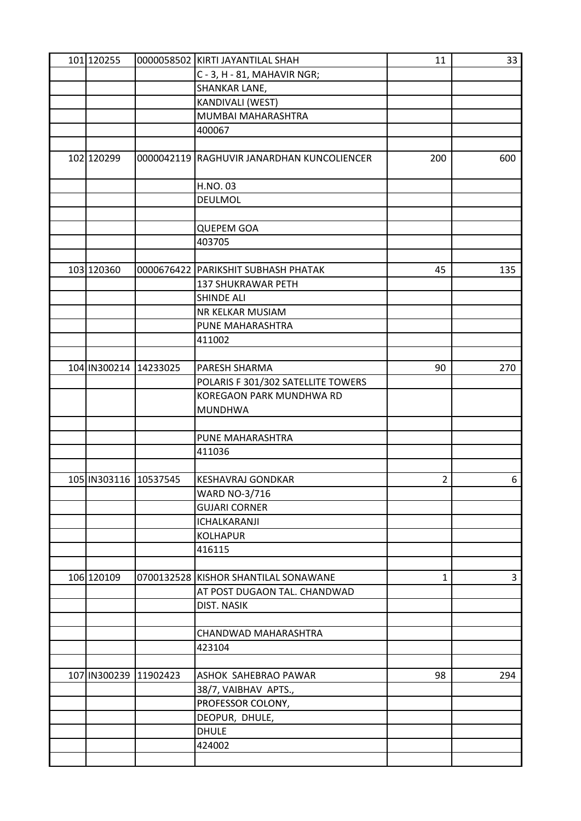| 101 120255            |                       | 0000058502 KIRTI JAYANTILAL SHAH           | 11           | 33  |
|-----------------------|-----------------------|--------------------------------------------|--------------|-----|
|                       |                       | C - 3, H - 81, MAHAVIR NGR;                |              |     |
|                       |                       | SHANKAR LANE,                              |              |     |
|                       |                       | KANDIVALI (WEST)                           |              |     |
|                       |                       | MUMBAI MAHARASHTRA                         |              |     |
|                       |                       | 400067                                     |              |     |
|                       |                       |                                            |              |     |
| 102 120299            |                       | 0000042119 RAGHUVIR JANARDHAN KUNCOLIENCER | 200          | 600 |
|                       |                       | H.NO.03                                    |              |     |
|                       |                       | DEULMOL                                    |              |     |
|                       |                       |                                            |              |     |
|                       |                       | <b>QUEPEM GOA</b>                          |              |     |
|                       |                       | 403705                                     |              |     |
|                       |                       |                                            |              |     |
| 103 120360            |                       | 0000676422 PARIKSHIT SUBHASH PHATAK        | 45           | 135 |
|                       |                       | 137 SHUKRAWAR PETH                         |              |     |
|                       |                       | <b>SHINDE ALI</b>                          |              |     |
|                       |                       | NR KELKAR MUSIAM                           |              |     |
|                       |                       | PUNE MAHARASHTRA                           |              |     |
|                       |                       | 411002                                     |              |     |
|                       |                       |                                            |              |     |
| 104 IN300214          | 14233025              | PARESH SHARMA                              | 90           | 270 |
|                       |                       | POLARIS F 301/302 SATELLITE TOWERS         |              |     |
|                       |                       | KOREGAON PARK MUNDHWA RD                   |              |     |
|                       |                       |                                            |              |     |
|                       |                       | <b>MUNDHWA</b>                             |              |     |
|                       |                       |                                            |              |     |
|                       |                       | PUNE MAHARASHTRA                           |              |     |
|                       |                       | 411036                                     |              |     |
|                       |                       |                                            |              |     |
| 105 IN303116 10537545 |                       | <b>KESHAVRAJ GONDKAR</b>                   | 2            | 6   |
|                       |                       | WARD NO-3/716                              |              |     |
|                       |                       | <b>GUJARI CORNER</b>                       |              |     |
|                       |                       | ICHALKARANJI                               |              |     |
|                       |                       | <b>KOLHAPUR</b>                            |              |     |
|                       |                       | 416115                                     |              |     |
|                       |                       |                                            |              |     |
| 106 120109            |                       | 0700132528 KISHOR SHANTILAL SONAWANE       | $\mathbf{1}$ | 3   |
|                       |                       | AT POST DUGAON TAL. CHANDWAD               |              |     |
|                       |                       | DIST. NASIK                                |              |     |
|                       |                       |                                            |              |     |
|                       |                       | CHANDWAD MAHARASHTRA                       |              |     |
|                       |                       | 423104                                     |              |     |
|                       |                       |                                            |              |     |
|                       | 107 IN300239 11902423 | ASHOK SAHEBRAO PAWAR                       | 98           | 294 |
|                       |                       | 38/7, VAIBHAV APTS.,                       |              |     |
|                       |                       | PROFESSOR COLONY,                          |              |     |
|                       |                       | DEOPUR, DHULE,                             |              |     |
|                       |                       | <b>DHULE</b>                               |              |     |
|                       |                       | 424002                                     |              |     |
|                       |                       |                                            |              |     |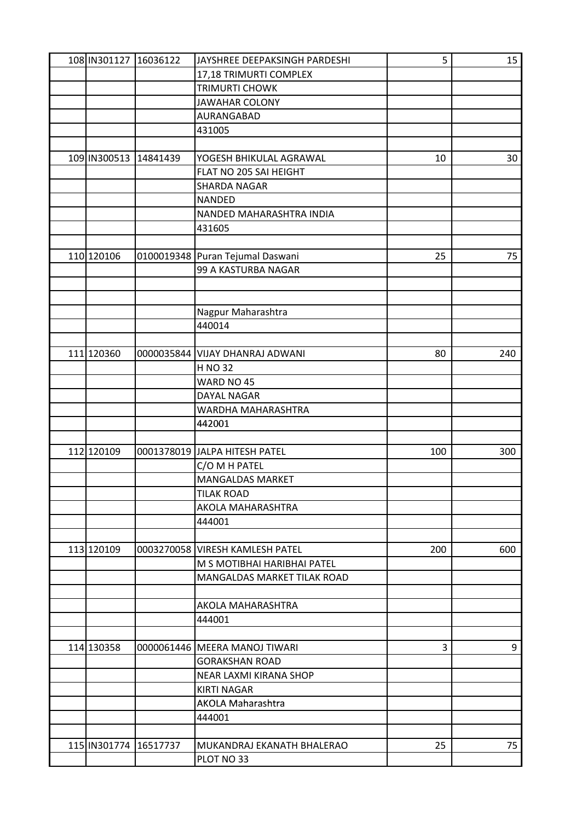| 108 IN301127 16036122     |            | JAYSHREE DEEPAKSINGH PARDESHI    | 5   | 15  |
|---------------------------|------------|----------------------------------|-----|-----|
|                           |            | 17,18 TRIMURTI COMPLEX           |     |     |
|                           |            | TRIMURTI CHOWK                   |     |     |
|                           |            | <b>JAWAHAR COLONY</b>            |     |     |
|                           |            | AURANGABAD                       |     |     |
|                           |            | 431005                           |     |     |
|                           |            |                                  |     |     |
| 109 IN300513 14841439     |            | YOGESH BHIKULAL AGRAWAL          | 10  | 30  |
|                           |            | FLAT NO 205 SAI HEIGHT           |     |     |
|                           |            | <b>SHARDA NAGAR</b>              |     |     |
|                           |            | <b>NANDED</b>                    |     |     |
|                           |            | NANDED MAHARASHTRA INDIA         |     |     |
|                           |            | 431605                           |     |     |
|                           |            |                                  |     |     |
| 110 120106                |            | 0100019348 Puran Tejumal Daswani | 25  | 75  |
|                           |            | 99 A KASTURBA NAGAR              |     |     |
|                           |            |                                  |     |     |
|                           |            |                                  |     |     |
|                           |            | Nagpur Maharashtra               |     |     |
|                           |            | 440014                           |     |     |
|                           |            |                                  |     |     |
| 111 120360                |            | 0000035844 VIJAY DHANRAJ ADWANI  | 80  | 240 |
|                           |            | <b>H NO 32</b>                   |     |     |
|                           |            | WARD NO 45                       |     |     |
|                           |            | DAYAL NAGAR                      |     |     |
|                           |            | WARDHA MAHARASHTRA               |     |     |
|                           |            | 442001                           |     |     |
|                           |            |                                  |     |     |
| 112 120109                |            | 0001378019 JALPA HITESH PATEL    | 100 | 300 |
|                           |            | C/O M H PATEL                    |     |     |
|                           |            | <b>MANGALDAS MARKET</b>          |     |     |
|                           |            | <b>TILAK ROAD</b>                |     |     |
|                           |            | AKOLA MAHARASHTRA                |     |     |
|                           |            | 444001                           |     |     |
|                           |            |                                  |     |     |
| 113 120109                | 0003270058 | <b>VIRESH KAMLESH PATEL</b>      | 200 | 600 |
|                           |            | M S MOTIBHAI HARIBHAI PATEL      |     |     |
|                           |            | MANGALDAS MARKET TILAK ROAD      |     |     |
|                           |            |                                  |     |     |
|                           |            | AKOLA MAHARASHTRA                |     |     |
|                           |            | 444001                           |     |     |
|                           |            |                                  |     |     |
| 114 130358                |            | 0000061446 MEERA MANOJ TIWARI    | 3   | 9   |
|                           |            | <b>GORAKSHAN ROAD</b>            |     |     |
|                           |            | NEAR LAXMI KIRANA SHOP           |     |     |
|                           |            | <b>KIRTI NAGAR</b>               |     |     |
|                           |            | <b>AKOLA Maharashtra</b>         |     |     |
|                           |            | 444001                           |     |     |
|                           |            |                                  |     |     |
| 115   IN301774   16517737 |            | MUKANDRAJ EKANATH BHALERAO       | 25  | 75  |
|                           |            | PLOT NO 33                       |     |     |
|                           |            |                                  |     |     |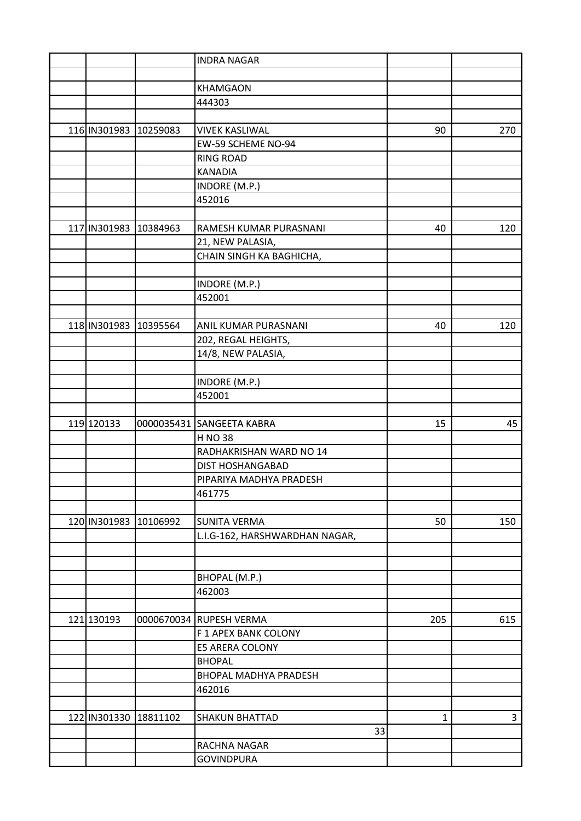|                       |          | <b>INDRA NAGAR</b>             |     |     |
|-----------------------|----------|--------------------------------|-----|-----|
|                       |          |                                |     |     |
|                       |          | <b>KHAMGAON</b>                |     |     |
|                       |          | 444303                         |     |     |
|                       |          |                                |     |     |
| 116 IN301983 10259083 |          | <b>VIVEK KASLIWAL</b>          | 90  | 270 |
|                       |          | EW-59 SCHEME NO-94             |     |     |
|                       |          | <b>RING ROAD</b>               |     |     |
|                       |          | <b>KANADIA</b>                 |     |     |
|                       |          | INDORE (M.P.)                  |     |     |
|                       |          | 452016                         |     |     |
|                       |          |                                |     |     |
| 117 IN301983          | 10384963 | RAMESH KUMAR PURASNANI         | 40  | 120 |
|                       |          | 21, NEW PALASIA,               |     |     |
|                       |          | CHAIN SINGH KA BAGHICHA,       |     |     |
|                       |          |                                |     |     |
|                       |          | INDORE (M.P.)                  |     |     |
|                       |          | 452001                         |     |     |
|                       |          |                                |     |     |
| 118 IN301983          | 10395564 | ANIL KUMAR PURASNANI           | 40  | 120 |
|                       |          | 202, REGAL HEIGHTS,            |     |     |
|                       |          | 14/8, NEW PALASIA,             |     |     |
|                       |          |                                |     |     |
|                       |          | INDORE (M.P.)<br>452001        |     |     |
|                       |          |                                |     |     |
| 119 120133            |          | 0000035431 SANGEETA KABRA      | 15  | 45  |
|                       |          | H NO 38                        |     |     |
|                       |          | RADHAKRISHAN WARD NO 14        |     |     |
|                       |          | <b>DIST HOSHANGABAD</b>        |     |     |
|                       |          | PIPARIYA MADHYA PRADESH        |     |     |
|                       |          | 461775                         |     |     |
|                       |          |                                |     |     |
| 120 IN301983 10106992 |          | <b>SUNITA VERMA</b>            | 50  | 150 |
|                       |          | L.I.G-162, HARSHWARDHAN NAGAR, |     |     |
|                       |          |                                |     |     |
|                       |          |                                |     |     |
|                       |          | BHOPAL (M.P.)                  |     |     |
|                       |          | 462003                         |     |     |
|                       |          |                                |     |     |
| 121 130193            |          | 0000670034 RUPESH VERMA        | 205 | 615 |
|                       |          | F 1 APEX BANK COLONY           |     |     |
|                       |          | E5 ARERA COLONY                |     |     |
|                       |          | <b>BHOPAL</b>                  |     |     |
|                       |          | <b>BHOPAL MADHYA PRADESH</b>   |     |     |
|                       |          | 462016                         |     |     |
|                       |          |                                |     |     |
| 122 IN301330 18811102 |          | <b>SHAKUN BHATTAD</b>          | 1   | 3   |
|                       |          | 33                             |     |     |
|                       |          | RACHNA NAGAR                   |     |     |
|                       |          | <b>GOVINDPURA</b>              |     |     |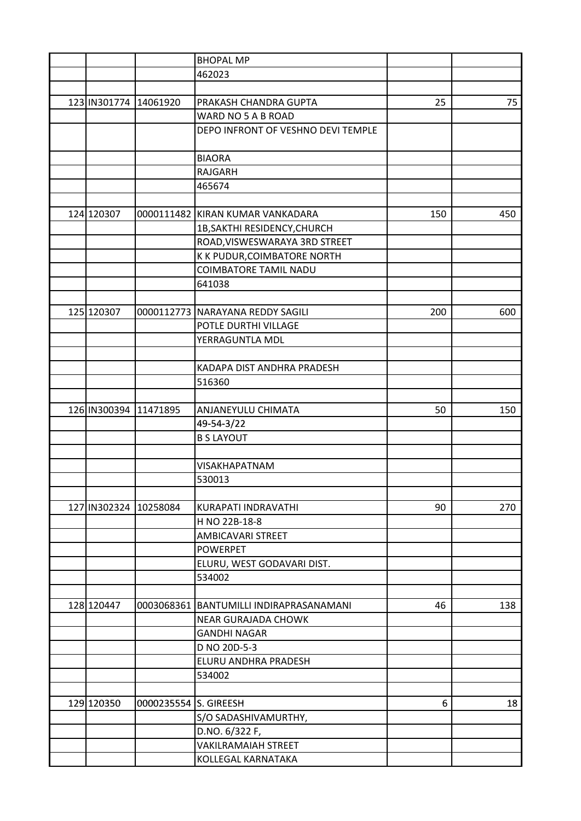|                       |                       | <b>BHOPAL MP</b>                        |     |     |
|-----------------------|-----------------------|-----------------------------------------|-----|-----|
|                       |                       | 462023                                  |     |     |
|                       |                       |                                         |     |     |
| 123 IN301774 14061920 |                       | PRAKASH CHANDRA GUPTA                   | 25  | 75  |
|                       |                       | WARD NO 5 A B ROAD                      |     |     |
|                       |                       | DEPO INFRONT OF VESHNO DEVI TEMPLE      |     |     |
|                       |                       |                                         |     |     |
|                       |                       | <b>BIAORA</b>                           |     |     |
|                       |                       | RAJGARH                                 |     |     |
|                       |                       | 465674                                  |     |     |
|                       |                       |                                         |     |     |
| 124 120307            |                       | 0000111482 KIRAN KUMAR VANKADARA        | 150 | 450 |
|                       |                       | 1B, SAKTHI RESIDENCY, CHURCH            |     |     |
|                       |                       | ROAD, VISWESWARAYA 3RD STREET           |     |     |
|                       |                       | K K PUDUR, COIMBATORE NORTH             |     |     |
|                       |                       | <b>COIMBATORE TAMIL NADU</b>            |     |     |
|                       |                       | 641038                                  |     |     |
|                       |                       |                                         |     |     |
| 125 120307            |                       | 0000112773 NARAYANA REDDY SAGILI        | 200 | 600 |
|                       |                       | POTLE DURTHI VILLAGE                    |     |     |
|                       |                       | YERRAGUNTLA MDL                         |     |     |
|                       |                       |                                         |     |     |
|                       |                       | KADAPA DIST ANDHRA PRADESH              |     |     |
|                       |                       | 516360                                  |     |     |
|                       |                       |                                         |     |     |
| 126 IN300394          | 11471895              | ANJANEYULU CHIMATA                      | 50  | 150 |
|                       |                       | 49-54-3/22                              |     |     |
|                       |                       | <b>B S LAYOUT</b>                       |     |     |
|                       |                       |                                         |     |     |
|                       |                       | VISAKHAPATNAM                           |     |     |
|                       |                       | 530013                                  |     |     |
|                       |                       |                                         |     |     |
| 127 IN302324 10258084 |                       | KURAPATI INDRAVATHI                     | 90  | 270 |
|                       |                       | H NO 22B-18-8                           |     |     |
|                       |                       | AMBICAVARI STREET                       |     |     |
|                       |                       | <b>POWERPET</b>                         |     |     |
|                       |                       | ELURU, WEST GODAVARI DIST.              |     |     |
|                       |                       | 534002                                  |     |     |
|                       |                       |                                         |     |     |
| 128 120447            |                       | 0003068361 BANTUMILLI INDIRAPRASANAMANI | 46  | 138 |
|                       |                       | <b>NEAR GURAJADA CHOWK</b>              |     |     |
|                       |                       | <b>GANDHI NAGAR</b>                     |     |     |
|                       |                       | D NO 20D-5-3                            |     |     |
|                       |                       | ELURU ANDHRA PRADESH                    |     |     |
|                       |                       | 534002                                  |     |     |
|                       |                       |                                         |     |     |
| 129 120350            | 0000235554 S. GIREESH |                                         | 6   | 18  |
|                       |                       | S/O SADASHIVAMURTHY,                    |     |     |
|                       |                       | D.NO. 6/322 F,                          |     |     |
|                       |                       | <b>VAKILRAMAIAH STREET</b>              |     |     |
|                       |                       | KOLLEGAL KARNATAKA                      |     |     |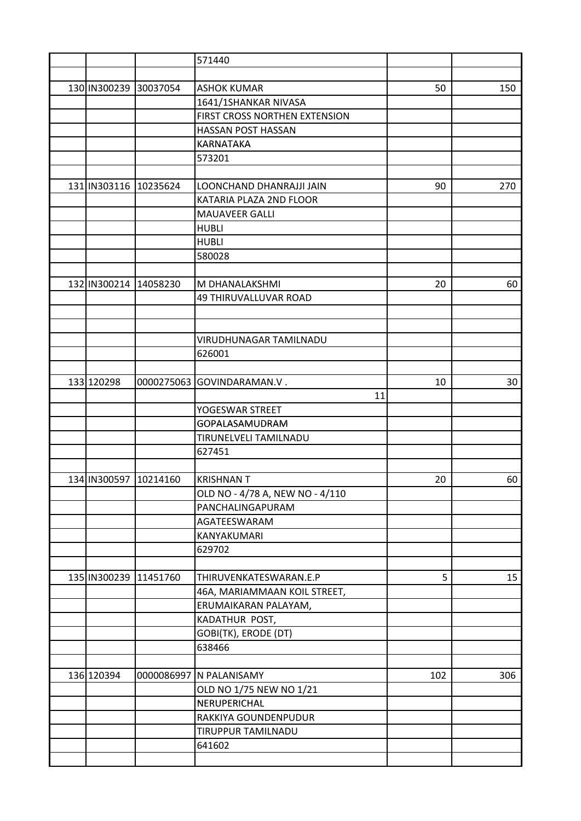|            |                       | 571440                          |     |     |
|------------|-----------------------|---------------------------------|-----|-----|
|            |                       |                                 |     |     |
|            | 130 IN300239 30037054 | <b>ASHOK KUMAR</b>              | 50  | 150 |
|            |                       | 1641/1SHANKAR NIVASA            |     |     |
|            |                       | FIRST CROSS NORTHEN EXTENSION   |     |     |
|            |                       | HASSAN POST HASSAN              |     |     |
|            |                       | KARNATAKA                       |     |     |
|            |                       | 573201                          |     |     |
|            |                       |                                 |     |     |
|            | 131 IN303116 10235624 | LOONCHAND DHANRAJJI JAIN        | 90  | 270 |
|            |                       | KATARIA PLAZA 2ND FLOOR         |     |     |
|            |                       | <b>MAUAVEER GALLI</b>           |     |     |
|            |                       | <b>HUBLI</b>                    |     |     |
|            |                       | <b>HUBLI</b>                    |     |     |
|            |                       | 580028                          |     |     |
|            |                       |                                 |     |     |
|            | 132 IN300214 14058230 | M DHANALAKSHMI                  | 20  | 60  |
|            |                       | <b>49 THIRUVALLUVAR ROAD</b>    |     |     |
|            |                       |                                 |     |     |
|            |                       |                                 |     |     |
|            |                       | VIRUDHUNAGAR TAMILNADU          |     |     |
|            |                       | 626001                          |     |     |
|            |                       |                                 |     |     |
| 133 120298 |                       | GOVINDARAMAN.V.                 |     |     |
|            | 0000275063            |                                 | 10  | 30  |
|            |                       | 11                              |     |     |
|            |                       | YOGESWAR STREET                 |     |     |
|            |                       | GOPALASAMUDRAM                  |     |     |
|            |                       | TIRUNELVELI TAMILNADU           |     |     |
|            |                       | 627451                          |     |     |
|            |                       |                                 |     |     |
|            | 134 IN300597 10214160 | <b>KRISHNANT</b>                | 20  | 60  |
|            |                       | OLD NO - 4/78 A, NEW NO - 4/110 |     |     |
|            |                       | PANCHALINGAPURAM                |     |     |
|            |                       | AGATEESWARAM                    |     |     |
|            |                       | KANYAKUMARI                     |     |     |
|            |                       | 629702                          |     |     |
|            |                       |                                 |     |     |
|            | 135 IN300239 11451760 | THIRUVENKATESWARAN.E.P          | 5   | 15  |
|            |                       | 46A, MARIAMMAAN KOIL STREET,    |     |     |
|            |                       | ERUMAIKARAN PALAYAM,            |     |     |
|            |                       | KADATHUR POST,                  |     |     |
|            |                       | GOBI(TK), ERODE (DT)            |     |     |
|            |                       | 638466                          |     |     |
|            |                       |                                 |     |     |
| 136 120394 |                       | 0000086997 N PALANISAMY         | 102 | 306 |
|            |                       | OLD NO 1/75 NEW NO 1/21         |     |     |
|            |                       | NERUPERICHAL                    |     |     |
|            |                       | RAKKIYA GOUNDENPUDUR            |     |     |
|            |                       | TIRUPPUR TAMILNADU              |     |     |
|            |                       | 641602                          |     |     |
|            |                       |                                 |     |     |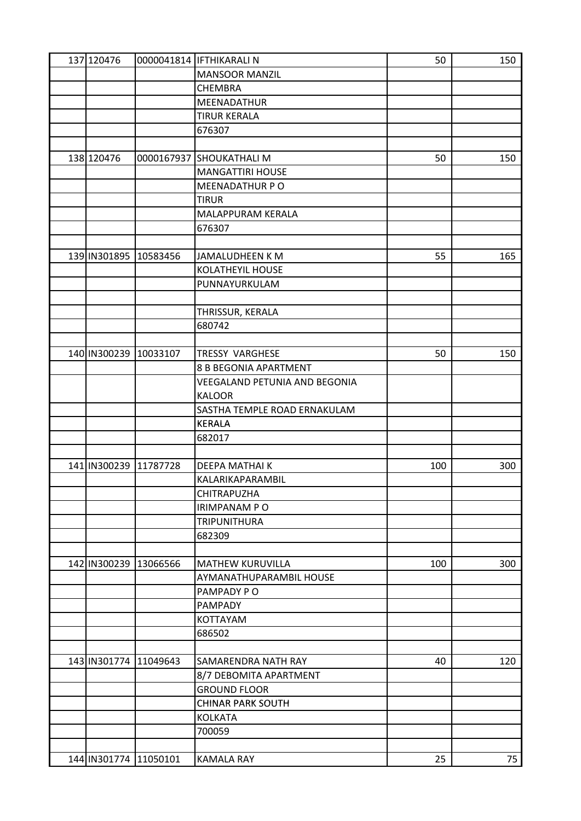| 137 120476                |          | 0000041814 IFTHIKARALI N      | 50  | 150 |
|---------------------------|----------|-------------------------------|-----|-----|
|                           |          | <b>MANSOOR MANZIL</b>         |     |     |
|                           |          | <b>CHEMBRA</b>                |     |     |
|                           |          | MEENADATHUR                   |     |     |
|                           |          | <b>TIRUR KERALA</b>           |     |     |
|                           |          | 676307                        |     |     |
|                           |          |                               |     |     |
| 138 120476                |          | 0000167937 SHOUKATHALI M      | 50  | 150 |
|                           |          | <b>MANGATTIRI HOUSE</b>       |     |     |
|                           |          | MEENADATHUR PO                |     |     |
|                           |          | <b>TIRUR</b>                  |     |     |
|                           |          | MALAPPURAM KERALA             |     |     |
|                           |          | 676307                        |     |     |
|                           |          |                               |     |     |
| 139 IN301895 10583456     |          | JAMALUDHEEN K M               | 55  | 165 |
|                           |          | KOLATHEYIL HOUSE              |     |     |
|                           |          | PUNNAYURKULAM                 |     |     |
|                           |          |                               |     |     |
|                           |          | THRISSUR, KERALA              |     |     |
|                           |          | 680742                        |     |     |
|                           |          |                               |     |     |
| 140   IN300239   10033107 |          | <b>TRESSY VARGHESE</b>        | 50  | 150 |
|                           |          | 8 B BEGONIA APARTMENT         |     |     |
|                           |          | VEEGALAND PETUNIA AND BEGONIA |     |     |
|                           |          | <b>KALOOR</b>                 |     |     |
|                           |          | SASTHA TEMPLE ROAD ERNAKULAM  |     |     |
|                           |          | <b>KERALA</b>                 |     |     |
|                           |          | 682017                        |     |     |
|                           |          |                               |     |     |
| 141 IN300239              | 11787728 | DEEPA MATHAIK                 | 100 | 300 |
|                           |          | KALARIKAPARAMBIL              |     |     |
|                           |          | CHITRAPUZHA                   |     |     |
|                           |          | <b>IRIMPANAM PO</b>           |     |     |
|                           |          | <b>TRIPUNITHURA</b>           |     |     |
|                           |          | 682309                        |     |     |
|                           |          |                               |     |     |
| 142 IN300239 13066566     |          | <b>MATHEW KURUVILLA</b>       | 100 | 300 |
|                           |          | AYMANATHUPARAMBIL HOUSE       |     |     |
|                           |          | PAMPADY PO                    |     |     |
|                           |          | PAMPADY                       |     |     |
|                           |          | KOTTAYAM                      |     |     |
|                           |          | 686502                        |     |     |
|                           |          |                               |     |     |
| 143 IN301774 11049643     |          | SAMARENDRA NATH RAY           | 40  | 120 |
|                           |          | 8/7 DEBOMITA APARTMENT        |     |     |
|                           |          | <b>GROUND FLOOR</b>           |     |     |
|                           |          | <b>CHINAR PARK SOUTH</b>      |     |     |
|                           |          | <b>KOLKATA</b>                |     |     |
|                           |          | 700059                        |     |     |
|                           |          |                               |     |     |
| 144 IN301774 11050101     |          | KAMALA RAY                    | 25  | 75  |
|                           |          |                               |     |     |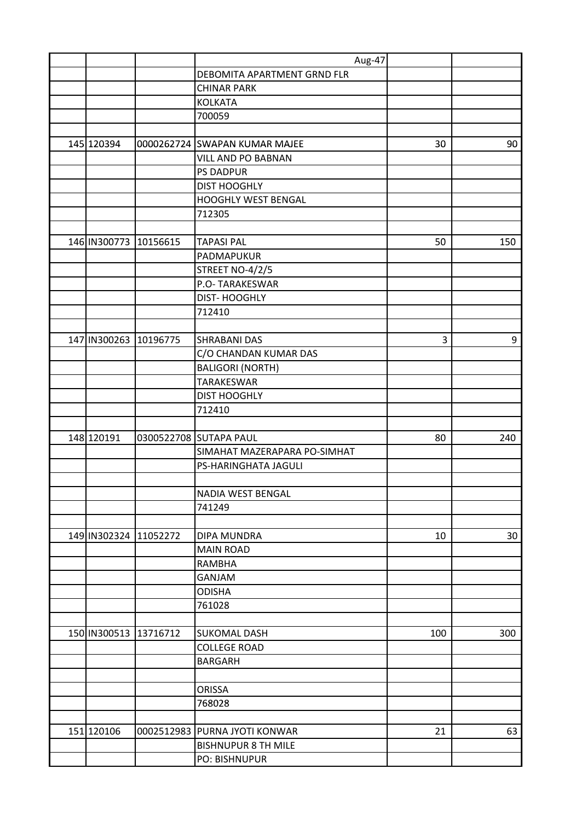|                       | Aug-47                        |     |     |
|-----------------------|-------------------------------|-----|-----|
|                       | DEBOMITA APARTMENT GRND FLR   |     |     |
|                       | <b>CHINAR PARK</b>            |     |     |
|                       | <b>KOLKATA</b>                |     |     |
|                       | 700059                        |     |     |
|                       |                               |     |     |
| 145 120394            | 0000262724 SWAPAN KUMAR MAJEE | 30  | 90  |
|                       | <b>VILL AND PO BABNAN</b>     |     |     |
|                       | <b>PS DADPUR</b>              |     |     |
|                       | <b>DIST HOOGHLY</b>           |     |     |
|                       | HOOGHLY WEST BENGAL           |     |     |
|                       | 712305                        |     |     |
|                       |                               |     |     |
| 146 IN300773 10156615 | <b>TAPASI PAL</b>             | 50  | 150 |
|                       | PADMAPUKUR                    |     |     |
|                       | STREET NO-4/2/5               |     |     |
|                       | P.O-TARAKESWAR                |     |     |
|                       | <b>DIST-HOOGHLY</b>           |     |     |
|                       | 712410                        |     |     |
|                       |                               |     |     |
| 147 IN300263 10196775 | <b>SHRABANI DAS</b>           | 3   | 9   |
|                       |                               |     |     |
|                       | C/O CHANDAN KUMAR DAS         |     |     |
|                       | <b>BALIGORI (NORTH)</b>       |     |     |
|                       | TARAKESWAR                    |     |     |
|                       | <b>DIST HOOGHLY</b>           |     |     |
|                       | 712410                        |     |     |
|                       |                               |     |     |
| 148 120191            | 0300522708 SUTAPA PAUL        | 80  | 240 |
|                       | SIMAHAT MAZERAPARA PO-SIMHAT  |     |     |
|                       | PS-HARINGHATA JAGULI          |     |     |
|                       |                               |     |     |
|                       | NADIA WEST BENGAL             |     |     |
|                       | 741249                        |     |     |
|                       |                               |     |     |
| 149 IN302324 11052272 | <b>DIPA MUNDRA</b>            | 10  | 30  |
|                       | <b>MAIN ROAD</b>              |     |     |
|                       | <b>RAMBHA</b>                 |     |     |
|                       | GANJAM                        |     |     |
|                       | <b>ODISHA</b>                 |     |     |
|                       | 761028                        |     |     |
|                       |                               |     |     |
| 150 IN300513 13716712 | SUKOMAL DASH                  | 100 | 300 |
|                       | <b>COLLEGE ROAD</b>           |     |     |
|                       | <b>BARGARH</b>                |     |     |
|                       |                               |     |     |
|                       | <b>ORISSA</b>                 |     |     |
|                       | 768028                        |     |     |
|                       |                               |     |     |
| 151 120106            | 0002512983 PURNA JYOTI KONWAR | 21  | 63  |
|                       | <b>BISHNUPUR 8 TH MILE</b>    |     |     |
|                       | PO: BISHNUPUR                 |     |     |
|                       |                               |     |     |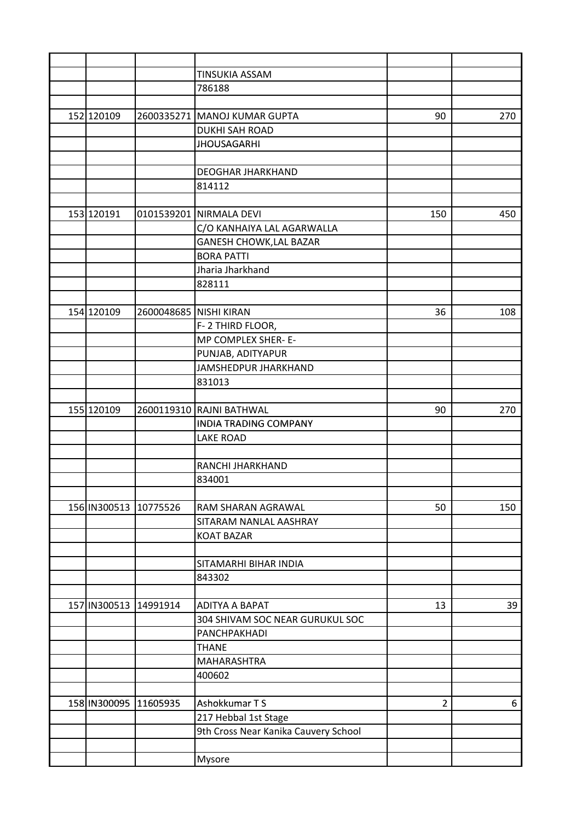|                       |                        | <b>TINSUKIA ASSAM</b>                |                |     |
|-----------------------|------------------------|--------------------------------------|----------------|-----|
|                       |                        | 786188                               |                |     |
|                       |                        |                                      |                |     |
| 152 120109            |                        | 2600335271 MANOJ KUMAR GUPTA         | 90             | 270 |
|                       |                        | <b>DUKHI SAH ROAD</b>                |                |     |
|                       |                        | <b>JHOUSAGARHI</b>                   |                |     |
|                       |                        |                                      |                |     |
|                       |                        | <b>DEOGHAR JHARKHAND</b>             |                |     |
|                       |                        | 814112                               |                |     |
|                       |                        |                                      |                |     |
| 153 120191            |                        | 0101539201 NIRMALA DEVI              | 150            | 450 |
|                       |                        | C/O KANHAIYA LAL AGARWALLA           |                |     |
|                       |                        | GANESH CHOWK, LAL BAZAR              |                |     |
|                       |                        | <b>BORA PATTI</b>                    |                |     |
|                       |                        | Jharia Jharkhand                     |                |     |
|                       |                        | 828111                               |                |     |
|                       |                        |                                      |                |     |
| 154 120109            | 2600048685 NISHI KIRAN |                                      | 36             | 108 |
|                       |                        | F-2 THIRD FLOOR,                     |                |     |
|                       |                        | MP COMPLEX SHER-E-                   |                |     |
|                       |                        | PUNJAB, ADITYAPUR                    |                |     |
|                       |                        | JAMSHEDPUR JHARKHAND                 |                |     |
|                       |                        | 831013                               |                |     |
|                       |                        |                                      |                |     |
| 155 120109            |                        | 2600119310 RAJNI BATHWAL             | 90             | 270 |
|                       |                        | <b>INDIA TRADING COMPANY</b>         |                |     |
|                       |                        | <b>LAKE ROAD</b>                     |                |     |
|                       |                        |                                      |                |     |
|                       |                        | RANCHI JHARKHAND                     |                |     |
|                       |                        | 834001                               |                |     |
|                       |                        |                                      |                |     |
| 156 IN300513 10775526 |                        | RAM SHARAN AGRAWAL                   | 50             | 150 |
|                       |                        | SITARAM NANLAL AASHRAY               |                |     |
|                       |                        | <b>KOAT BAZAR</b>                    |                |     |
|                       |                        |                                      |                |     |
|                       |                        | SITAMARHI BIHAR INDIA                |                |     |
|                       |                        | 843302                               |                |     |
|                       |                        |                                      |                |     |
| 157 IN300513 14991914 |                        | ADITYA A BAPAT                       | 13             | 39  |
|                       |                        | 304 SHIVAM SOC NEAR GURUKUL SOC      |                |     |
|                       |                        | PANCHPAKHADI                         |                |     |
|                       |                        | <b>THANE</b>                         |                |     |
|                       |                        | MAHARASHTRA                          |                |     |
|                       |                        | 400602                               |                |     |
|                       |                        |                                      |                |     |
| 158 IN300095 11605935 |                        | Ashokkumar T S                       | $\overline{c}$ | 6   |
|                       |                        | 217 Hebbal 1st Stage                 |                |     |
|                       |                        | 9th Cross Near Kanika Cauvery School |                |     |
|                       |                        |                                      |                |     |
|                       |                        | Mysore                               |                |     |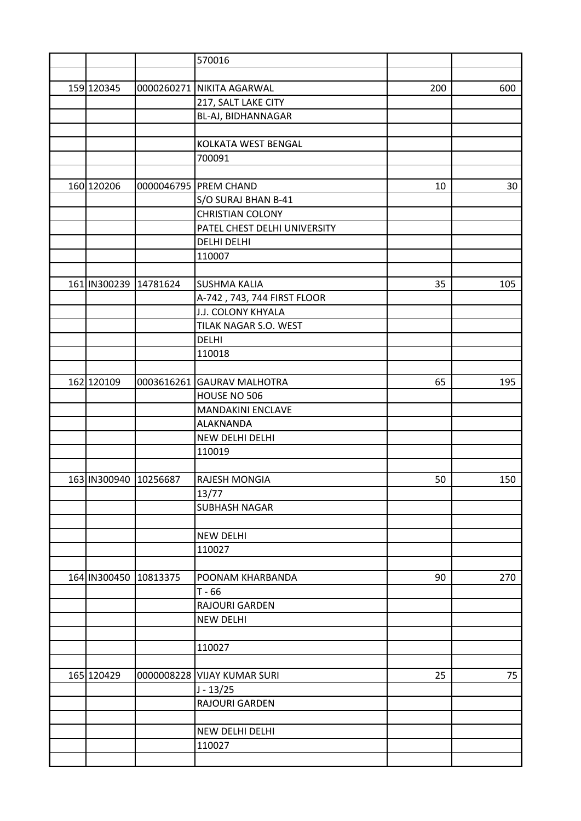|                       | 570016                       |     |     |
|-----------------------|------------------------------|-----|-----|
|                       |                              |     |     |
| 159 120345            | 0000260271 NIKITA AGARWAL    | 200 | 600 |
|                       | 217, SALT LAKE CITY          |     |     |
|                       | BL-AJ, BIDHANNAGAR           |     |     |
|                       |                              |     |     |
|                       | KOLKATA WEST BENGAL          |     |     |
|                       | 700091                       |     |     |
|                       |                              |     |     |
| 160 120206            | 0000046795 PREM CHAND        | 10  | 30  |
|                       | S/O SURAJ BHAN B-41          |     |     |
|                       | <b>CHRISTIAN COLONY</b>      |     |     |
|                       | PATEL CHEST DELHI UNIVERSITY |     |     |
|                       | <b>DELHI DELHI</b>           |     |     |
|                       | 110007                       |     |     |
|                       |                              |     |     |
| 161 IN300239 14781624 | <b>SUSHMA KALIA</b>          | 35  | 105 |
|                       | A-742, 743, 744 FIRST FLOOR  |     |     |
|                       | J.J. COLONY KHYALA           |     |     |
|                       | TILAK NAGAR S.O. WEST        |     |     |
|                       | <b>DELHI</b>                 |     |     |
|                       | 110018                       |     |     |
|                       |                              |     |     |
| 162 120109            | 0003616261 GAURAV MALHOTRA   | 65  | 195 |
|                       | HOUSE NO 506                 |     |     |
|                       |                              |     |     |
|                       | <b>MANDAKINI ENCLAVE</b>     |     |     |
|                       | <b>ALAKNANDA</b>             |     |     |
|                       | NEW DELHI DELHI              |     |     |
|                       | 110019                       |     |     |
|                       |                              |     |     |
| 163 IN300940 10256687 | RAJESH MONGIA                | 50  | 150 |
|                       | 13/77                        |     |     |
|                       | <b>SUBHASH NAGAR</b>         |     |     |
|                       |                              |     |     |
|                       | <b>NEW DELHI</b>             |     |     |
|                       | 110027                       |     |     |
|                       |                              |     |     |
| 164 IN300450 10813375 | POONAM KHARBANDA             | 90  | 270 |
|                       | $T - 66$                     |     |     |
|                       | RAJOURI GARDEN               |     |     |
|                       | <b>NEW DELHI</b>             |     |     |
|                       |                              |     |     |
|                       | 110027                       |     |     |
|                       |                              |     |     |
| 165 120429            | 0000008228 VIJAY KUMAR SURI  | 25  | 75  |
|                       | $J - 13/25$                  |     |     |
|                       | <b>RAJOURI GARDEN</b>        |     |     |
|                       |                              |     |     |
|                       | NEW DELHI DELHI              |     |     |
|                       | 110027                       |     |     |
|                       |                              |     |     |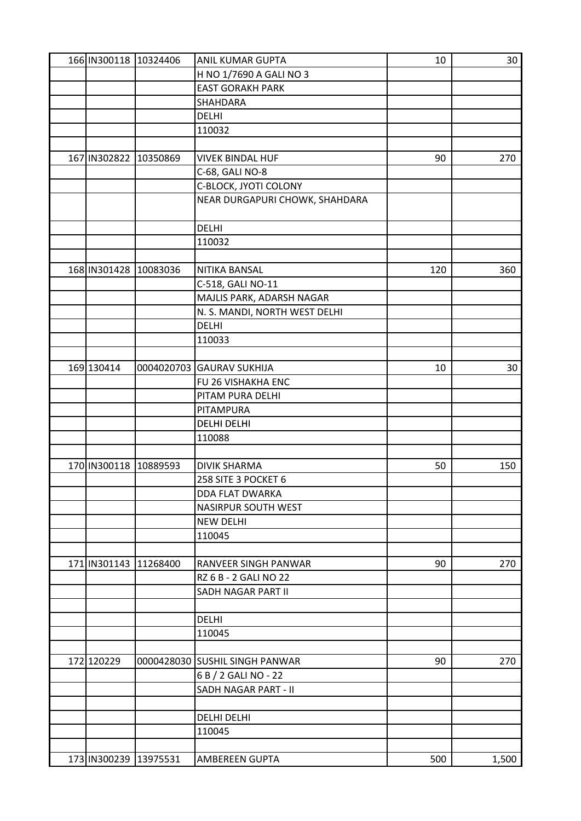|              | 166 IN300118 10324406 | ANIL KUMAR GUPTA               | 10  | 30    |
|--------------|-----------------------|--------------------------------|-----|-------|
|              |                       | H NO 1/7690 A GALI NO 3        |     |       |
|              |                       | <b>EAST GORAKH PARK</b>        |     |       |
|              |                       | SHAHDARA                       |     |       |
|              |                       | <b>DELHI</b>                   |     |       |
|              |                       | 110032                         |     |       |
|              |                       |                                |     |       |
| 167 IN302822 | 10350869              | <b>VIVEK BINDAL HUF</b>        | 90  | 270   |
|              |                       | C-68, GALI NO-8                |     |       |
|              |                       | C-BLOCK, JYOTI COLONY          |     |       |
|              |                       | NEAR DURGAPURI CHOWK, SHAHDARA |     |       |
|              |                       |                                |     |       |
|              |                       | <b>DELHI</b>                   |     |       |
|              |                       | 110032                         |     |       |
|              |                       |                                |     |       |
|              | 168 IN301428 10083036 | NITIKA BANSAL                  | 120 | 360   |
|              |                       | C-518, GALI NO-11              |     |       |
|              |                       |                                |     |       |
|              |                       | MAJLIS PARK, ADARSH NAGAR      |     |       |
|              |                       | N. S. MANDI, NORTH WEST DELHI  |     |       |
|              |                       | <b>DELHI</b>                   |     |       |
|              |                       | 110033                         |     |       |
|              |                       |                                |     |       |
| 169 130414   |                       | 0004020703 GAURAV SUKHIJA      | 10  | 30    |
|              |                       | FU 26 VISHAKHA ENC             |     |       |
|              |                       | PITAM PURA DELHI               |     |       |
|              |                       | PITAMPURA                      |     |       |
|              |                       | <b>DELHI DELHI</b>             |     |       |
|              |                       | 110088                         |     |       |
|              |                       |                                |     |       |
| 170 IN300118 | 10889593              | <b>DIVIK SHARMA</b>            | 50  | 150   |
|              |                       | 258 SITE 3 POCKET 6            |     |       |
|              |                       | DDA FLAT DWARKA                |     |       |
|              |                       | NASIRPUR SOUTH WEST            |     |       |
|              |                       | <b>NEW DELHI</b>               |     |       |
|              |                       | 110045                         |     |       |
|              |                       |                                |     |       |
| 171 IN301143 | 11268400              | RANVEER SINGH PANWAR           | 90  | 270   |
|              |                       | RZ 6 B - 2 GALI NO 22          |     |       |
|              |                       | SADH NAGAR PART II             |     |       |
|              |                       |                                |     |       |
|              |                       | <b>DELHI</b>                   |     |       |
|              |                       | 110045                         |     |       |
|              |                       |                                |     |       |
| 172 120229   |                       | 0000428030 SUSHIL SINGH PANWAR | 90  | 270   |
|              |                       | 6 B / 2 GALI NO - 22           |     |       |
|              |                       | SADH NAGAR PART - II           |     |       |
|              |                       |                                |     |       |
|              |                       | <b>DELHI DELHI</b>             |     |       |
|              |                       | 110045                         |     |       |
|              |                       |                                |     |       |
|              | 173 IN300239 13975531 | AMBEREEN GUPTA                 | 500 | 1,500 |
|              |                       |                                |     |       |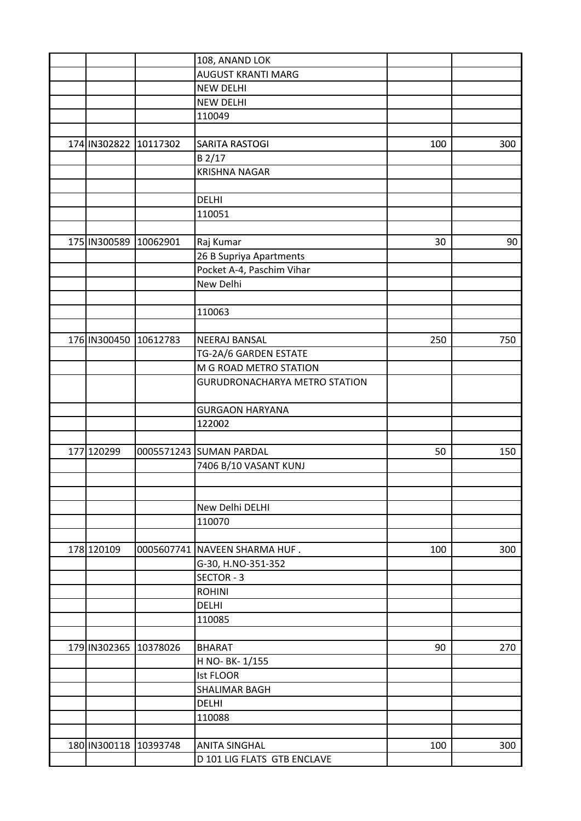|                       |          | 108, ANAND LOK                       |     |     |
|-----------------------|----------|--------------------------------------|-----|-----|
|                       |          | <b>AUGUST KRANTI MARG</b>            |     |     |
|                       |          | <b>NEW DELHI</b>                     |     |     |
|                       |          | <b>NEW DELHI</b>                     |     |     |
|                       |          | 110049                               |     |     |
|                       |          |                                      |     |     |
| 174 IN302822 10117302 |          | SARITA RASTOGI                       | 100 | 300 |
|                       |          | $B$ 2/17                             |     |     |
|                       |          | <b>KRISHNA NAGAR</b>                 |     |     |
|                       |          |                                      |     |     |
|                       |          | DELHI                                |     |     |
|                       |          | 110051                               |     |     |
|                       |          |                                      |     |     |
| 175 IN300589          | 10062901 | Raj Kumar                            | 30  | 90  |
|                       |          | 26 B Supriya Apartments              |     |     |
|                       |          | Pocket A-4, Paschim Vihar            |     |     |
|                       |          | New Delhi                            |     |     |
|                       |          |                                      |     |     |
|                       |          | 110063                               |     |     |
|                       |          |                                      |     |     |
| 176 IN300450 10612783 |          | <b>NEERAJ BANSAL</b>                 | 250 | 750 |
|                       |          | TG-2A/6 GARDEN ESTATE                |     |     |
|                       |          | M G ROAD METRO STATION               |     |     |
|                       |          | <b>GURUDRONACHARYA METRO STATION</b> |     |     |
|                       |          |                                      |     |     |
|                       |          | <b>GURGAON HARYANA</b>               |     |     |
|                       |          | 122002                               |     |     |
|                       |          |                                      |     |     |
| 177 120299            |          | 0005571243 SUMAN PARDAL              | 50  | 150 |
|                       |          | 7406 B/10 VASANT KUNJ                |     |     |
|                       |          |                                      |     |     |
|                       |          |                                      |     |     |
|                       |          | New Delhi DELHI                      |     |     |
|                       |          | 110070                               |     |     |
|                       |          |                                      |     |     |
| 178 120109            |          | 0005607741 NAVEEN SHARMA HUF.        | 100 | 300 |
|                       |          | G-30, H.NO-351-352                   |     |     |
|                       |          | SECTOR - 3                           |     |     |
|                       |          | <b>ROHINI</b>                        |     |     |
|                       |          | <b>DELHI</b>                         |     |     |
|                       |          | 110085                               |     |     |
|                       |          |                                      |     |     |
| 179 IN302365 10378026 |          | <b>BHARAT</b>                        | 90  | 270 |
|                       |          | H NO- BK-1/155                       |     |     |
|                       |          | <b>Ist FLOOR</b>                     |     |     |
|                       |          |                                      |     |     |
|                       |          | SHALIMAR BAGH                        |     |     |
|                       |          | <b>DELHI</b>                         |     |     |
|                       |          | 110088                               |     |     |
|                       |          |                                      |     |     |
| 180 IN300118 10393748 |          | <b>ANITA SINGHAL</b>                 | 100 | 300 |
|                       |          | D 101 LIG FLATS GTB ENCLAVE          |     |     |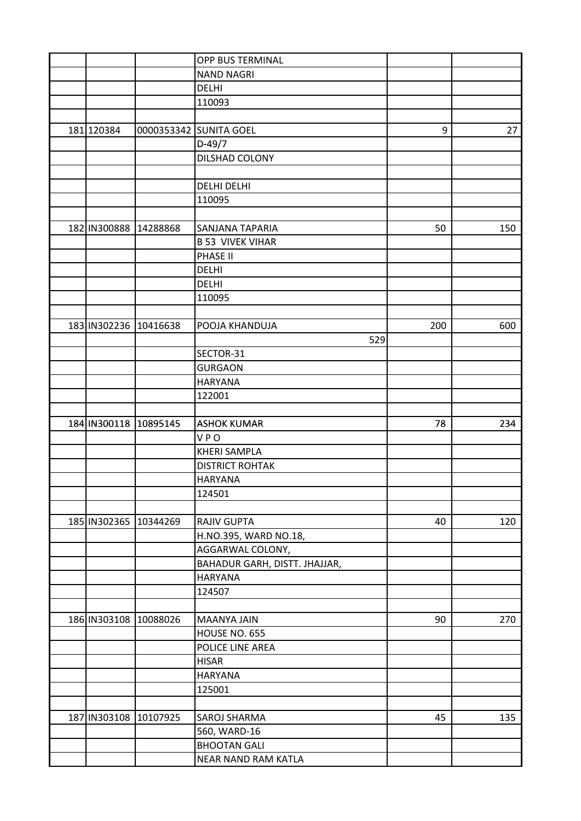|                       |                       | OPP BUS TERMINAL              |     |     |
|-----------------------|-----------------------|-------------------------------|-----|-----|
|                       |                       | <b>NAND NAGRI</b>             |     |     |
|                       |                       | <b>DELHI</b>                  |     |     |
|                       |                       | 110093                        |     |     |
|                       |                       |                               |     |     |
| 181 120384            |                       | 0000353342 SUNITA GOEL        | 9   | 27  |
|                       |                       | $D-49/7$                      |     |     |
|                       |                       | DILSHAD COLONY                |     |     |
|                       |                       |                               |     |     |
|                       |                       | <b>DELHI DELHI</b>            |     |     |
|                       |                       | 110095                        |     |     |
|                       |                       |                               |     |     |
| 182 IN300888          | 14288868              | SANJANA TAPARIA               | 50  | 150 |
|                       |                       | <b>B 53 VIVEK VIHAR</b>       |     |     |
|                       |                       | PHASE II                      |     |     |
|                       |                       | <b>DELHI</b>                  |     |     |
|                       |                       | DELHI                         |     |     |
|                       |                       | 110095                        |     |     |
|                       |                       |                               |     |     |
|                       | 183 IN302236 10416638 | POOJA KHANDUJA                | 200 | 600 |
|                       |                       | 529                           |     |     |
|                       |                       | SECTOR-31                     |     |     |
|                       |                       | <b>GURGAON</b>                |     |     |
|                       |                       | <b>HARYANA</b>                |     |     |
|                       |                       |                               |     |     |
|                       |                       | 122001                        |     |     |
| 184 IN300118 10895145 |                       | <b>ASHOK KUMAR</b>            | 78  | 234 |
|                       |                       | <b>VPO</b>                    |     |     |
|                       |                       | <b>KHERI SAMPLA</b>           |     |     |
|                       |                       |                               |     |     |
|                       |                       | <b>DISTRICT ROHTAK</b>        |     |     |
|                       |                       | <b>HARYANA</b>                |     |     |
|                       |                       | 124501                        |     |     |
|                       |                       |                               |     |     |
|                       | 185 IN302365 10344269 | <b>RAJIV GUPTA</b>            | 40  | 120 |
|                       |                       | H.NO.395, WARD NO.18,         |     |     |
|                       |                       | AGGARWAL COLONY,              |     |     |
|                       |                       | BAHADUR GARH, DISTT. JHAJJAR, |     |     |
|                       |                       | <b>HARYANA</b>                |     |     |
|                       |                       | 124507                        |     |     |
|                       |                       |                               |     |     |
|                       | 186 IN303108 10088026 | MAANYA JAIN                   | 90  | 270 |
|                       |                       | HOUSE NO. 655                 |     |     |
|                       |                       | POLICE LINE AREA              |     |     |
|                       |                       | <b>HISAR</b>                  |     |     |
|                       |                       | <b>HARYANA</b>                |     |     |
|                       |                       | 125001                        |     |     |
|                       |                       |                               |     |     |
|                       | 187 IN303108 10107925 | SAROJ SHARMA                  | 45  | 135 |
|                       |                       | 560, WARD-16                  |     |     |
|                       |                       | <b>BHOOTAN GALI</b>           |     |     |
|                       |                       | NEAR NAND RAM KATLA           |     |     |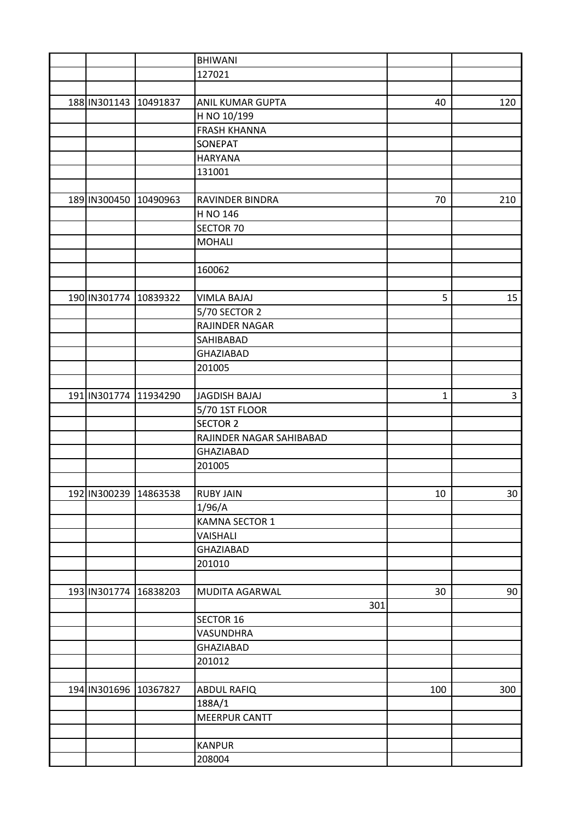|                       |          | <b>BHIWANI</b>                  |              |     |
|-----------------------|----------|---------------------------------|--------------|-----|
|                       |          | 127021                          |              |     |
|                       |          |                                 |              |     |
| 188 IN301143 10491837 |          | ANIL KUMAR GUPTA                | 40           | 120 |
|                       |          | H NO 10/199                     |              |     |
|                       |          | <b>FRASH KHANNA</b>             |              |     |
|                       |          | SONEPAT                         |              |     |
|                       |          | <b>HARYANA</b>                  |              |     |
|                       |          | 131001                          |              |     |
|                       |          |                                 |              |     |
| 189 IN300450 10490963 |          | <b>RAVINDER BINDRA</b>          | 70           | 210 |
|                       |          | H NO 146                        |              |     |
|                       |          | SECTOR 70                       |              |     |
|                       |          | <b>MOHALI</b>                   |              |     |
|                       |          |                                 |              |     |
|                       |          | 160062                          |              |     |
|                       |          |                                 |              |     |
| 190 IN301774          | 10839322 | <b>VIMLA BAJAJ</b>              | 5            | 15  |
|                       |          |                                 |              |     |
|                       |          | 5/70 SECTOR 2<br>RAJINDER NAGAR |              |     |
|                       |          |                                 |              |     |
|                       |          | SAHIBABAD                       |              |     |
|                       |          | <b>GHAZIABAD</b>                |              |     |
|                       |          | 201005                          |              |     |
|                       |          |                                 |              |     |
| 191 IN301774 11934290 |          | <b>JAGDISH BAJAJ</b>            | $\mathbf{1}$ | 3   |
|                       |          | 5/70 1ST FLOOR                  |              |     |
|                       |          | <b>SECTOR 2</b>                 |              |     |
|                       |          | RAJINDER NAGAR SAHIBABAD        |              |     |
|                       |          | <b>GHAZIABAD</b>                |              |     |
|                       |          | 201005                          |              |     |
|                       |          |                                 |              |     |
| 192 IN300239 14863538 |          | <b>RUBY JAIN</b>                | 10           | 30  |
|                       |          | 1/96/A                          |              |     |
|                       |          | <b>KAMNA SECTOR 1</b>           |              |     |
|                       |          | VAISHALI                        |              |     |
|                       |          | <b>GHAZIABAD</b>                |              |     |
|                       |          | 201010                          |              |     |
|                       |          |                                 |              |     |
| 193 IN301774          | 16838203 | MUDITA AGARWAL                  | 30           | 90  |
|                       |          | 301                             |              |     |
|                       |          | <b>SECTOR 16</b>                |              |     |
|                       |          | VASUNDHRA                       |              |     |
|                       |          | <b>GHAZIABAD</b>                |              |     |
|                       |          | 201012                          |              |     |
|                       |          |                                 |              |     |
| 194 IN301696          | 10367827 | <b>ABDUL RAFIQ</b>              | 100          | 300 |
|                       |          | 188A/1                          |              |     |
|                       |          | <b>MEERPUR CANTT</b>            |              |     |
|                       |          |                                 |              |     |
|                       |          | <b>KANPUR</b>                   |              |     |
|                       |          | 208004                          |              |     |
|                       |          |                                 |              |     |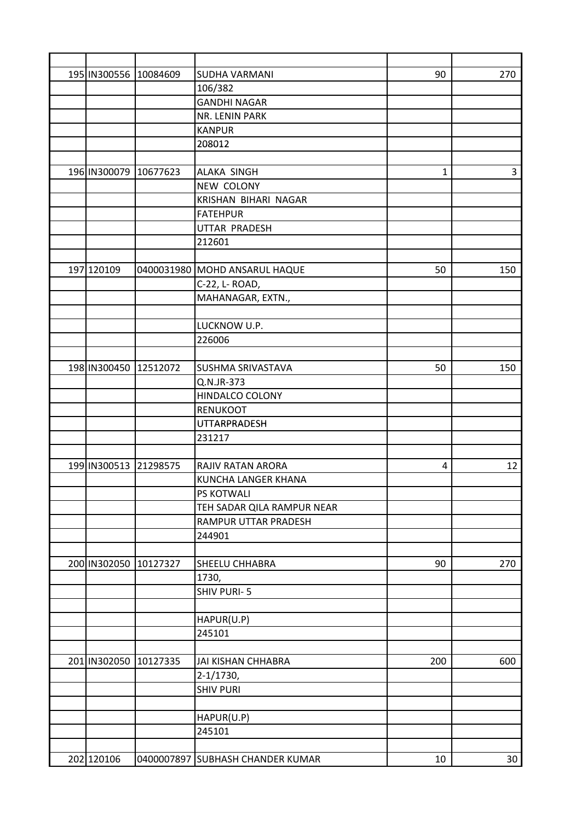| 195 IN300556 10084609 |          | SUDHA VARMANI                      | 90  | 270 |
|-----------------------|----------|------------------------------------|-----|-----|
|                       |          | 106/382                            |     |     |
|                       |          | <b>GANDHI NAGAR</b>                |     |     |
|                       |          | NR. LENIN PARK                     |     |     |
|                       |          | <b>KANPUR</b>                      |     |     |
|                       |          | 208012                             |     |     |
|                       |          |                                    |     |     |
| 196 IN300079 10677623 |          | <b>ALAKA SINGH</b>                 | 1   | 3   |
|                       |          | NEW COLONY                         |     |     |
|                       |          | KRISHAN BIHARI NAGAR               |     |     |
|                       |          | <b>FATEHPUR</b>                    |     |     |
|                       |          | UTTAR PRADESH                      |     |     |
|                       |          | 212601                             |     |     |
|                       |          |                                    |     |     |
| 197 120109            |          | 0400031980 MOHD ANSARUL HAQUE      | 50  | 150 |
|                       |          | C-22, L- ROAD,                     |     |     |
|                       |          | MAHANAGAR, EXTN.,                  |     |     |
|                       |          |                                    |     |     |
|                       |          | LUCKNOW U.P.                       |     |     |
|                       |          | 226006                             |     |     |
|                       |          |                                    |     |     |
| 198 IN300450          | 12512072 | SUSHMA SRIVASTAVA                  | 50  | 150 |
|                       |          | Q.N.JR-373                         |     |     |
|                       |          | <b>HINDALCO COLONY</b>             |     |     |
|                       |          | <b>RENUKOOT</b>                    |     |     |
|                       |          | <b>UTTARPRADESH</b>                |     |     |
|                       |          | 231217                             |     |     |
|                       |          |                                    |     |     |
| 199 IN300513 21298575 |          | RAJIV RATAN ARORA                  | 4   | 12  |
|                       |          | KUNCHA LANGER KHANA                |     |     |
|                       |          | PS KOTWALI                         |     |     |
|                       |          | TEH SADAR QILA RAMPUR NEAR         |     |     |
|                       |          | RAMPUR UTTAR PRADESH               |     |     |
|                       |          | 244901                             |     |     |
|                       |          |                                    |     |     |
| 200 IN302050          | 10127327 | SHEELU CHHABRA                     | 90  | 270 |
|                       |          | 1730,                              |     |     |
|                       |          | SHIV PURI-5                        |     |     |
|                       |          |                                    |     |     |
|                       |          | HAPUR(U.P)                         |     |     |
|                       |          | 245101                             |     |     |
|                       |          |                                    |     |     |
| 201 IN302050          | 10127335 | JAI KISHAN CHHABRA                 | 200 | 600 |
|                       |          |                                    |     |     |
|                       |          | $2 - 1/1730$ ,<br><b>SHIV PURI</b> |     |     |
|                       |          |                                    |     |     |
|                       |          |                                    |     |     |
|                       |          | HAPUR(U.P)                         |     |     |
|                       |          | 245101                             |     |     |
|                       |          |                                    |     |     |
| 202 120106            |          | 0400007897 SUBHASH CHANDER KUMAR   | 10  | 30  |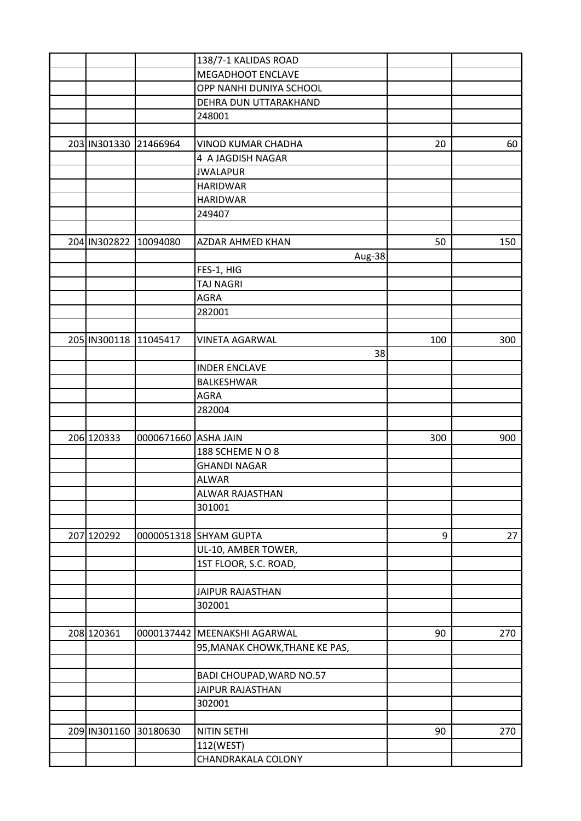|                       |                      | 138/7-1 KALIDAS ROAD            |     |     |
|-----------------------|----------------------|---------------------------------|-----|-----|
|                       |                      | <b>MEGADHOOT ENCLAVE</b>        |     |     |
|                       |                      | OPP NANHI DUNIYA SCHOOL         |     |     |
|                       |                      | DEHRA DUN UTTARAKHAND           |     |     |
|                       |                      | 248001                          |     |     |
|                       |                      |                                 |     |     |
| 203 IN301330 21466964 |                      | <b>VINOD KUMAR CHADHA</b>       | 20  | 60  |
|                       |                      | 4 A JAGDISH NAGAR               |     |     |
|                       |                      | <b>JWALAPUR</b>                 |     |     |
|                       |                      | <b>HARIDWAR</b>                 |     |     |
|                       |                      | <b>HARIDWAR</b>                 |     |     |
|                       |                      | 249407                          |     |     |
|                       |                      |                                 |     |     |
| 204 IN302822 10094080 |                      | AZDAR AHMED KHAN                | 50  | 150 |
|                       |                      | Aug-38                          |     |     |
|                       |                      | FES-1, HIG                      |     |     |
|                       |                      | <b>TAJ NAGRI</b>                |     |     |
|                       |                      | <b>AGRA</b>                     |     |     |
|                       |                      | 282001                          |     |     |
|                       |                      |                                 |     |     |
| 205 IN300118 11045417 |                      | <b>VINETA AGARWAL</b>           | 100 | 300 |
|                       |                      | 38                              |     |     |
|                       |                      | <b>INDER ENCLAVE</b>            |     |     |
|                       |                      | BALKESHWAR                      |     |     |
|                       |                      | <b>AGRA</b>                     |     |     |
|                       |                      | 282004                          |     |     |
|                       |                      |                                 |     |     |
| 206 120333            | 0000671660 ASHA JAIN |                                 | 300 | 900 |
|                       |                      | 188 SCHEME NO 8                 |     |     |
|                       |                      | <b>GHANDI NAGAR</b>             |     |     |
|                       |                      | <b>ALWAR</b>                    |     |     |
|                       |                      | ALWAR RAJASTHAN                 |     |     |
|                       |                      | 301001                          |     |     |
|                       |                      |                                 |     |     |
| 207 120292            |                      | 0000051318 SHYAM GUPTA          | 9   | 27  |
|                       |                      | UL-10, AMBER TOWER,             |     |     |
|                       |                      | 1ST FLOOR, S.C. ROAD,           |     |     |
|                       |                      |                                 |     |     |
|                       |                      | JAIPUR RAJASTHAN                |     |     |
|                       |                      | 302001                          |     |     |
|                       |                      |                                 |     |     |
| 208 120361            |                      | 0000137442 MEENAKSHI AGARWAL    | 90  | 270 |
|                       |                      | 95, MANAK CHOWK, THANE KE PAS,  |     |     |
|                       |                      |                                 |     |     |
|                       |                      | <b>BADI CHOUPAD, WARD NO.57</b> |     |     |
|                       |                      | <b>JAIPUR RAJASTHAN</b>         |     |     |
|                       |                      | 302001                          |     |     |
|                       |                      |                                 |     |     |
| 209 IN301160          | 30180630             | NITIN SETHI                     | 90  | 270 |
|                       |                      | 112(WEST)                       |     |     |
|                       |                      | CHANDRAKALA COLONY              |     |     |
|                       |                      |                                 |     |     |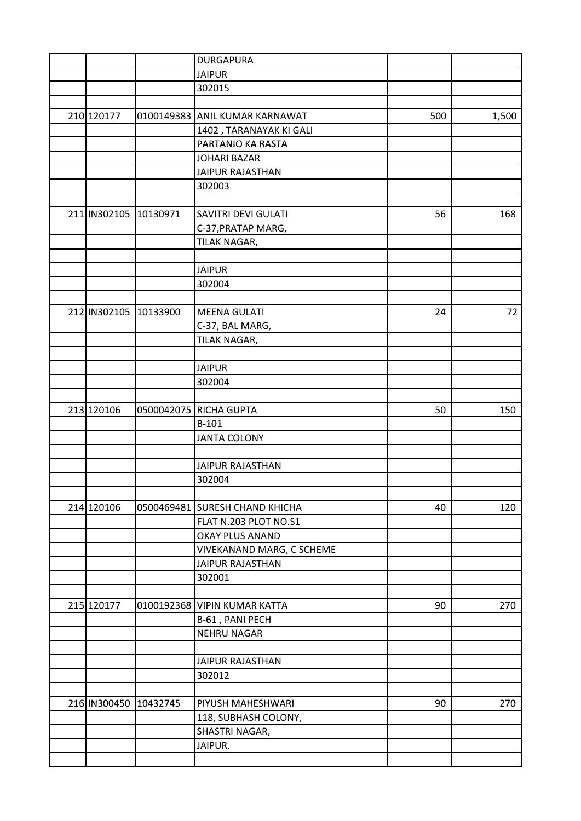|                       |          | <b>DURGAPURA</b>               |     |       |
|-----------------------|----------|--------------------------------|-----|-------|
|                       |          | <b>JAIPUR</b>                  |     |       |
|                       |          | 302015                         |     |       |
|                       |          |                                |     |       |
| 210 120177            |          | 0100149383 ANIL KUMAR KARNAWAT | 500 | 1,500 |
|                       |          | 1402, TARANAYAK KI GALI        |     |       |
|                       |          | PARTANIO KA RASTA              |     |       |
|                       |          | <b>JOHARI BAZAR</b>            |     |       |
|                       |          | JAIPUR RAJASTHAN               |     |       |
|                       |          | 302003                         |     |       |
|                       |          |                                |     |       |
| 211 IN302105 10130971 |          | SAVITRI DEVI GULATI            | 56  | 168   |
|                       |          | C-37, PRATAP MARG,             |     |       |
|                       |          | TILAK NAGAR,                   |     |       |
|                       |          |                                |     |       |
|                       |          | <b>JAIPUR</b>                  |     |       |
|                       |          | 302004                         |     |       |
|                       |          |                                |     |       |
| 212 IN302105          | 10133900 | <b>MEENA GULATI</b>            | 24  | 72    |
|                       |          | C-37, BAL MARG,                |     |       |
|                       |          | TILAK NAGAR,                   |     |       |
|                       |          |                                |     |       |
|                       |          | <b>JAIPUR</b>                  |     |       |
|                       |          | 302004                         |     |       |
|                       |          |                                |     |       |
| 213 120106            |          | 0500042075 RICHA GUPTA         | 50  | 150   |
|                       |          | B-101                          |     |       |
|                       |          | <b>JANTA COLONY</b>            |     |       |
|                       |          |                                |     |       |
|                       |          | JAIPUR RAJASTHAN               |     |       |
|                       |          | 302004                         |     |       |
|                       |          |                                |     |       |
| 214 120106            |          | 0500469481 SURESH CHAND KHICHA | 40  | 120   |
|                       |          | FLAT N.203 PLOT NO.S1          |     |       |
|                       |          | <b>OKAY PLUS ANAND</b>         |     |       |
|                       |          | VIVEKANAND MARG, C SCHEME      |     |       |
|                       |          | <b>JAIPUR RAJASTHAN</b>        |     |       |
|                       |          | 302001                         |     |       |
|                       |          |                                |     |       |
| 215 120177            |          | 0100192368 VIPIN KUMAR KATTA   | 90  | 270   |
|                       |          |                                |     |       |
|                       |          | B-61, PANI PECH                |     |       |
|                       |          | <b>NEHRU NAGAR</b>             |     |       |
|                       |          |                                |     |       |
|                       |          | JAIPUR RAJASTHAN               |     |       |
|                       |          | 302012                         |     |       |
|                       |          |                                |     |       |
| 216 IN300450 10432745 |          | PIYUSH MAHESHWARI              | 90  | 270   |
|                       |          | 118, SUBHASH COLONY,           |     |       |
|                       |          | SHASTRI NAGAR,                 |     |       |
|                       |          | JAIPUR.                        |     |       |
|                       |          |                                |     |       |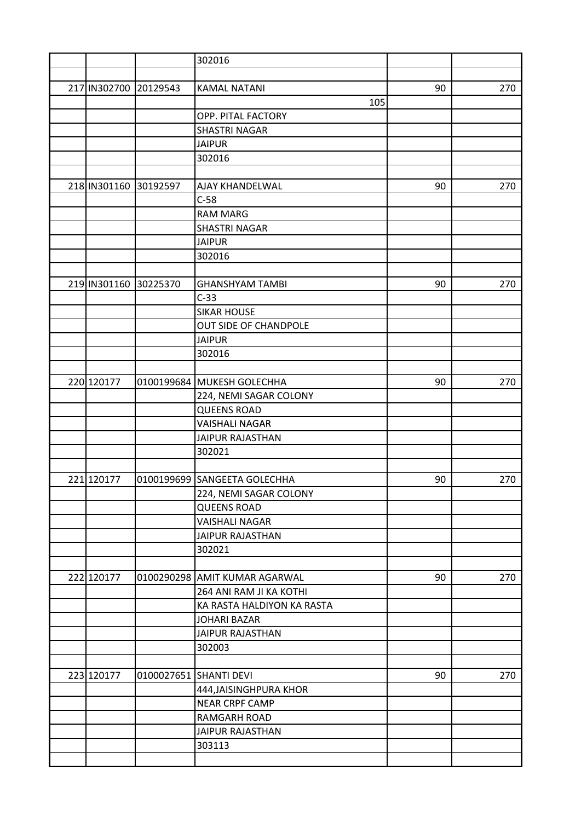|                       | 302016                        |    |     |
|-----------------------|-------------------------------|----|-----|
|                       |                               |    |     |
| 217 IN302700 20129543 | <b>KAMAL NATANI</b>           | 90 | 270 |
|                       | 105                           |    |     |
|                       | OPP. PITAL FACTORY            |    |     |
|                       | <b>SHASTRI NAGAR</b>          |    |     |
|                       | <b>JAIPUR</b>                 |    |     |
|                       | 302016                        |    |     |
|                       |                               |    |     |
| 218 IN301160 30192597 | AJAY KHANDELWAL               | 90 | 270 |
|                       | $C-58$                        |    |     |
|                       | <b>RAM MARG</b>               |    |     |
|                       | <b>SHASTRI NAGAR</b>          |    |     |
|                       | <b>JAIPUR</b>                 |    |     |
|                       | 302016                        |    |     |
|                       |                               |    |     |
| 219 IN301160 30225370 | <b>GHANSHYAM TAMBI</b>        | 90 | 270 |
|                       | $C-33$                        |    |     |
|                       | <b>SIKAR HOUSE</b>            |    |     |
|                       | <b>OUT SIDE OF CHANDPOLE</b>  |    |     |
|                       | <b>JAIPUR</b>                 |    |     |
|                       | 302016                        |    |     |
|                       |                               |    |     |
| 220 120177            | 0100199684 MUKESH GOLECHHA    | 90 | 270 |
|                       |                               |    |     |
|                       | 224, NEMI SAGAR COLONY        |    |     |
|                       | <b>QUEENS ROAD</b>            |    |     |
|                       | <b>VAISHALI NAGAR</b>         |    |     |
|                       | <b>JAIPUR RAJASTHAN</b>       |    |     |
|                       | 302021                        |    |     |
|                       |                               |    |     |
| 221 120177            | 0100199699 SANGEETA GOLECHHA  | 90 | 270 |
|                       | 224, NEMI SAGAR COLONY        |    |     |
|                       | <b>QUEENS ROAD</b>            |    |     |
|                       | <b>VAISHALI NAGAR</b>         |    |     |
|                       | <b>JAIPUR RAJASTHAN</b>       |    |     |
|                       | 302021                        |    |     |
|                       |                               |    |     |
| 222 120177            | 0100290298 AMIT KUMAR AGARWAL | 90 | 270 |
|                       | 264 ANI RAM JI KA KOTHI       |    |     |
|                       | KA RASTA HALDIYON KA RASTA    |    |     |
|                       | <b>JOHARI BAZAR</b>           |    |     |
|                       | <b>JAIPUR RAJASTHAN</b>       |    |     |
|                       | 302003                        |    |     |
|                       |                               |    |     |
| 223 120177            | 0100027651 SHANTI DEVI        | 90 | 270 |
|                       | 444, JAISINGHPURA KHOR        |    |     |
|                       | <b>NEAR CRPF CAMP</b>         |    |     |
|                       | <b>RAMGARH ROAD</b>           |    |     |
|                       | <b>JAIPUR RAJASTHAN</b>       |    |     |
|                       | 303113                        |    |     |
|                       |                               |    |     |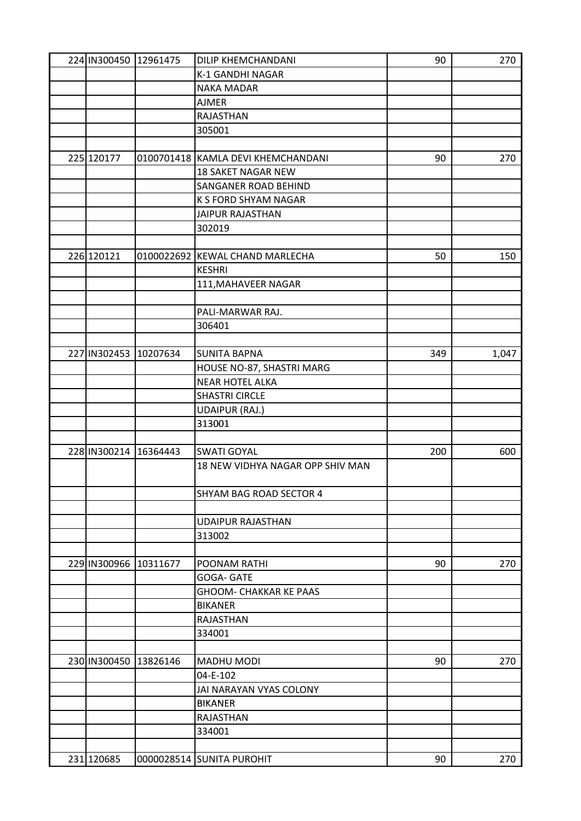| 224 IN300450 12961475 |          | DILIP KHEMCHANDANI                 | 90  | 270   |
|-----------------------|----------|------------------------------------|-----|-------|
|                       |          | K-1 GANDHI NAGAR                   |     |       |
|                       |          | <b>NAKA MADAR</b>                  |     |       |
|                       |          | <b>AJMER</b>                       |     |       |
|                       |          | RAJASTHAN                          |     |       |
|                       |          | 305001                             |     |       |
|                       |          |                                    |     |       |
| 225 120177            |          | 0100701418 KAMLA DEVI KHEMCHANDANI | 90  | 270   |
|                       |          | 18 SAKET NAGAR NEW                 |     |       |
|                       |          | SANGANER ROAD BEHIND               |     |       |
|                       |          | K S FORD SHYAM NAGAR               |     |       |
|                       |          | <b>JAIPUR RAJASTHAN</b>            |     |       |
|                       |          | 302019                             |     |       |
|                       |          |                                    |     |       |
| 226 120121            |          | 0100022692 KEWAL CHAND MARLECHA    | 50  | 150   |
|                       |          | <b>KESHRI</b>                      |     |       |
|                       |          | 111, MAHAVEER NAGAR                |     |       |
|                       |          |                                    |     |       |
|                       |          | PALI-MARWAR RAJ.                   |     |       |
|                       |          | 306401                             |     |       |
|                       |          |                                    |     |       |
| 227 IN302453 10207634 |          | <b>SUNITA BAPNA</b>                | 349 | 1,047 |
|                       |          | HOUSE NO-87, SHASTRI MARG          |     |       |
|                       |          | <b>NEAR HOTEL ALKA</b>             |     |       |
|                       |          | <b>SHASTRI CIRCLE</b>              |     |       |
|                       |          | <b>UDAIPUR (RAJ.)</b>              |     |       |
|                       |          | 313001                             |     |       |
|                       |          |                                    |     |       |
| 228 IN300214          | 16364443 | <b>SWATI GOYAL</b>                 | 200 | 600   |
|                       |          | 18 NEW VIDHYA NAGAR OPP SHIV MAN   |     |       |
|                       |          |                                    |     |       |
|                       |          | <b>SHYAM BAG ROAD SECTOR 4</b>     |     |       |
|                       |          |                                    |     |       |
|                       |          | <b>UDAIPUR RAJASTHAN</b>           |     |       |
|                       |          | 313002                             |     |       |
|                       |          |                                    |     |       |
| 229 IN300966 10311677 |          | POONAM RATHI                       | 90  | 270   |
|                       |          | <b>GOGA-GATE</b>                   |     |       |
|                       |          | <b>GHOOM- CHAKKAR KE PAAS</b>      |     |       |
|                       |          | <b>BIKANER</b>                     |     |       |
|                       |          | RAJASTHAN                          |     |       |
|                       |          | 334001                             |     |       |
|                       |          |                                    |     |       |
| 230 IN300450 13826146 |          | MADHU MODI                         | 90  | 270   |
|                       |          | 04-E-102                           |     |       |
|                       |          | JAI NARAYAN VYAS COLONY            |     |       |
|                       |          | <b>BIKANER</b>                     |     |       |
|                       |          | RAJASTHAN                          |     |       |
|                       |          | 334001                             |     |       |
|                       |          |                                    |     |       |
| 231 120685            |          | 0000028514 SUNITA PUROHIT          | 90  | 270   |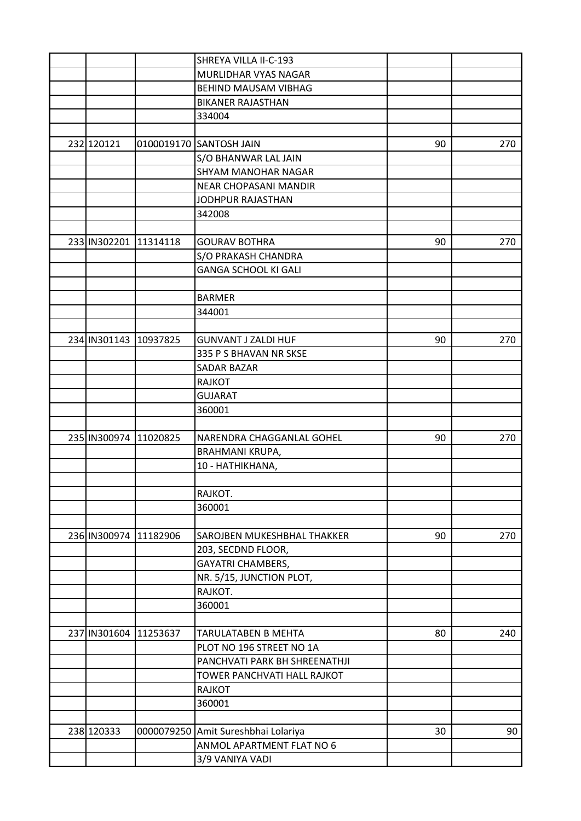|                       |          | SHREYA VILLA II-C-193               |    |     |
|-----------------------|----------|-------------------------------------|----|-----|
|                       |          | MURLIDHAR VYAS NAGAR                |    |     |
|                       |          | BEHIND MAUSAM VIBHAG                |    |     |
|                       |          | <b>BIKANER RAJASTHAN</b>            |    |     |
|                       |          | 334004                              |    |     |
|                       |          |                                     |    |     |
| 232 120121            |          | 0100019170 SANTOSH JAIN             | 90 | 270 |
|                       |          | S/O BHANWAR LAL JAIN                |    |     |
|                       |          | SHYAM MANOHAR NAGAR                 |    |     |
|                       |          | NEAR CHOPASANI MANDIR               |    |     |
|                       |          | JODHPUR RAJASTHAN                   |    |     |
|                       |          | 342008                              |    |     |
|                       |          |                                     |    |     |
| 233 IN302201 11314118 |          | <b>GOURAV BOTHRA</b>                | 90 | 270 |
|                       |          | S/O PRAKASH CHANDRA                 |    |     |
|                       |          | <b>GANGA SCHOOL KI GALI</b>         |    |     |
|                       |          |                                     |    |     |
|                       |          | <b>BARMER</b>                       |    |     |
|                       |          | 344001                              |    |     |
|                       |          |                                     |    |     |
| 234 IN301143 10937825 |          | <b>GUNVANT J ZALDI HUF</b>          | 90 | 270 |
|                       |          | 335 P S BHAVAN NR SKSE              |    |     |
|                       |          | SADAR BAZAR                         |    |     |
|                       |          | <b>RAJKOT</b>                       |    |     |
|                       |          | <b>GUJARAT</b>                      |    |     |
|                       |          | 360001                              |    |     |
|                       |          |                                     |    |     |
| 235 IN300974          | 11020825 | NARENDRA CHAGGANLAL GOHEL           | 90 | 270 |
|                       |          | BRAHMANI KRUPA,                     |    |     |
|                       |          | 10 - HATHIKHANA,                    |    |     |
|                       |          |                                     |    |     |
|                       |          | RAJKOT.                             |    |     |
|                       |          | 360001                              |    |     |
|                       |          |                                     |    |     |
| 236 IN300974 11182906 |          | SAROJBEN MUKESHBHAL THAKKER         | 90 | 270 |
|                       |          | 203, SECDND FLOOR,                  |    |     |
|                       |          | <b>GAYATRI CHAMBERS,</b>            |    |     |
|                       |          | NR. 5/15, JUNCTION PLOT,            |    |     |
|                       |          | RAJKOT.                             |    |     |
|                       |          | 360001                              |    |     |
|                       |          |                                     |    |     |
| 237 IN301604          | 11253637 | TARULATABEN B MEHTA                 | 80 | 240 |
|                       |          | PLOT NO 196 STREET NO 1A            |    |     |
|                       |          | PANCHVATI PARK BH SHREENATHJI       |    |     |
|                       |          | TOWER PANCHVATI HALL RAJKOT         |    |     |
|                       |          | <b>RAJKOT</b>                       |    |     |
|                       |          | 360001                              |    |     |
|                       |          |                                     |    |     |
| 238 120333            |          | 0000079250 Amit Sureshbhai Lolariya | 30 | 90  |
|                       |          | ANMOL APARTMENT FLAT NO 6           |    |     |
|                       |          | 3/9 VANIYA VADI                     |    |     |
|                       |          |                                     |    |     |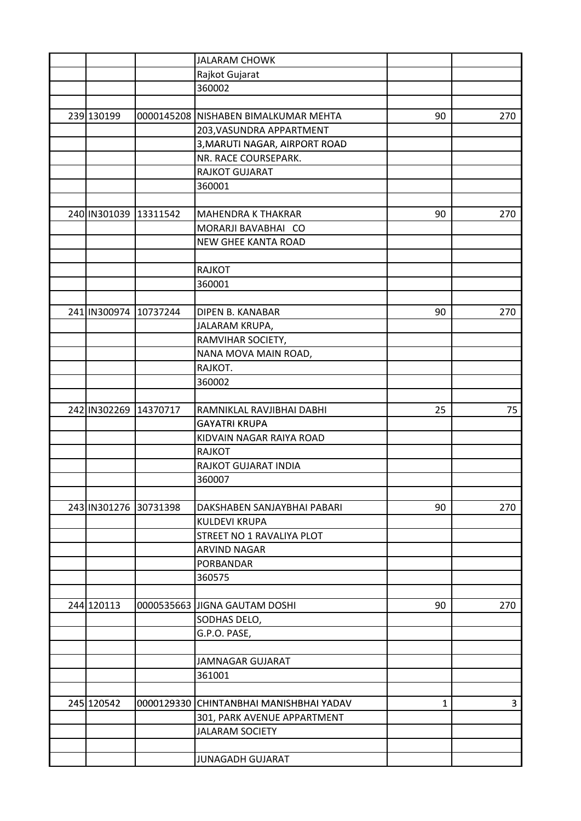|                       |          | <b>JALARAM CHOWK</b>                    |    |     |
|-----------------------|----------|-----------------------------------------|----|-----|
|                       |          | Rajkot Gujarat                          |    |     |
|                       |          | 360002                                  |    |     |
|                       |          |                                         |    |     |
| 239 130199            |          | 0000145208 NISHABEN BIMALKUMAR MEHTA    | 90 | 270 |
|                       |          | 203, VASUNDRA APPARTMENT                |    |     |
|                       |          | 3, MARUTI NAGAR, AIRPORT ROAD           |    |     |
|                       |          | NR. RACE COURSEPARK.                    |    |     |
|                       |          | RAJKOT GUJARAT                          |    |     |
|                       |          | 360001                                  |    |     |
|                       |          |                                         |    |     |
| 240 IN301039 13311542 |          | <b>MAHENDRA K THAKRAR</b>               | 90 | 270 |
|                       |          | MORARJI BAVABHAI CO                     |    |     |
|                       |          | NEW GHEE KANTA ROAD                     |    |     |
|                       |          |                                         |    |     |
|                       |          | <b>RAJKOT</b>                           |    |     |
|                       |          | 360001                                  |    |     |
|                       |          |                                         |    |     |
| 241 IN300974          | 10737244 | DIPEN B. KANABAR                        | 90 | 270 |
|                       |          | JALARAM KRUPA,                          |    |     |
|                       |          | RAMVIHAR SOCIETY,                       |    |     |
|                       |          | NANA MOVA MAIN ROAD,                    |    |     |
|                       |          | RAJKOT.                                 |    |     |
|                       |          | 360002                                  |    |     |
|                       |          |                                         |    |     |
| 242 IN302269 14370717 |          | RAMNIKLAL RAVJIBHAI DABHI               | 25 | 75  |
|                       |          | <b>GAYATRI KRUPA</b>                    |    |     |
|                       |          | KIDVAIN NAGAR RAIYA ROAD                |    |     |
|                       |          | <b>RAJKOT</b>                           |    |     |
|                       |          | RAJKOT GUJARAT INDIA                    |    |     |
|                       |          | 360007                                  |    |     |
|                       |          |                                         |    |     |
| 243 IN301276 30731398 |          | DAKSHABEN SANJAYBHAI PABARI             | 90 | 270 |
|                       |          | KULDEVI KRUPA                           |    |     |
|                       |          | STREET NO 1 RAVALIYA PLOT               |    |     |
|                       |          | <b>ARVIND NAGAR</b>                     |    |     |
|                       |          | PORBANDAR                               |    |     |
|                       |          | 360575                                  |    |     |
|                       |          |                                         |    |     |
| 244 120113            |          | 0000535663 JJIGNA GAUTAM DOSHI          | 90 | 270 |
|                       |          | SODHAS DELO,                            |    |     |
|                       |          | G.P.O. PASE,                            |    |     |
|                       |          |                                         |    |     |
|                       |          | <b>JAMNAGAR GUJARAT</b>                 |    |     |
|                       |          | 361001                                  |    |     |
|                       |          |                                         |    |     |
| 245 120542            |          | 0000129330 CHINTANBHAI MANISHBHAI YADAV | 1  | 3   |
|                       |          | 301, PARK AVENUE APPARTMENT             |    |     |
|                       |          | <b>JALARAM SOCIETY</b>                  |    |     |
|                       |          |                                         |    |     |
|                       |          | <b>JUNAGADH GUJARAT</b>                 |    |     |
|                       |          |                                         |    |     |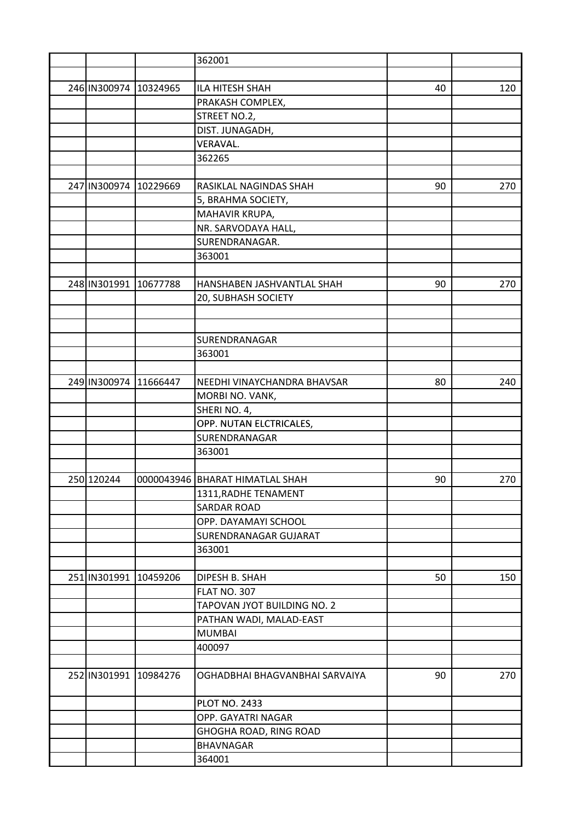|                       |                       | 362001                          |    |     |
|-----------------------|-----------------------|---------------------------------|----|-----|
|                       |                       |                                 |    |     |
| 246 IN300974          | 10324965              | ILA HITESH SHAH                 | 40 | 120 |
|                       |                       | PRAKASH COMPLEX,                |    |     |
|                       |                       | STREET NO.2,                    |    |     |
|                       |                       | DIST. JUNAGADH,                 |    |     |
|                       |                       | VERAVAL.                        |    |     |
|                       |                       | 362265                          |    |     |
|                       |                       |                                 |    |     |
| 247 IN300974          | 10229669              | RASIKLAL NAGINDAS SHAH          | 90 | 270 |
|                       |                       | 5, BRAHMA SOCIETY,              |    |     |
|                       |                       | MAHAVIR KRUPA,                  |    |     |
|                       |                       | NR. SARVODAYA HALL,             |    |     |
|                       |                       | SURENDRANAGAR.                  |    |     |
|                       |                       | 363001                          |    |     |
|                       |                       |                                 |    |     |
| 248 IN301991 10677788 |                       | HANSHABEN JASHVANTLAL SHAH      | 90 | 270 |
|                       |                       | 20, SUBHASH SOCIETY             |    |     |
|                       |                       |                                 |    |     |
|                       |                       |                                 |    |     |
|                       |                       | SURENDRANAGAR                   |    |     |
|                       |                       |                                 |    |     |
|                       |                       | 363001                          |    |     |
|                       |                       |                                 |    |     |
| 249 IN300974          | 11666447              | NEEDHI VINAYCHANDRA BHAVSAR     | 80 | 240 |
|                       |                       | MORBI NO. VANK,                 |    |     |
|                       |                       | SHERINO. 4,                     |    |     |
|                       |                       | OPP. NUTAN ELCTRICALES,         |    |     |
|                       |                       | SURENDRANAGAR                   |    |     |
|                       |                       | 363001                          |    |     |
|                       |                       |                                 |    |     |
| 250 120244            |                       | 0000043946 BHARAT HIMATLAL SHAH | 90 | 270 |
|                       |                       | 1311, RADHE TENAMENT            |    |     |
|                       |                       | <b>SARDAR ROAD</b>              |    |     |
|                       |                       | OPP. DAYAMAYI SCHOOL            |    |     |
|                       |                       | SURENDRANAGAR GUJARAT           |    |     |
|                       |                       | 363001                          |    |     |
|                       |                       |                                 |    |     |
|                       | 251 IN301991 10459206 | DIPESH B. SHAH                  | 50 | 150 |
|                       |                       | <b>FLAT NO. 307</b>             |    |     |
|                       |                       | TAPOVAN JYOT BUILDING NO. 2     |    |     |
|                       |                       | PATHAN WADI, MALAD-EAST         |    |     |
|                       |                       | <b>MUMBAI</b>                   |    |     |
|                       |                       | 400097                          |    |     |
|                       |                       |                                 |    |     |
|                       | 252 IN301991 10984276 | OGHADBHAI BHAGVANBHAI SARVAIYA  | 90 | 270 |
|                       |                       | <b>PLOT NO. 2433</b>            |    |     |
|                       |                       | OPP. GAYATRI NAGAR              |    |     |
|                       |                       | GHOGHA ROAD, RING ROAD          |    |     |
|                       |                       | <b>BHAVNAGAR</b>                |    |     |
|                       |                       | 364001                          |    |     |
|                       |                       |                                 |    |     |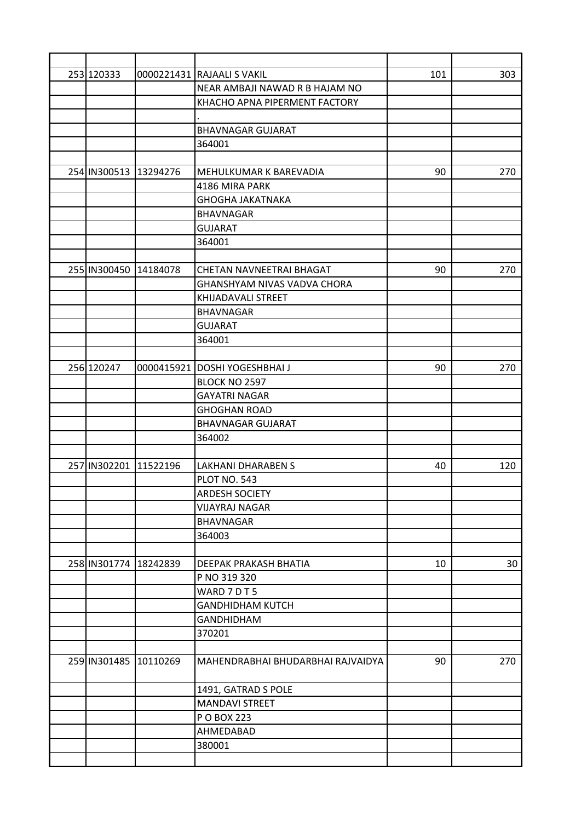| 253 120333            |                       | 0000221431 RAJAALI S VAKIL        | 101 | 303 |
|-----------------------|-----------------------|-----------------------------------|-----|-----|
|                       |                       | NEAR AMBAJI NAWAD R B HAJAM NO    |     |     |
|                       |                       | KHACHO APNA PIPERMENT FACTORY     |     |     |
|                       |                       |                                   |     |     |
|                       |                       | <b>BHAVNAGAR GUJARAT</b>          |     |     |
|                       |                       | 364001                            |     |     |
|                       |                       |                                   |     |     |
| 254 IN300513          | 13294276              | MEHULKUMAR K BAREVADIA            | 90  | 270 |
|                       |                       | 4186 MIRA PARK                    |     |     |
|                       |                       | <b>GHOGHA JAKATNAKA</b>           |     |     |
|                       |                       | <b>BHAVNAGAR</b>                  |     |     |
|                       |                       | <b>GUJARAT</b>                    |     |     |
|                       |                       | 364001                            |     |     |
|                       |                       |                                   |     |     |
| 255 IN300450 14184078 |                       | CHETAN NAVNEETRAI BHAGAT          | 90  | 270 |
|                       |                       | GHANSHYAM NIVAS VADVA CHORA       |     |     |
|                       |                       | KHIJADAVALI STREET                |     |     |
|                       |                       |                                   |     |     |
|                       |                       | <b>BHAVNAGAR</b>                  |     |     |
|                       |                       | <b>GUJARAT</b>                    |     |     |
|                       |                       | 364001                            |     |     |
|                       |                       |                                   |     |     |
| 256 120247            |                       | 0000415921 DOSHI YOGESHBHAI J     | 90  | 270 |
|                       |                       | BLOCK NO 2597                     |     |     |
|                       |                       | <b>GAYATRI NAGAR</b>              |     |     |
|                       |                       | <b>GHOGHAN ROAD</b>               |     |     |
|                       |                       | <b>BHAVNAGAR GUJARAT</b>          |     |     |
|                       |                       | 364002                            |     |     |
|                       |                       |                                   |     |     |
| 257 IN302201          | 11522196              | <b>LAKHANI DHARABEN S</b>         | 40  | 120 |
|                       |                       | <b>PLOT NO. 543</b>               |     |     |
|                       |                       | <b>ARDESH SOCIETY</b>             |     |     |
|                       |                       | <b>VIJAYRAJ NAGAR</b>             |     |     |
|                       |                       | <b>BHAVNAGAR</b>                  |     |     |
|                       |                       | 364003                            |     |     |
|                       |                       |                                   |     |     |
| 258 IN301774          | 18242839              | DEEPAK PRAKASH BHATIA             | 10  | 30  |
|                       |                       | P NO 319 320                      |     |     |
|                       |                       | WARD 7DT5                         |     |     |
|                       |                       | <b>GANDHIDHAM KUTCH</b>           |     |     |
|                       |                       | <b>GANDHIDHAM</b>                 |     |     |
|                       |                       | 370201                            |     |     |
|                       |                       |                                   |     |     |
|                       | 259 IN301485 10110269 | MAHENDRABHAI BHUDARBHAI RAJVAIDYA | 90  | 270 |
|                       |                       | 1491, GATRAD S POLE               |     |     |
|                       |                       | <b>MANDAVI STREET</b>             |     |     |
|                       |                       | P O BOX 223                       |     |     |
|                       |                       | AHMEDABAD                         |     |     |
|                       |                       | 380001                            |     |     |
|                       |                       |                                   |     |     |
|                       |                       |                                   |     |     |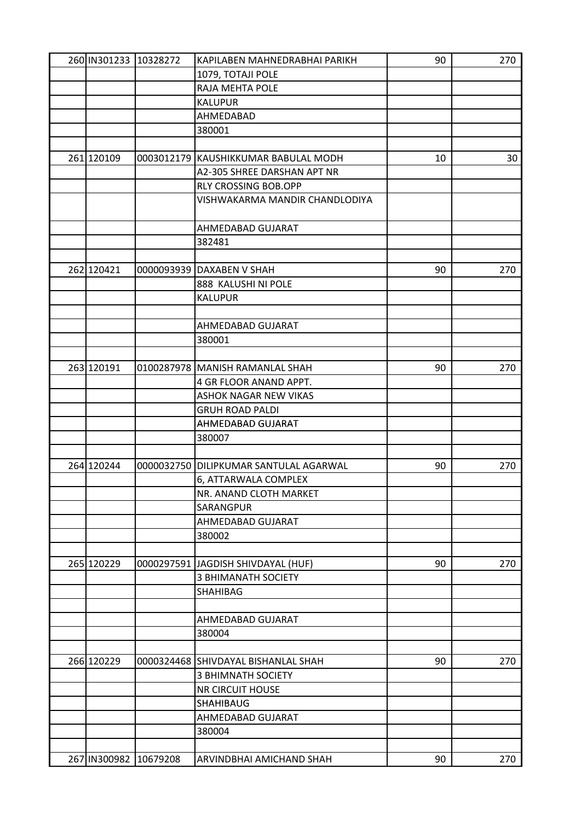| 260 IN301233 10328272 |          | KAPILABEN MAHNEDRABHAI PARIKH          | 90 | 270 |
|-----------------------|----------|----------------------------------------|----|-----|
|                       |          | 1079, TOTAJI POLE                      |    |     |
|                       |          | RAJA MEHTA POLE                        |    |     |
|                       |          | <b>KALUPUR</b>                         |    |     |
|                       |          | AHMEDABAD                              |    |     |
|                       |          | 380001                                 |    |     |
|                       |          |                                        |    |     |
| 261 120109            |          | 0003012179 KAUSHIKKUMAR BABULAL MODH   | 10 | 30  |
|                       |          | A2-305 SHREE DARSHAN APT NR            |    |     |
|                       |          | <b>RLY CROSSING BOB.OPP</b>            |    |     |
|                       |          | VISHWAKARMA MANDIR CHANDLODIYA         |    |     |
|                       |          |                                        |    |     |
|                       |          | AHMEDABAD GUJARAT                      |    |     |
|                       |          | 382481                                 |    |     |
|                       |          |                                        |    |     |
| 262 120421            |          | 0000093939 DAXABEN V SHAH              | 90 | 270 |
|                       |          | 888 KALUSHI NI POLE                    |    |     |
|                       |          | <b>KALUPUR</b>                         |    |     |
|                       |          |                                        |    |     |
|                       |          | AHMEDABAD GUJARAT                      |    |     |
|                       |          | 380001                                 |    |     |
|                       |          |                                        |    |     |
| 263 120191            |          | 0100287978 MANISH RAMANLAL SHAH        | 90 | 270 |
|                       |          | 4 GR FLOOR ANAND APPT.                 |    |     |
|                       |          | <b>ASHOK NAGAR NEW VIKAS</b>           |    |     |
|                       |          | <b>GRUH ROAD PALDI</b>                 |    |     |
|                       |          | AHMEDABAD GUJARAT                      |    |     |
|                       |          | 380007                                 |    |     |
|                       |          |                                        |    |     |
| 264 120244            |          | 0000032750 DILIPKUMAR SANTULAL AGARWAL | 90 | 270 |
|                       |          | 6, ATTARWALA COMPLEX                   |    |     |
|                       |          | NR. ANAND CLOTH MARKET                 |    |     |
|                       |          | SARANGPUR                              |    |     |
|                       |          | AHMEDABAD GUJARAT                      |    |     |
|                       |          | 380002                                 |    |     |
|                       |          |                                        |    |     |
| 265 120229            |          | 0000297591 JAGDISH SHIVDAYAL (HUF)     | 90 | 270 |
|                       |          | <b>3 BHIMANATH SOCIETY</b>             |    |     |
|                       |          | SHAHIBAG                               |    |     |
|                       |          |                                        |    |     |
|                       |          |                                        |    |     |
|                       |          | AHMEDABAD GUJARAT<br>380004            |    |     |
|                       |          |                                        |    |     |
| 266 120229            |          | 0000324468 SHIVDAYAL BISHANLAL SHAH    | 90 | 270 |
|                       |          |                                        |    |     |
|                       |          | <b>3 BHIMNATH SOCIETY</b>              |    |     |
|                       |          | NR CIRCUIT HOUSE                       |    |     |
|                       |          | <b>SHAHIBAUG</b>                       |    |     |
|                       |          | AHMEDABAD GUJARAT                      |    |     |
|                       |          | 380004                                 |    |     |
|                       |          |                                        |    |     |
| 267 IN300982          | 10679208 | ARVINDBHAI AMICHAND SHAH               | 90 | 270 |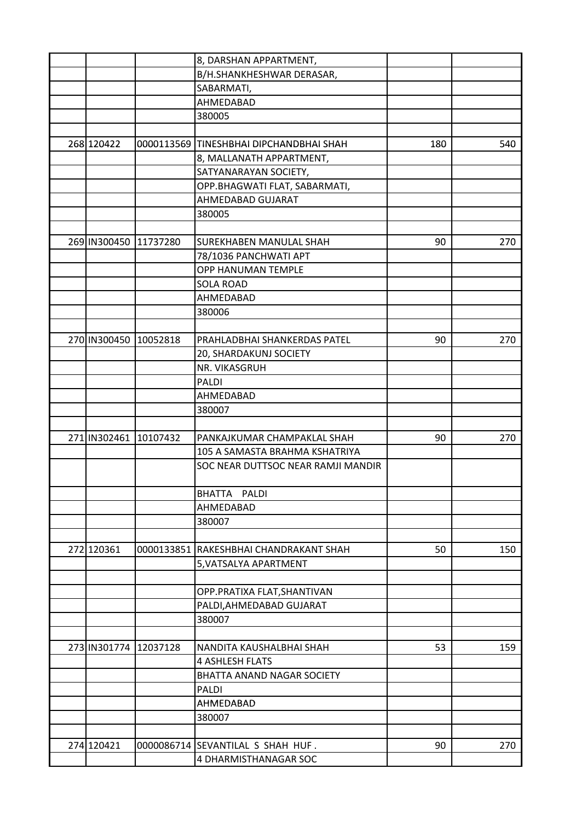|                       |                       | 8, DARSHAN APPARTMENT,                  |     |     |
|-----------------------|-----------------------|-----------------------------------------|-----|-----|
|                       |                       | B/H.SHANKHESHWAR DERASAR,               |     |     |
|                       |                       | SABARMATI,                              |     |     |
|                       |                       | AHMEDABAD                               |     |     |
|                       |                       | 380005                                  |     |     |
|                       |                       |                                         |     |     |
| 268 120422            |                       | 0000113569 TINESHBHAI DIPCHANDBHAI SHAH | 180 | 540 |
|                       |                       | 8, MALLANATH APPARTMENT,                |     |     |
|                       |                       | SATYANARAYAN SOCIETY,                   |     |     |
|                       |                       | OPP.BHAGWATI FLAT, SABARMATI,           |     |     |
|                       |                       | AHMEDABAD GUJARAT                       |     |     |
|                       |                       | 380005                                  |     |     |
|                       |                       |                                         |     |     |
| 269 IN300450 11737280 |                       | SUREKHABEN MANULAL SHAH                 | 90  | 270 |
|                       |                       | 78/1036 PANCHWATI APT                   |     |     |
|                       |                       | OPP HANUMAN TEMPLE                      |     |     |
|                       |                       | <b>SOLA ROAD</b>                        |     |     |
|                       |                       | AHMEDABAD                               |     |     |
|                       |                       | 380006                                  |     |     |
|                       |                       |                                         |     |     |
| 270 IN300450 10052818 |                       | PRAHLADBHAI SHANKERDAS PATEL            | 90  | 270 |
|                       |                       | 20, SHARDAKUNJ SOCIETY                  |     |     |
|                       |                       | NR. VIKASGRUH                           |     |     |
|                       |                       | <b>PALDI</b>                            |     |     |
|                       |                       | AHMEDABAD                               |     |     |
|                       |                       | 380007                                  |     |     |
|                       |                       |                                         |     |     |
| 271 IN302461          | 10107432              | PANKAJKUMAR CHAMPAKLAL SHAH             | 90  | 270 |
|                       |                       | 105 A SAMASTA BRAHMA KSHATRIYA          |     |     |
|                       |                       | SOC NEAR DUTTSOC NEAR RAMJI MANDIR      |     |     |
|                       |                       |                                         |     |     |
|                       |                       | BHATTA<br><b>PALDI</b>                  |     |     |
|                       |                       | AHMEDABAD                               |     |     |
|                       |                       | 380007                                  |     |     |
|                       |                       |                                         |     |     |
| 272 120361            |                       | 0000133851 RAKESHBHAI CHANDRAKANT SHAH  | 50  | 150 |
|                       |                       | 5, VATSALYA APARTMENT                   |     |     |
|                       |                       |                                         |     |     |
|                       |                       | OPP.PRATIXA FLAT, SHANTIVAN             |     |     |
|                       |                       | PALDI, AHMEDABAD GUJARAT                |     |     |
|                       |                       | 380007                                  |     |     |
|                       |                       |                                         |     |     |
|                       | 273 IN301774 12037128 | NANDITA KAUSHALBHAI SHAH                | 53  | 159 |
|                       |                       | <b>4 ASHLESH FLATS</b>                  |     |     |
|                       |                       | BHATTA ANAND NAGAR SOCIETY              |     |     |
|                       |                       | PALDI                                   |     |     |
|                       |                       | AHMEDABAD                               |     |     |
|                       |                       | 380007                                  |     |     |
|                       |                       |                                         |     |     |
| 274 120421            |                       | 0000086714 SEVANTILAL S SHAH HUF.       | 90  | 270 |
|                       |                       | 4 DHARMISTHANAGAR SOC                   |     |     |
|                       |                       |                                         |     |     |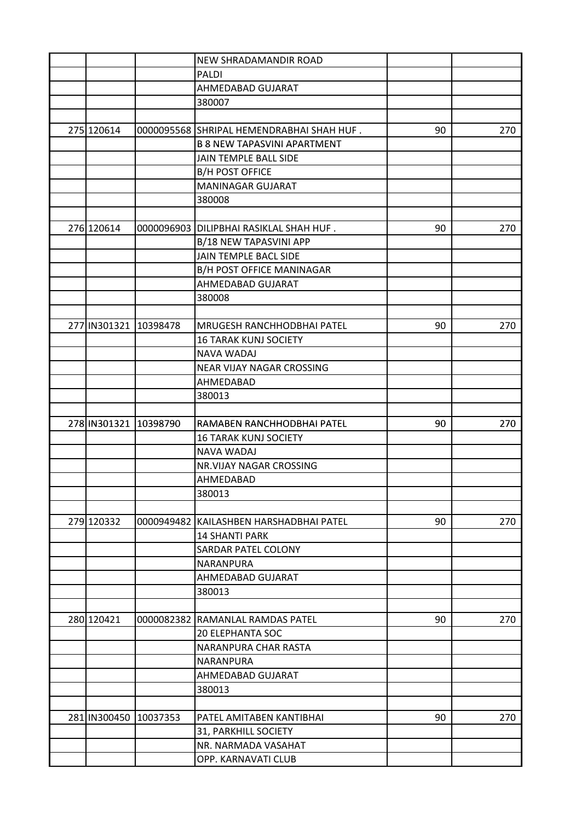|                       |                       | <b>NEW SHRADAMANDIR ROAD</b>              |    |     |
|-----------------------|-----------------------|-------------------------------------------|----|-----|
|                       |                       | <b>PALDI</b>                              |    |     |
|                       |                       | AHMEDABAD GUJARAT                         |    |     |
|                       |                       | 380007                                    |    |     |
|                       |                       |                                           |    |     |
| 275 120614            |                       | 0000095568 SHRIPAL HEMENDRABHAI SHAH HUF. | 90 | 270 |
|                       |                       | <b>B 8 NEW TAPASVINI APARTMENT</b>        |    |     |
|                       |                       | JAIN TEMPLE BALL SIDE                     |    |     |
|                       |                       | <b>B/H POST OFFICE</b>                    |    |     |
|                       |                       | MANINAGAR GUJARAT                         |    |     |
|                       |                       | 380008                                    |    |     |
|                       |                       |                                           |    |     |
| 276 120614            |                       | 0000096903 DILIPBHAI RASIKLAL SHAH HUF.   | 90 | 270 |
|                       |                       | <b>B/18 NEW TAPASVINI APP</b>             |    |     |
|                       |                       | JAIN TEMPLE BACL SIDE                     |    |     |
|                       |                       | <b>B/H POST OFFICE MANINAGAR</b>          |    |     |
|                       |                       | AHMEDABAD GUJARAT                         |    |     |
|                       |                       | 380008                                    |    |     |
|                       |                       |                                           |    |     |
| 277 IN301321          | 10398478              | MRUGESH RANCHHODBHAI PATEL                | 90 | 270 |
|                       |                       | <b>16 TARAK KUNJ SOCIETY</b>              |    |     |
|                       |                       | NAVA WADAJ                                |    |     |
|                       |                       | NEAR VIJAY NAGAR CROSSING                 |    |     |
|                       |                       | AHMEDABAD                                 |    |     |
|                       |                       | 380013                                    |    |     |
|                       |                       |                                           |    |     |
| 278 IN301321 10398790 |                       | RAMABEN RANCHHODBHAI PATEL                | 90 | 270 |
|                       |                       | <b>16 TARAK KUNJ SOCIETY</b>              |    |     |
|                       |                       | NAVA WADAJ                                |    |     |
|                       |                       | NR.VIJAY NAGAR CROSSING                   |    |     |
|                       |                       | AHMEDABAD                                 |    |     |
|                       |                       | 380013                                    |    |     |
|                       |                       |                                           |    |     |
| 279 120332            |                       | 0000949482 KAILASHBEN HARSHADBHAI PATEL   | 90 | 270 |
|                       |                       | <b>14 SHANTI PARK</b>                     |    |     |
|                       |                       | SARDAR PATEL COLONY                       |    |     |
|                       |                       | <b>NARANPURA</b>                          |    |     |
|                       |                       | AHMEDABAD GUJARAT                         |    |     |
|                       |                       | 380013                                    |    |     |
|                       |                       |                                           |    |     |
| 280 120421            |                       | 0000082382 RAMANLAL RAMDAS PATEL          | 90 | 270 |
|                       |                       | <b>20 ELEPHANTA SOC</b>                   |    |     |
|                       |                       | NARANPURA CHAR RASTA                      |    |     |
|                       |                       | <b>NARANPURA</b>                          |    |     |
|                       |                       | AHMEDABAD GUJARAT                         |    |     |
|                       |                       | 380013                                    |    |     |
|                       |                       |                                           |    |     |
|                       | 281 IN300450 10037353 | PATEL AMITABEN KANTIBHAI                  | 90 | 270 |
|                       |                       | 31, PARKHILL SOCIETY                      |    |     |
|                       |                       | NR. NARMADA VASAHAT                       |    |     |
|                       |                       | OPP. KARNAVATI CLUB                       |    |     |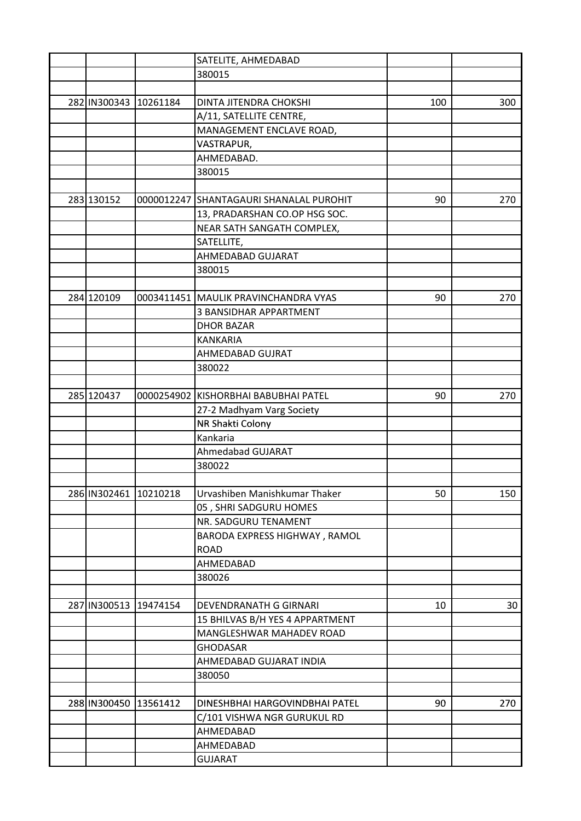|                       |                       | SATELITE, AHMEDABAD                                |     |     |
|-----------------------|-----------------------|----------------------------------------------------|-----|-----|
|                       |                       | 380015                                             |     |     |
|                       |                       |                                                    |     |     |
| 282 IN300343 10261184 |                       | DINTA JITENDRA CHOKSHI                             | 100 | 300 |
|                       |                       | A/11, SATELLITE CENTRE,                            |     |     |
|                       |                       | MANAGEMENT ENCLAVE ROAD,                           |     |     |
|                       |                       | VASTRAPUR,                                         |     |     |
|                       |                       | AHMEDABAD.                                         |     |     |
|                       |                       | 380015                                             |     |     |
|                       |                       |                                                    |     |     |
| 283 130152            |                       | 0000012247 SHANTAGAURI SHANALAL PUROHIT            | 90  | 270 |
|                       |                       | 13, PRADARSHAN CO.OP HSG SOC.                      |     |     |
|                       |                       | NEAR SATH SANGATH COMPLEX,                         |     |     |
|                       |                       | SATELLITE,                                         |     |     |
|                       |                       | AHMEDABAD GUJARAT                                  |     |     |
|                       |                       | 380015                                             |     |     |
|                       |                       |                                                    |     |     |
| 284 120109            |                       | 0003411451 MAULIK PRAVINCHANDRA VYAS               | 90  | 270 |
|                       |                       |                                                    |     |     |
|                       |                       | <b>3 BANSIDHAR APPARTMENT</b><br><b>DHOR BAZAR</b> |     |     |
|                       |                       |                                                    |     |     |
|                       |                       | <b>KANKARIA</b>                                    |     |     |
|                       |                       | AHMEDABAD GUJRAT                                   |     |     |
|                       |                       | 380022                                             |     |     |
|                       |                       |                                                    |     |     |
| 285 120437            |                       | 0000254902 KISHORBHAI BABUBHAI PATEL               | 90  | 270 |
|                       |                       | 27-2 Madhyam Varg Society                          |     |     |
|                       |                       | NR Shakti Colony                                   |     |     |
|                       |                       | Kankaria                                           |     |     |
|                       |                       | <b>Ahmedabad GUJARAT</b>                           |     |     |
|                       |                       | 380022                                             |     |     |
|                       |                       |                                                    |     |     |
| 286 IN302461 10210218 |                       | Urvashiben Manishkumar Thaker                      | 50  | 150 |
|                       |                       | 05, SHRI SADGURU HOMES                             |     |     |
|                       |                       | NR. SADGURU TENAMENT                               |     |     |
|                       |                       | BARODA EXPRESS HIGHWAY, RAMOL                      |     |     |
|                       |                       | <b>ROAD</b>                                        |     |     |
|                       |                       | AHMEDABAD                                          |     |     |
|                       |                       | 380026                                             |     |     |
|                       |                       |                                                    |     |     |
|                       | 287 IN300513 19474154 | DEVENDRANATH G GIRNARI                             | 10  | 30  |
|                       |                       | 15 BHILVAS B/H YES 4 APPARTMENT                    |     |     |
|                       |                       | MANGLESHWAR MAHADEV ROAD                           |     |     |
|                       |                       | <b>GHODASAR</b>                                    |     |     |
|                       |                       | AHMEDABAD GUJARAT INDIA                            |     |     |
|                       |                       | 380050                                             |     |     |
|                       |                       |                                                    |     |     |
| 288 IN300450          | 13561412              | DINESHBHAI HARGOVINDBHAI PATEL                     | 90  | 270 |
|                       |                       | C/101 VISHWA NGR GURUKUL RD                        |     |     |
|                       |                       | AHMEDABAD                                          |     |     |
|                       |                       | AHMEDABAD                                          |     |     |
|                       |                       | <b>GUJARAT</b>                                     |     |     |
|                       |                       |                                                    |     |     |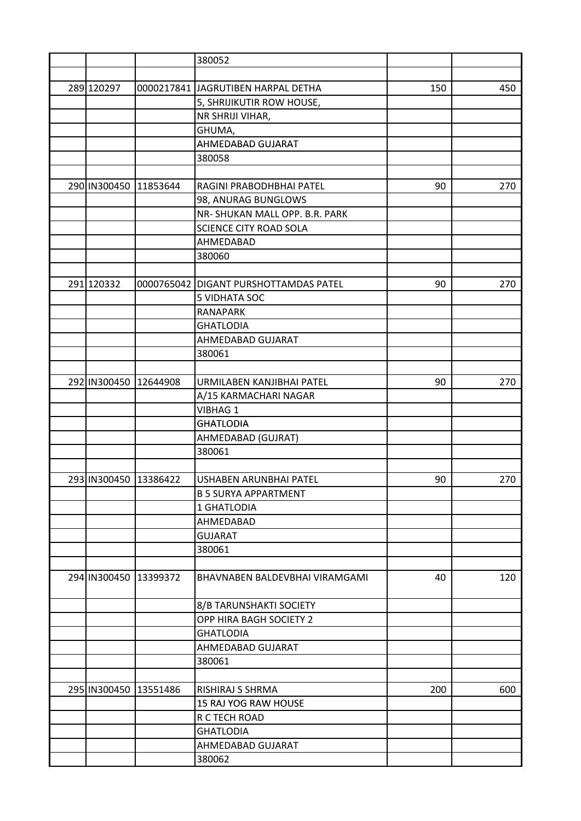|                       |                       | 380052                                |     |     |
|-----------------------|-----------------------|---------------------------------------|-----|-----|
|                       |                       |                                       |     |     |
| 289 120297            |                       | 0000217841 JAGRUTIBEN HARPAL DETHA    | 150 | 450 |
|                       |                       | 5, SHRIJIKUTIR ROW HOUSE,             |     |     |
|                       |                       | NR SHRIJI VIHAR,                      |     |     |
|                       |                       | GHUMA,                                |     |     |
|                       |                       | AHMEDABAD GUJARAT                     |     |     |
|                       |                       | 380058                                |     |     |
|                       |                       |                                       |     |     |
| 290 IN300450 11853644 |                       | RAGINI PRABODHBHAI PATEL              | 90  | 270 |
|                       |                       | 98, ANURAG BUNGLOWS                   |     |     |
|                       |                       | NR- SHUKAN MALL OPP. B.R. PARK        |     |     |
|                       |                       | <b>SCIENCE CITY ROAD SOLA</b>         |     |     |
|                       |                       | AHMEDABAD                             |     |     |
|                       |                       | 380060                                |     |     |
|                       |                       |                                       |     |     |
|                       |                       |                                       |     |     |
| 291 120332            |                       | 0000765042 DIGANT PURSHOTTAMDAS PATEL | 90  | 270 |
|                       |                       | 5 VIDHATA SOC                         |     |     |
|                       |                       | <b>RANAPARK</b>                       |     |     |
|                       |                       | <b>GHATLODIA</b>                      |     |     |
|                       |                       | AHMEDABAD GUJARAT                     |     |     |
|                       |                       | 380061                                |     |     |
|                       |                       |                                       |     |     |
| 292 IN300450          | 12644908              | URMILABEN KANJIBHAI PATEL             | 90  | 270 |
|                       |                       | A/15 KARMACHARI NAGAR                 |     |     |
|                       |                       | VIBHAG 1                              |     |     |
|                       |                       | <b>GHATLODIA</b>                      |     |     |
|                       |                       | AHMEDABAD (GUJRAT)                    |     |     |
|                       |                       | 380061                                |     |     |
|                       |                       |                                       |     |     |
| 293 IN300450 13386422 |                       | USHABEN ARUNBHAI PATEL                | 90  | 270 |
|                       |                       | <b>B 5 SURYA APPARTMENT</b>           |     |     |
|                       |                       | 1 GHATLODIA                           |     |     |
|                       |                       | AHMEDABAD                             |     |     |
|                       |                       | <b>GUJARAT</b>                        |     |     |
|                       |                       | 380061                                |     |     |
|                       |                       |                                       |     |     |
|                       | 294 IN300450 13399372 | BHAVNABEN BALDEVBHAI VIRAMGAMI        | 40  | 120 |
|                       |                       | 8/B TARUNSHAKTI SOCIETY               |     |     |
|                       |                       | OPP HIRA BAGH SOCIETY 2               |     |     |
|                       |                       | <b>GHATLODIA</b>                      |     |     |
|                       |                       | AHMEDABAD GUJARAT                     |     |     |
|                       |                       | 380061                                |     |     |
|                       |                       |                                       |     |     |
|                       | 295 IN300450 13551486 | RISHIRAJ S SHRMA                      | 200 | 600 |
|                       |                       | 15 RAJ YOG RAW HOUSE                  |     |     |
|                       |                       | R C TECH ROAD                         |     |     |
|                       |                       | <b>GHATLODIA</b>                      |     |     |
|                       |                       | AHMEDABAD GUJARAT                     |     |     |
|                       |                       |                                       |     |     |
|                       |                       | 380062                                |     |     |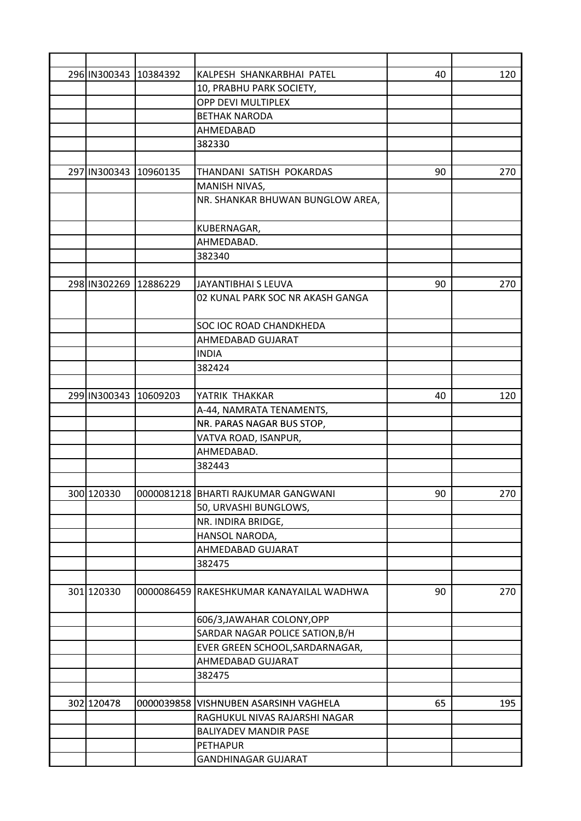|            | 296 IN300343 10384392 | KALPESH SHANKARBHAI PATEL                | 40 | 120 |
|------------|-----------------------|------------------------------------------|----|-----|
|            |                       | 10, PRABHU PARK SOCIETY,                 |    |     |
|            |                       | <b>OPP DEVI MULTIPLEX</b>                |    |     |
|            |                       | <b>BETHAK NARODA</b>                     |    |     |
|            |                       | AHMEDABAD                                |    |     |
|            |                       | 382330                                   |    |     |
|            |                       |                                          |    |     |
|            | 297 IN300343 10960135 | THANDANI SATISH POKARDAS                 | 90 | 270 |
|            |                       | MANISH NIVAS,                            |    |     |
|            |                       | NR. SHANKAR BHUWAN BUNGLOW AREA,         |    |     |
|            |                       | KUBERNAGAR,                              |    |     |
|            |                       | AHMEDABAD.                               |    |     |
|            |                       | 382340                                   |    |     |
|            |                       |                                          |    |     |
|            | 298 IN302269 12886229 | JAYANTIBHAI S LEUVA                      | 90 | 270 |
|            |                       | 02 KUNAL PARK SOC NR AKASH GANGA         |    |     |
|            |                       |                                          |    |     |
|            |                       | SOC IOC ROAD CHANDKHEDA                  |    |     |
|            |                       | AHMEDABAD GUJARAT                        |    |     |
|            |                       | <b>INDIA</b>                             |    |     |
|            |                       | 382424                                   |    |     |
|            |                       |                                          |    |     |
|            | 299 IN300343 10609203 | YATRIK THAKKAR                           | 40 | 120 |
|            |                       | A-44, NAMRATA TENAMENTS,                 |    |     |
|            |                       | NR. PARAS NAGAR BUS STOP,                |    |     |
|            |                       | VATVA ROAD, ISANPUR,                     |    |     |
|            |                       | AHMEDABAD.                               |    |     |
|            |                       | 382443                                   |    |     |
|            |                       |                                          |    |     |
| 300 120330 |                       | 0000081218 BHARTI RAJKUMAR GANGWANI      | 90 | 270 |
|            |                       | 50, URVASHI BUNGLOWS,                    |    |     |
|            |                       | NR. INDIRA BRIDGE,                       |    |     |
|            |                       | HANSOL NARODA,                           |    |     |
|            |                       | AHMEDABAD GUJARAT                        |    |     |
|            |                       | 382475                                   |    |     |
|            |                       |                                          |    |     |
| 301 120330 |                       | 0000086459 RAKESHKUMAR KANAYAILAL WADHWA | 90 | 270 |
|            |                       | 606/3, JAWAHAR COLONY, OPP               |    |     |
|            |                       | SARDAR NAGAR POLICE SATION, B/H          |    |     |
|            |                       | EVER GREEN SCHOOL, SARDARNAGAR,          |    |     |
|            |                       | AHMEDABAD GUJARAT                        |    |     |
|            |                       | 382475                                   |    |     |
|            |                       |                                          |    |     |
| 302 120478 | 0000039858            | VISHNUBEN ASARSINH VAGHELA               | 65 | 195 |
|            |                       | RAGHUKUL NIVAS RAJARSHI NAGAR            |    |     |
|            |                       | <b>BALIYADEV MANDIR PASE</b>             |    |     |
|            |                       | <b>PETHAPUR</b>                          |    |     |
|            |                       | <b>GANDHINAGAR GUJARAT</b>               |    |     |
|            |                       |                                          |    |     |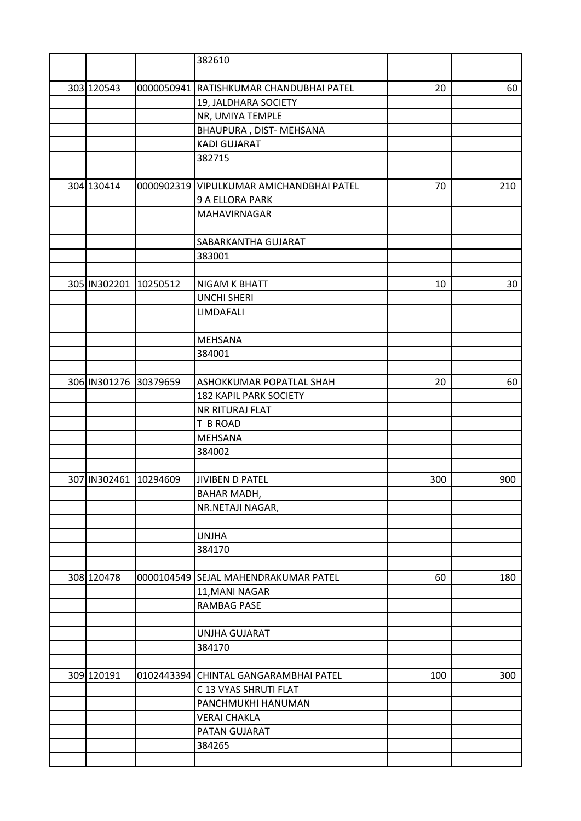|                       |                       | 382610                                  |     |     |
|-----------------------|-----------------------|-----------------------------------------|-----|-----|
|                       |                       |                                         |     |     |
| 303 120543            |                       | 0000050941 RATISHKUMAR CHANDUBHAI PATEL | 20  | 60  |
|                       |                       | 19, JALDHARA SOCIETY                    |     |     |
|                       |                       | NR, UMIYA TEMPLE                        |     |     |
|                       |                       | BHAUPURA, DIST-MEHSANA                  |     |     |
|                       |                       | <b>KADI GUJARAT</b>                     |     |     |
|                       |                       | 382715                                  |     |     |
|                       |                       |                                         |     |     |
| 304 130414            | 0000902319            | VIPULKUMAR AMICHANDBHAI PATEL           | 70  | 210 |
|                       |                       | 9 A ELLORA PARK                         |     |     |
|                       |                       | MAHAVIRNAGAR                            |     |     |
|                       |                       |                                         |     |     |
|                       |                       | SABARKANTHA GUJARAT                     |     |     |
|                       |                       | 383001                                  |     |     |
|                       |                       |                                         |     |     |
|                       | 305 IN302201 10250512 | <b>NIGAM K BHATT</b>                    | 10  | 30  |
|                       |                       | <b>UNCHI SHERI</b>                      |     |     |
|                       |                       | LIMDAFALI                               |     |     |
|                       |                       |                                         |     |     |
|                       |                       | <b>MEHSANA</b>                          |     |     |
|                       |                       | 384001                                  |     |     |
|                       |                       |                                         |     |     |
| 306 IN301276 30379659 |                       | ASHOKKUMAR POPATLAL SHAH                | 20  | 60  |
|                       |                       | <b>182 KAPIL PARK SOCIETY</b>           |     |     |
|                       |                       | NR RITURAJ FLAT                         |     |     |
|                       |                       | T B ROAD                                |     |     |
|                       |                       | <b>MEHSANA</b>                          |     |     |
|                       |                       | 384002                                  |     |     |
|                       |                       |                                         |     |     |
| 307 IN302461 10294609 |                       | <b>JIVIBEN D PATEL</b>                  | 300 | 900 |
|                       |                       | <b>BAHAR MADH,</b>                      |     |     |
|                       |                       | NR.NETAJI NAGAR,                        |     |     |
|                       |                       |                                         |     |     |
|                       |                       | <b>UNJHA</b>                            |     |     |
|                       |                       | 384170                                  |     |     |
|                       |                       |                                         |     |     |
| 308 120478            |                       | 0000104549 SEJAL MAHENDRAKUMAR PATEL    | 60  | 180 |
|                       |                       | 11, MANI NAGAR                          |     |     |
|                       |                       | RAMBAG PASE                             |     |     |
|                       |                       |                                         |     |     |
|                       |                       | UNJHA GUJARAT                           |     |     |
|                       |                       | 384170                                  |     |     |
|                       |                       |                                         |     |     |
| 309 120191            |                       | 0102443394 CHINTAL GANGARAMBHAI PATEL   | 100 | 300 |
|                       |                       | C 13 VYAS SHRUTI FLAT                   |     |     |
|                       |                       | PANCHMUKHI HANUMAN                      |     |     |
|                       |                       | <b>VERAI CHAKLA</b>                     |     |     |
|                       |                       | PATAN GUJARAT                           |     |     |
|                       |                       | 384265                                  |     |     |
|                       |                       |                                         |     |     |
|                       |                       |                                         |     |     |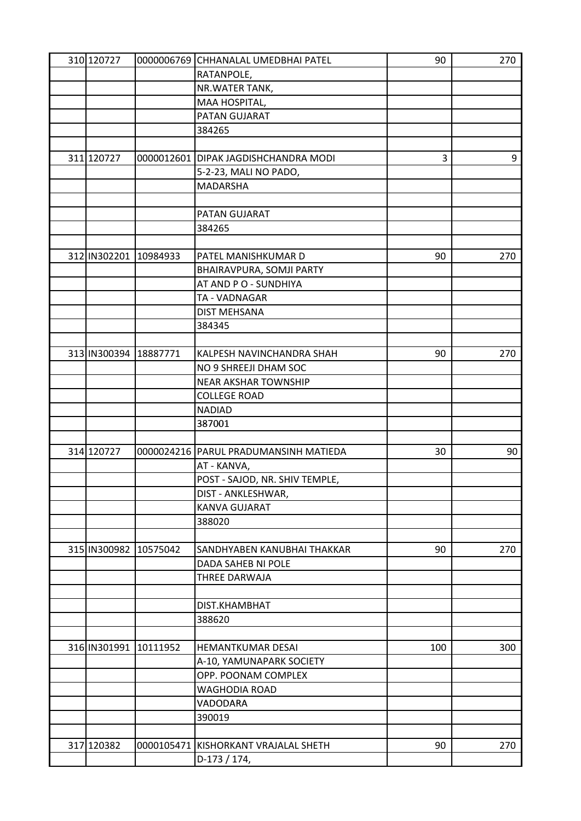| 310 120727   |                       | 0000006769 CHHANALAL UMEDBHAI PATEL   | 90  | 270 |
|--------------|-----------------------|---------------------------------------|-----|-----|
|              |                       | RATANPOLE,                            |     |     |
|              |                       | NR.WATER TANK,                        |     |     |
|              |                       | MAA HOSPITAL,                         |     |     |
|              |                       | PATAN GUJARAT                         |     |     |
|              |                       | 384265                                |     |     |
|              |                       |                                       |     |     |
| 311 120727   |                       | 0000012601 DIPAK JAGDISHCHANDRA MODI  | 3   | 9   |
|              |                       | 5-2-23, MALI NO PADO,                 |     |     |
|              |                       | <b>MADARSHA</b>                       |     |     |
|              |                       |                                       |     |     |
|              |                       | PATAN GUJARAT                         |     |     |
|              |                       | 384265                                |     |     |
|              |                       |                                       |     |     |
|              | 312 IN302201 10984933 | PATEL MANISHKUMAR D                   | 90  | 270 |
|              |                       | BHAIRAVPURA, SOMJI PARTY              |     |     |
|              |                       | AT AND PO - SUNDHIYA                  |     |     |
|              |                       | TA - VADNAGAR                         |     |     |
|              |                       | <b>DIST MEHSANA</b>                   |     |     |
|              |                       | 384345                                |     |     |
|              |                       |                                       |     |     |
|              |                       |                                       |     |     |
|              | 313 IN300394 18887771 | KALPESH NAVINCHANDRA SHAH             | 90  | 270 |
|              |                       | NO 9 SHREEJI DHAM SOC                 |     |     |
|              |                       | <b>NEAR AKSHAR TOWNSHIP</b>           |     |     |
|              |                       | <b>COLLEGE ROAD</b>                   |     |     |
|              |                       | <b>NADIAD</b>                         |     |     |
|              |                       | 387001                                |     |     |
|              |                       |                                       |     |     |
| 314 120727   |                       | 0000024216 PARUL PRADUMANSINH MATIEDA | 30  | 90  |
|              |                       | AT - KANVA,                           |     |     |
|              |                       | POST - SAJOD, NR. SHIV TEMPLE,        |     |     |
|              |                       | DIST - ANKLESHWAR,                    |     |     |
|              |                       | <b>KANVA GUJARAT</b>                  |     |     |
|              |                       | 388020                                |     |     |
|              |                       |                                       |     |     |
| 315 IN300982 | 10575042              | SANDHYABEN KANUBHAI THAKKAR           | 90  | 270 |
|              |                       | DADA SAHEB NI POLE                    |     |     |
|              |                       | THREE DARWAJA                         |     |     |
|              |                       |                                       |     |     |
|              |                       | DIST.KHAMBHAT                         |     |     |
|              |                       | 388620                                |     |     |
|              |                       |                                       |     |     |
|              | 316 IN301991 10111952 | <b>HEMANTKUMAR DESAI</b>              | 100 | 300 |
|              |                       | A-10, YAMUNAPARK SOCIETY              |     |     |
|              |                       | OPP. POONAM COMPLEX                   |     |     |
|              |                       | <b>WAGHODIA ROAD</b>                  |     |     |
|              |                       | VADODARA                              |     |     |
|              |                       | 390019                                |     |     |
|              |                       |                                       |     |     |
| 317 120382   |                       | 0000105471 KISHORKANT VRAJALAL SHETH  | 90  | 270 |
|              |                       | D-173 / 174,                          |     |     |
|              |                       |                                       |     |     |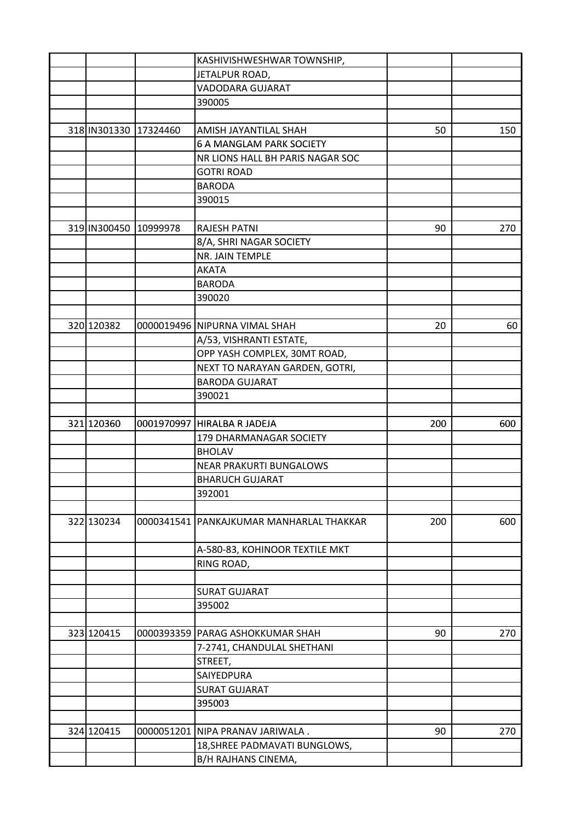|                       |          | KASHIVISHWESHWAR TOWNSHIP,               |     |     |
|-----------------------|----------|------------------------------------------|-----|-----|
|                       |          | JETALPUR ROAD,                           |     |     |
|                       |          | VADODARA GUJARAT                         |     |     |
|                       |          | 390005                                   |     |     |
|                       |          |                                          |     |     |
| 318 IN301330 17324460 |          | AMISH JAYANTILAL SHAH                    | 50  | 150 |
|                       |          | <b>6 A MANGLAM PARK SOCIETY</b>          |     |     |
|                       |          | NR LIONS HALL BH PARIS NAGAR SOC         |     |     |
|                       |          | <b>GOTRI ROAD</b>                        |     |     |
|                       |          | <b>BARODA</b>                            |     |     |
|                       |          | 390015                                   |     |     |
|                       |          |                                          |     |     |
| 319 IN300450          | 10999978 | <b>RAJESH PATNI</b>                      | 90  | 270 |
|                       |          | 8/A, SHRI NAGAR SOCIETY                  |     |     |
|                       |          | NR. JAIN TEMPLE                          |     |     |
|                       |          | <b>AKATA</b>                             |     |     |
|                       |          | <b>BARODA</b>                            |     |     |
|                       |          | 390020                                   |     |     |
|                       |          |                                          |     |     |
| 320 120382            |          | 0000019496 NIPURNA VIMAL SHAH            | 20  | 60  |
|                       |          | A/53, VISHRANTI ESTATE,                  |     |     |
|                       |          | OPP YASH COMPLEX, 30MT ROAD,             |     |     |
|                       |          | NEXT TO NARAYAN GARDEN, GOTRI,           |     |     |
|                       |          | <b>BARODA GUJARAT</b>                    |     |     |
|                       |          | 390021                                   |     |     |
|                       |          |                                          |     |     |
| 321 120360            |          | 0001970997 HIRALBA R JADEJA              | 200 | 600 |
|                       |          | 179 DHARMANAGAR SOCIETY                  |     |     |
|                       |          | <b>BHOLAV</b>                            |     |     |
|                       |          | <b>NEAR PRAKURTI BUNGALOWS</b>           |     |     |
|                       |          | <b>BHARUCH GUJARAT</b>                   |     |     |
|                       |          | 392001                                   |     |     |
|                       |          |                                          |     |     |
| 322 130234            |          | 0000341541 PANKAJKUMAR MANHARLAL THAKKAR | 200 | 600 |
|                       |          | A-580-83, KOHINOOR TEXTILE MKT           |     |     |
|                       |          | RING ROAD,                               |     |     |
|                       |          |                                          |     |     |
|                       |          | <b>SURAT GUJARAT</b>                     |     |     |
|                       |          | 395002                                   |     |     |
|                       |          |                                          |     |     |
| 323 120415            |          | 0000393359 PARAG ASHOKKUMAR SHAH         | 90  | 270 |
|                       |          | 7-2741, CHANDULAL SHETHANI               |     |     |
|                       |          |                                          |     |     |
|                       |          | STREET,<br>SAIYEDPURA                    |     |     |
|                       |          |                                          |     |     |
|                       |          | <b>SURAT GUJARAT</b>                     |     |     |
|                       |          | 395003                                   |     |     |
|                       |          |                                          |     |     |
| 324 120415            |          | 0000051201 NIPA PRANAV JARIWALA.         | 90  | 270 |
|                       |          | 18, SHREE PADMAVATI BUNGLOWS,            |     |     |
|                       |          | B/H RAJHANS CINEMA,                      |     |     |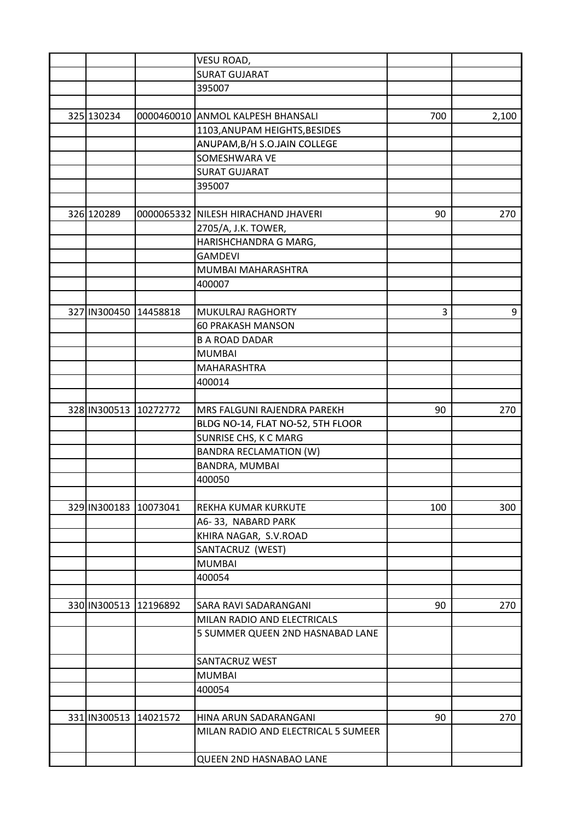|                       |          | VESU ROAD,                          |     |       |
|-----------------------|----------|-------------------------------------|-----|-------|
|                       |          | <b>SURAT GUJARAT</b>                |     |       |
|                       |          | 395007                              |     |       |
|                       |          |                                     |     |       |
| 325 130234            |          | 0000460010 ANMOL KALPESH BHANSALI   | 700 | 2,100 |
|                       |          | 1103, ANUPAM HEIGHTS, BESIDES       |     |       |
|                       |          | ANUPAM, B/H S.O.JAIN COLLEGE        |     |       |
|                       |          | SOMESHWARA VE                       |     |       |
|                       |          | <b>SURAT GUJARAT</b>                |     |       |
|                       |          | 395007                              |     |       |
|                       |          |                                     |     |       |
| 326 120289            |          | 0000065332 NILESH HIRACHAND JHAVERI | 90  | 270   |
|                       |          | 2705/A, J.K. TOWER,                 |     |       |
|                       |          | HARISHCHANDRA G MARG,               |     |       |
|                       |          | <b>GAMDEVI</b>                      |     |       |
|                       |          | MUMBAI MAHARASHTRA                  |     |       |
|                       |          | 400007                              |     |       |
|                       |          |                                     |     |       |
| 327 IN300450          | 14458818 | MUKULRAJ RAGHORTY                   | 3   | 9     |
|                       |          | <b>60 PRAKASH MANSON</b>            |     |       |
|                       |          | <b>B A ROAD DADAR</b>               |     |       |
|                       |          | <b>MUMBAI</b>                       |     |       |
|                       |          | MAHARASHTRA                         |     |       |
|                       |          | 400014                              |     |       |
|                       |          |                                     |     |       |
| 328 IN300513 10272772 |          | MRS FALGUNI RAJENDRA PAREKH         | 90  | 270   |
|                       |          | BLDG NO-14, FLAT NO-52, 5TH FLOOR   |     |       |
|                       |          | SUNRISE CHS, K C MARG               |     |       |
|                       |          | <b>BANDRA RECLAMATION (W)</b>       |     |       |
|                       |          | BANDRA, MUMBAI                      |     |       |
|                       |          | 400050                              |     |       |
|                       |          |                                     |     |       |
| 329 IN300183 10073041 |          | REKHA KUMAR KURKUTE                 | 100 | 300   |
|                       |          | A6-33, NABARD PARK                  |     |       |
|                       |          | KHIRA NAGAR, S.V.ROAD               |     |       |
|                       |          | SANTACRUZ (WEST)                    |     |       |
|                       |          | <b>MUMBAI</b>                       |     |       |
|                       |          | 400054                              |     |       |
|                       |          |                                     |     |       |
| 330 IN300513 12196892 |          | SARA RAVI SADARANGANI               | 90  | 270   |
|                       |          | MILAN RADIO AND ELECTRICALS         |     |       |
|                       |          | 5 SUMMER QUEEN 2ND HASNABAD LANE    |     |       |
|                       |          | SANTACRUZ WEST                      |     |       |
|                       |          | <b>MUMBAI</b>                       |     |       |
|                       |          | 400054                              |     |       |
|                       |          |                                     |     |       |
| 331 IN300513 14021572 |          | HINA ARUN SADARANGANI               | 90  | 270   |
|                       |          | MILAN RADIO AND ELECTRICAL 5 SUMEER |     |       |
|                       |          |                                     |     |       |
|                       |          | QUEEN 2ND HASNABAO LANE             |     |       |
|                       |          |                                     |     |       |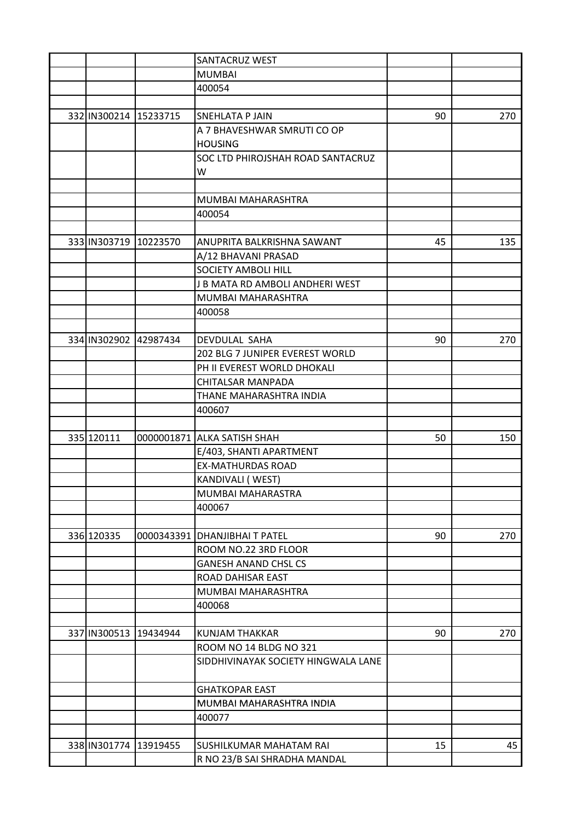|                       |          | SANTACRUZ WEST                      |    |     |
|-----------------------|----------|-------------------------------------|----|-----|
|                       |          | <b>MUMBAI</b>                       |    |     |
|                       |          | 400054                              |    |     |
|                       |          |                                     |    |     |
| 332 IN300214 15233715 |          | <b>SNEHLATA P JAIN</b>              | 90 | 270 |
|                       |          | A 7 BHAVESHWAR SMRUTI CO OP         |    |     |
|                       |          | <b>HOUSING</b>                      |    |     |
|                       |          | SOC LTD PHIROJSHAH ROAD SANTACRUZ   |    |     |
|                       |          | W                                   |    |     |
|                       |          |                                     |    |     |
|                       |          | MUMBAI MAHARASHTRA                  |    |     |
|                       |          | 400054                              |    |     |
|                       |          |                                     |    |     |
| 333 IN303719 10223570 |          | ANUPRITA BALKRISHNA SAWANT          | 45 | 135 |
|                       |          | A/12 BHAVANI PRASAD                 |    |     |
|                       |          | <b>SOCIETY AMBOLI HILL</b>          |    |     |
|                       |          | J B MATA RD AMBOLI ANDHERI WEST     |    |     |
|                       |          | MUMBAI MAHARASHTRA                  |    |     |
|                       |          | 400058                              |    |     |
|                       |          |                                     |    |     |
| 334 IN302902 42987434 |          | DEVDULAL SAHA                       | 90 | 270 |
|                       |          | 202 BLG 7 JUNIPER EVEREST WORLD     |    |     |
|                       |          | PH II EVEREST WORLD DHOKALI         |    |     |
|                       |          | CHITALSAR MANPADA                   |    |     |
|                       |          | THANE MAHARASHTRA INDIA             |    |     |
|                       |          | 400607                              |    |     |
|                       |          |                                     |    |     |
| 335 120111            |          | 0000001871 ALKA SATISH SHAH         | 50 | 150 |
|                       |          | E/403, SHANTI APARTMENT             |    |     |
|                       |          | <b>EX-MATHURDAS ROAD</b>            |    |     |
|                       |          | KANDIVALI (WEST)                    |    |     |
|                       |          | MUMBAI MAHARASTRA                   |    |     |
|                       |          | 400067                              |    |     |
|                       |          |                                     |    |     |
| 336 120335            |          | 0000343391   DHANJIBHAI T PATEL     | 90 | 270 |
|                       |          | ROOM NO.22 3RD FLOOR                |    |     |
|                       |          | <b>GANESH ANAND CHSL CS</b>         |    |     |
|                       |          | ROAD DAHISAR EAST                   |    |     |
|                       |          | MUMBAI MAHARASHTRA                  |    |     |
|                       |          | 400068                              |    |     |
|                       |          |                                     |    |     |
| 337 IN300513          | 19434944 | KUNJAM THAKKAR                      | 90 | 270 |
|                       |          | ROOM NO 14 BLDG NO 321              |    |     |
|                       |          | SIDDHIVINAYAK SOCIETY HINGWALA LANE |    |     |
|                       |          |                                     |    |     |
|                       |          | <b>GHATKOPAR EAST</b>               |    |     |
|                       |          | MUMBAI MAHARASHTRA INDIA            |    |     |
|                       |          | 400077                              |    |     |
|                       |          |                                     |    |     |
| 338 IN301774          | 13919455 | SUSHILKUMAR MAHATAM RAI             | 15 | 45  |
|                       |          | R NO 23/B SAI SHRADHA MANDAL        |    |     |
|                       |          |                                     |    |     |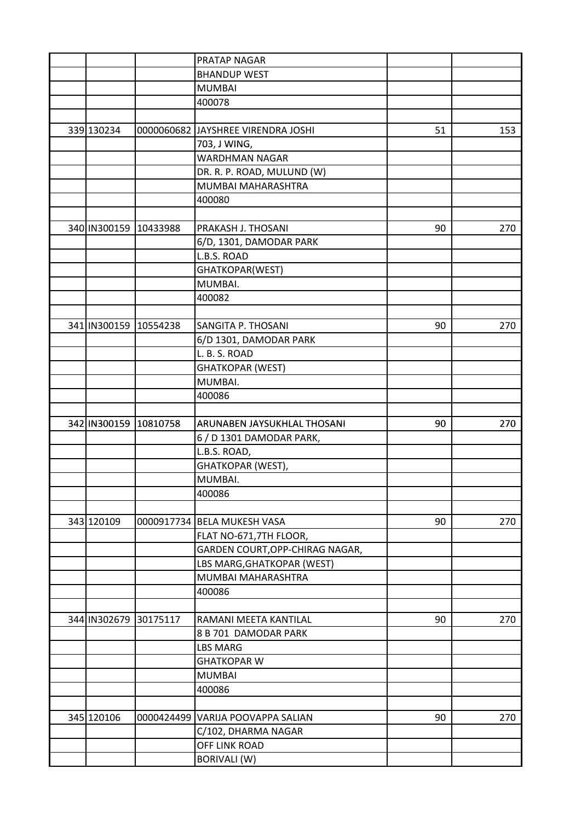|                       |            | PRATAP NAGAR                       |    |     |
|-----------------------|------------|------------------------------------|----|-----|
|                       |            | <b>BHANDUP WEST</b>                |    |     |
|                       |            | <b>MUMBAI</b>                      |    |     |
|                       |            | 400078                             |    |     |
|                       |            |                                    |    |     |
| 339 130234            |            | 0000060682 JAYSHREE VIRENDRA JOSHI | 51 | 153 |
|                       |            | 703, J WING,                       |    |     |
|                       |            | <b>WARDHMAN NAGAR</b>              |    |     |
|                       |            | DR. R. P. ROAD, MULUND (W)         |    |     |
|                       |            | MUMBAI MAHARASHTRA                 |    |     |
|                       |            | 400080                             |    |     |
|                       |            |                                    |    |     |
| 340 IN300159 10433988 |            | PRAKASH J. THOSANI                 | 90 | 270 |
|                       |            | 6/D, 1301, DAMODAR PARK            |    |     |
|                       |            | L.B.S. ROAD                        |    |     |
|                       |            | GHATKOPAR(WEST)                    |    |     |
|                       |            | MUMBAI.                            |    |     |
|                       |            | 400082                             |    |     |
|                       |            |                                    |    |     |
| 341 IN300159 10554238 |            | SANGITA P. THOSANI                 | 90 | 270 |
|                       |            | 6/D 1301, DAMODAR PARK             |    |     |
|                       |            | L. B. S. ROAD                      |    |     |
|                       |            | <b>GHATKOPAR (WEST)</b>            |    |     |
|                       |            | MUMBAI.                            |    |     |
|                       |            | 400086                             |    |     |
|                       |            |                                    |    |     |
| 342 IN300159 10810758 |            | ARUNABEN JAYSUKHLAL THOSANI        | 90 | 270 |
|                       |            | 6 / D 1301 DAMODAR PARK,           |    |     |
|                       |            | L.B.S. ROAD,                       |    |     |
|                       |            | GHATKOPAR (WEST),                  |    |     |
|                       |            | MUMBAI.                            |    |     |
|                       |            | 400086                             |    |     |
|                       |            |                                    |    |     |
| 343 120109            |            | 0000917734 BELA MUKESH VASA        | 90 | 270 |
|                       |            | FLAT NO-671,7TH FLOOR,             |    |     |
|                       |            | GARDEN COURT, OPP-CHIRAG NAGAR,    |    |     |
|                       |            | LBS MARG, GHATKOPAR (WEST)         |    |     |
|                       |            | MUMBAI MAHARASHTRA                 |    |     |
|                       |            | 400086                             |    |     |
|                       |            |                                    |    |     |
| 344 IN302679          | 30175117   | RAMANI MEETA KANTILAL              | 90 | 270 |
|                       |            | 8 B 701 DAMODAR PARK               |    |     |
|                       |            | <b>LBS MARG</b>                    |    |     |
|                       |            | <b>GHATKOPAR W</b>                 |    |     |
|                       |            | <b>MUMBAI</b>                      |    |     |
|                       |            | 400086                             |    |     |
|                       |            |                                    |    |     |
| 345 120106            | 0000424499 | VARIJA POOVAPPA SALIAN             | 90 | 270 |
|                       |            | C/102, DHARMA NAGAR                |    |     |
|                       |            | OFF LINK ROAD                      |    |     |
|                       |            | <b>BORIVALI (W)</b>                |    |     |
|                       |            |                                    |    |     |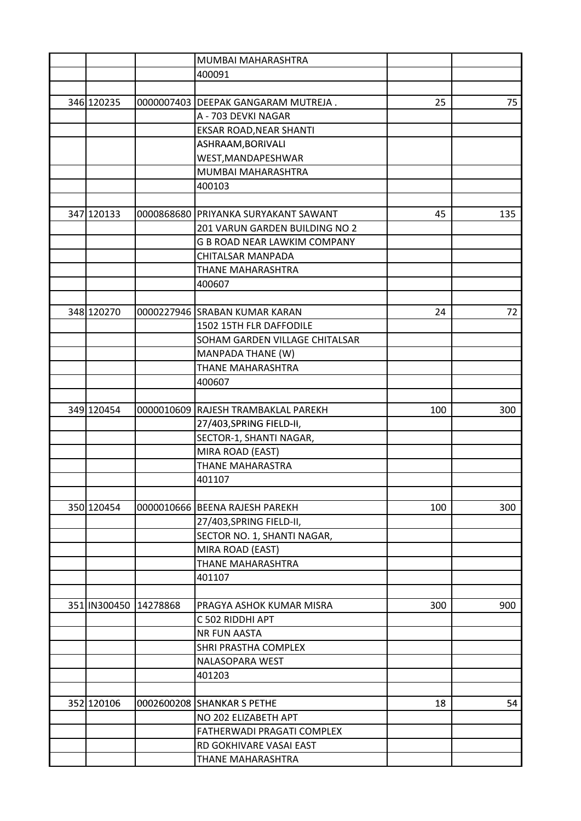|                       | MUMBAI MAHARASHTRA                   |     |     |
|-----------------------|--------------------------------------|-----|-----|
|                       | 400091                               |     |     |
|                       |                                      |     |     |
| 346 120235            | 0000007403 DEEPAK GANGARAM MUTREJA.  | 25  | 75  |
|                       | A - 703 DEVKI NAGAR                  |     |     |
|                       | EKSAR ROAD, NEAR SHANTI              |     |     |
|                       | ASHRAAM, BORIVALI                    |     |     |
|                       | WEST, MANDAPESHWAR                   |     |     |
|                       | MUMBAI MAHARASHTRA                   |     |     |
|                       | 400103                               |     |     |
|                       |                                      |     |     |
| 347 120133            | 0000868680 PRIYANKA SURYAKANT SAWANT | 45  | 135 |
|                       | 201 VARUN GARDEN BUILDING NO 2       |     |     |
|                       | G B ROAD NEAR LAWKIM COMPANY         |     |     |
|                       | CHITALSAR MANPADA                    |     |     |
|                       | THANE MAHARASHTRA                    |     |     |
|                       | 400607                               |     |     |
|                       |                                      |     |     |
| 348 120270            | 0000227946 SRABAN KUMAR KARAN        | 24  | 72  |
|                       | 1502 15TH FLR DAFFODILE              |     |     |
|                       | SOHAM GARDEN VILLAGE CHITALSAR       |     |     |
|                       | MANPADA THANE (W)                    |     |     |
|                       | THANE MAHARASHTRA                    |     |     |
|                       | 400607                               |     |     |
|                       |                                      |     |     |
| 349 120454            |                                      |     |     |
|                       | 0000010609 RAJESH TRAMBAKLAL PAREKH  | 100 | 300 |
|                       | 27/403, SPRING FIELD-II,             |     |     |
|                       | SECTOR-1, SHANTI NAGAR,              |     |     |
|                       | MIRA ROAD (EAST)                     |     |     |
|                       | <b>THANE MAHARASTRA</b>              |     |     |
|                       | 401107                               |     |     |
|                       |                                      |     |     |
| 350 120454            | 0000010666 BEENA RAJESH PAREKH       | 100 | 300 |
|                       | 27/403, SPRING FIELD-II,             |     |     |
|                       | SECTOR NO. 1, SHANTI NAGAR,          |     |     |
|                       | MIRA ROAD (EAST)                     |     |     |
|                       | THANE MAHARASHTRA                    |     |     |
|                       | 401107                               |     |     |
|                       |                                      |     |     |
| 351 IN300450 14278868 | PRAGYA ASHOK KUMAR MISRA             | 300 | 900 |
|                       | C 502 RIDDHI APT                     |     |     |
|                       | <b>NR FUN AASTA</b>                  |     |     |
|                       | SHRI PRASTHA COMPLEX                 |     |     |
|                       | NALASOPARA WEST                      |     |     |
|                       | 401203                               |     |     |
|                       |                                      |     |     |
| 352 120106            | 0002600208 SHANKAR S PETHE           | 18  | 54  |
|                       | NO 202 ELIZABETH APT                 |     |     |
|                       | FATHERWADI PRAGATI COMPLEX           |     |     |
|                       | RD GOKHIVARE VASAI EAST              |     |     |
|                       | THANE MAHARASHTRA                    |     |     |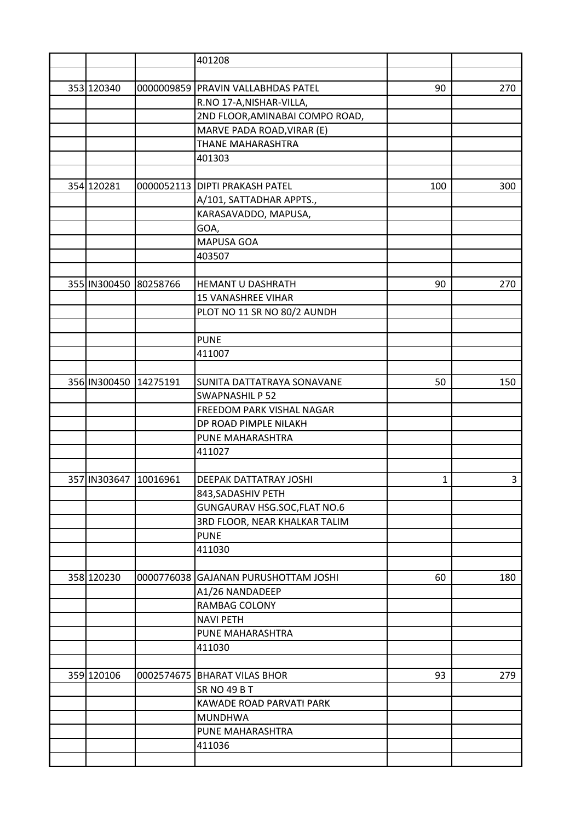|                         |            | 401208                             |              |     |
|-------------------------|------------|------------------------------------|--------------|-----|
|                         |            |                                    |              |     |
| 353 120340              |            | 0000009859 PRAVIN VALLABHDAS PATEL | 90           | 270 |
|                         |            | R.NO 17-A, NISHAR-VILLA,           |              |     |
|                         |            | 2ND FLOOR, AMINABAI COMPO ROAD,    |              |     |
|                         |            | MARVE PADA ROAD, VIRAR (E)         |              |     |
|                         |            | THANE MAHARASHTRA                  |              |     |
|                         |            | 401303                             |              |     |
|                         |            |                                    |              |     |
| 354 120281              |            | 0000052113 DIPTI PRAKASH PATEL     | 100          | 300 |
|                         |            | A/101, SATTADHAR APPTS.,           |              |     |
|                         |            | KARASAVADDO, MAPUSA,               |              |     |
|                         |            | GOA,                               |              |     |
|                         |            | <b>MAPUSA GOA</b>                  |              |     |
|                         |            | 403507                             |              |     |
|                         |            |                                    |              |     |
| 355 IN300450 80258766   |            | <b>HEMANT U DASHRATH</b>           | 90           | 270 |
|                         |            | <b>15 VANASHREE VIHAR</b>          |              |     |
|                         |            | PLOT NO 11 SR NO 80/2 AUNDH        |              |     |
|                         |            |                                    |              |     |
|                         |            | <b>PUNE</b>                        |              |     |
|                         |            | 411007                             |              |     |
|                         |            |                                    |              |     |
| 356 IN300450            | 14275191   | SUNITA DATTATRAYA SONAVANE         | 50           | 150 |
|                         |            | <b>SWAPNASHIL P 52</b>             |              |     |
|                         |            | FREEDOM PARK VISHAL NAGAR          |              |     |
|                         |            | DP ROAD PIMPLE NILAKH              |              |     |
|                         |            | PUNE MAHARASHTRA                   |              |     |
|                         |            | 411027                             |              |     |
|                         |            |                                    |              |     |
| 357 IN303647   10016961 |            | DEEPAK DATTATRAY JOSHI             | $\mathbf{1}$ | 3   |
|                         |            | 843, SADASHIV PETH                 |              |     |
|                         |            | GUNGAURAV HSG.SOC, FLAT NO.6       |              |     |
|                         |            | 3RD FLOOR, NEAR KHALKAR TALIM      |              |     |
|                         |            | <b>PUNE</b>                        |              |     |
|                         |            | 411030                             |              |     |
|                         |            |                                    |              |     |
| 358 120230              | 0000776038 | <b>GAJANAN PURUSHOTTAM JOSHI</b>   | 60           | 180 |
|                         |            | A1/26 NANDADEEP                    |              |     |
|                         |            | RAMBAG COLONY                      |              |     |
|                         |            | <b>NAVI PETH</b>                   |              |     |
|                         |            | PUNE MAHARASHTRA                   |              |     |
|                         |            | 411030                             |              |     |
|                         |            |                                    |              |     |
| 359 120106              |            | 0002574675 BHARAT VILAS BHOR       | 93           | 279 |
|                         |            | <b>SR NO 49 B T</b>                |              |     |
|                         |            | KAWADE ROAD PARVATI PARK           |              |     |
|                         |            | <b>MUNDHWA</b>                     |              |     |
|                         |            | PUNE MAHARASHTRA                   |              |     |
|                         |            | 411036                             |              |     |
|                         |            |                                    |              |     |
|                         |            |                                    |              |     |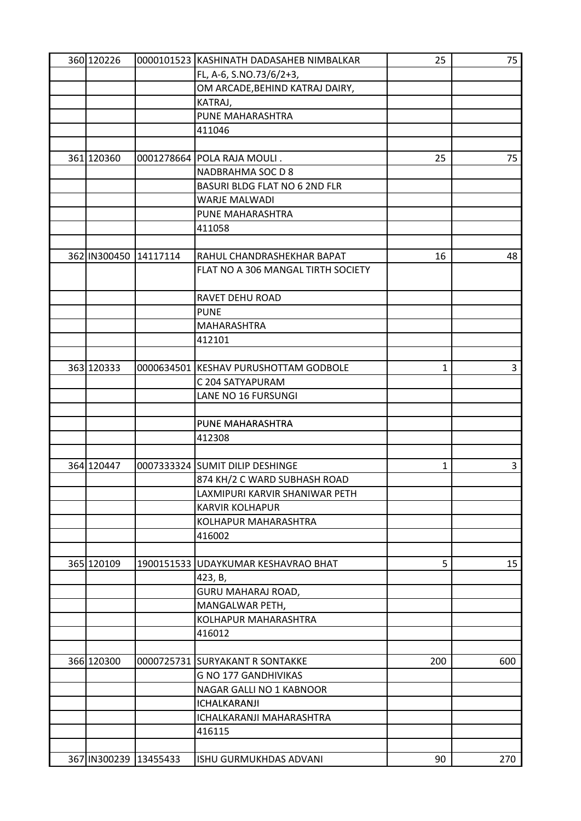| 360 120226            |            | 0000101523 KASHINATH DADASAHEB NIMBALKAR | 25           | 75  |
|-----------------------|------------|------------------------------------------|--------------|-----|
|                       |            | FL, A-6, S.NO.73/6/2+3,                  |              |     |
|                       |            | OM ARCADE, BEHIND KATRAJ DAIRY,          |              |     |
|                       |            | KATRAJ,                                  |              |     |
|                       |            | PUNE MAHARASHTRA                         |              |     |
|                       |            | 411046                                   |              |     |
|                       |            |                                          |              |     |
| 361 120360            |            | 0001278664 POLA RAJA MOULI.              | 25           | 75  |
|                       |            | NADBRAHMA SOC D 8                        |              |     |
|                       |            | <b>BASURI BLDG FLAT NO 6 2ND FLR</b>     |              |     |
|                       |            | <b>WARJE MALWADI</b>                     |              |     |
|                       |            | PUNE MAHARASHTRA                         |              |     |
|                       |            | 411058                                   |              |     |
|                       |            |                                          |              |     |
|                       |            |                                          |              |     |
| 362 IN300450 14117114 |            | RAHUL CHANDRASHEKHAR BAPAT               | 16           | 48  |
|                       |            | FLAT NO A 306 MANGAL TIRTH SOCIETY       |              |     |
|                       |            |                                          |              |     |
|                       |            | RAVET DEHU ROAD                          |              |     |
|                       |            | <b>PUNE</b>                              |              |     |
|                       |            | MAHARASHTRA                              |              |     |
|                       |            | 412101                                   |              |     |
|                       |            |                                          |              |     |
| 363 120333            |            | 0000634501 KESHAV PURUSHOTTAM GODBOLE    | $\mathbf{1}$ | 3   |
|                       |            | C 204 SATYAPURAM                         |              |     |
|                       |            | LANE NO 16 FURSUNGI                      |              |     |
|                       |            |                                          |              |     |
|                       |            | PUNE MAHARASHTRA                         |              |     |
|                       |            | 412308                                   |              |     |
|                       |            |                                          |              |     |
| 364 120447            |            | 0007333324 SUMIT DILIP DESHINGE          | $\mathbf{1}$ | 3   |
|                       |            | 874 KH/2 C WARD SUBHASH ROAD             |              |     |
|                       |            | LAXMIPURI KARVIR SHANIWAR PETH           |              |     |
|                       |            | <b>KARVIR KOLHAPUR</b>                   |              |     |
|                       |            | KOLHAPUR MAHARASHTRA                     |              |     |
|                       |            |                                          |              |     |
|                       |            | 416002                                   |              |     |
|                       |            |                                          |              |     |
| 365 120109            | 1900151533 | UDAYKUMAR KESHAVRAO BHAT                 | 5            | 15  |
|                       |            | 423, B,                                  |              |     |
|                       |            | GURU MAHARAJ ROAD,                       |              |     |
|                       |            | MANGALWAR PETH,                          |              |     |
|                       |            | KOLHAPUR MAHARASHTRA                     |              |     |
|                       |            | 416012                                   |              |     |
|                       |            |                                          |              |     |
| 366 120300            |            | 0000725731 SURYAKANT R SONTAKKE          | 200          | 600 |
|                       |            | G NO 177 GANDHIVIKAS                     |              |     |
|                       |            | NAGAR GALLI NO 1 KABNOOR                 |              |     |
|                       |            | <b>ICHALKARANJI</b>                      |              |     |
|                       |            | ICHALKARANJI MAHARASHTRA                 |              |     |
|                       |            | 416115                                   |              |     |
|                       |            |                                          |              |     |
| 367 IN300239 13455433 |            | <b>ISHU GURMUKHDAS ADVANI</b>            | 90           | 270 |
|                       |            |                                          |              |     |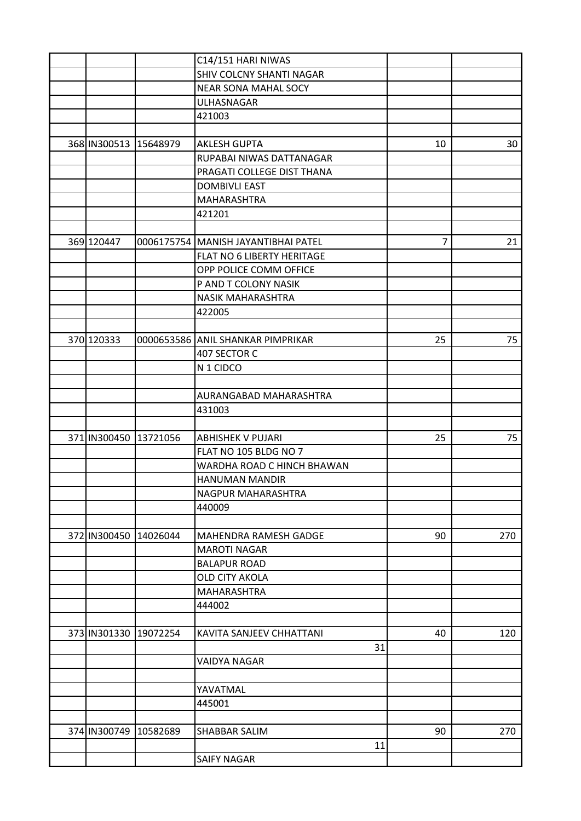|                       |          | C14/151 HARI NIWAS                  |    |     |
|-----------------------|----------|-------------------------------------|----|-----|
|                       |          | SHIV COLCNY SHANTI NAGAR            |    |     |
|                       |          | <b>NEAR SONA MAHAL SOCY</b>         |    |     |
|                       |          | ULHASNAGAR                          |    |     |
|                       |          | 421003                              |    |     |
|                       |          |                                     |    |     |
| 368 IN300513 15648979 |          | <b>AKLESH GUPTA</b>                 | 10 | 30  |
|                       |          | RUPABAI NIWAS DATTANAGAR            |    |     |
|                       |          | PRAGATI COLLEGE DIST THANA          |    |     |
|                       |          | <b>DOMBIVLI EAST</b>                |    |     |
|                       |          | MAHARASHTRA                         |    |     |
|                       |          | 421201                              |    |     |
|                       |          |                                     |    |     |
| 369 120447            |          | 0006175754 MANISH JAYANTIBHAI PATEL | 7  | 21  |
|                       |          | FLAT NO 6 LIBERTY HERITAGE          |    |     |
|                       |          | OPP POLICE COMM OFFICE              |    |     |
|                       |          | P AND T COLONY NASIK                |    |     |
|                       |          | <b>NASIK MAHARASHTRA</b>            |    |     |
|                       |          | 422005                              |    |     |
|                       |          |                                     |    |     |
| 370 120333            |          | 0000653586 ANIL SHANKAR PIMPRIKAR   | 25 | 75  |
|                       |          | 407 SECTOR C                        |    |     |
|                       |          | N 1 CIDCO                           |    |     |
|                       |          |                                     |    |     |
|                       |          | AURANGABAD MAHARASHTRA              |    |     |
|                       |          | 431003                              |    |     |
|                       |          |                                     |    |     |
| 371 IN300450          | 13721056 | <b>ABHISHEK V PUJARI</b>            | 25 | 75  |
|                       |          | FLAT NO 105 BLDG NO 7               |    |     |
|                       |          | WARDHA ROAD C HINCH BHAWAN          |    |     |
|                       |          | HANUMAN MANDIR                      |    |     |
|                       |          |                                     |    |     |
|                       |          | NAGPUR MAHARASHTRA<br>440009        |    |     |
|                       |          |                                     |    |     |
|                       |          |                                     |    |     |
| 372 IN300450 14026044 |          | MAHENDRA RAMESH GADGE               | 90 | 270 |
|                       |          | <b>MAROTI NAGAR</b>                 |    |     |
|                       |          | <b>BALAPUR ROAD</b>                 |    |     |
|                       |          | <b>OLD CITY AKOLA</b>               |    |     |
|                       |          | MAHARASHTRA                         |    |     |
|                       |          | 444002                              |    |     |
|                       |          |                                     |    |     |
| 373 IN301330          | 19072254 | KAVITA SANJEEV CHHATTANI            | 40 | 120 |
|                       |          | 31                                  |    |     |
|                       |          | <b>VAIDYA NAGAR</b>                 |    |     |
|                       |          |                                     |    |     |
|                       |          | YAVATMAL                            |    |     |
|                       |          | 445001                              |    |     |
|                       |          |                                     |    |     |
| 374 IN300749          | 10582689 | SHABBAR SALIM                       | 90 | 270 |
|                       |          | 11                                  |    |     |
|                       |          | <b>SAIFY NAGAR</b>                  |    |     |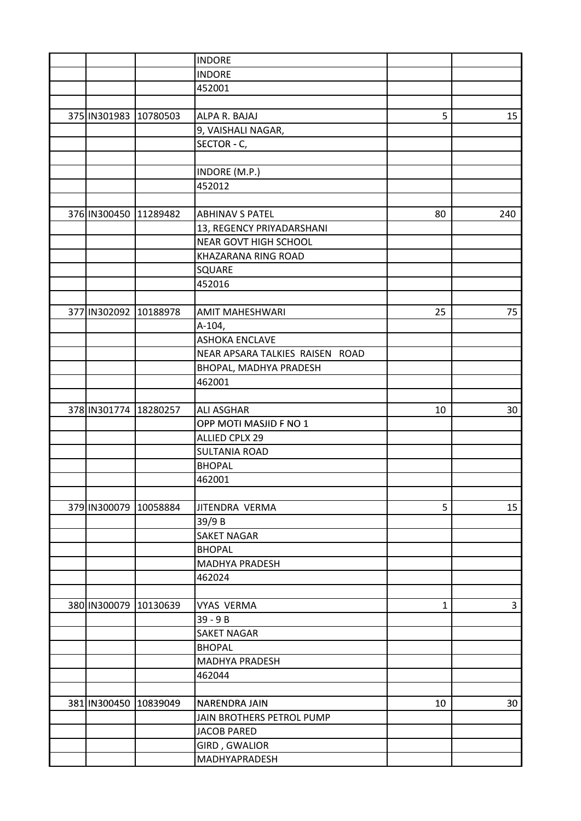|                       |          | <b>INDORE</b>                   |              |     |
|-----------------------|----------|---------------------------------|--------------|-----|
|                       |          | <b>INDORE</b>                   |              |     |
|                       |          | 452001                          |              |     |
|                       |          |                                 |              |     |
| 375 IN301983 10780503 |          | ALPA R. BAJAJ                   | 5            | 15  |
|                       |          | 9, VAISHALI NAGAR,              |              |     |
|                       |          | SECTOR - C,                     |              |     |
|                       |          |                                 |              |     |
|                       |          | INDORE (M.P.)                   |              |     |
|                       |          | 452012                          |              |     |
|                       |          |                                 |              |     |
| 376 IN300450 11289482 |          | <b>ABHINAV S PATEL</b>          | 80           | 240 |
|                       |          | 13, REGENCY PRIYADARSHANI       |              |     |
|                       |          | NEAR GOVT HIGH SCHOOL           |              |     |
|                       |          | KHAZARANA RING ROAD             |              |     |
|                       |          | SQUARE                          |              |     |
|                       |          | 452016                          |              |     |
|                       |          |                                 |              |     |
| 377 IN302092 10188978 |          | AMIT MAHESHWARI                 | 25           | 75  |
|                       |          | A-104,                          |              |     |
|                       |          | <b>ASHOKA ENCLAVE</b>           |              |     |
|                       |          | NEAR APSARA TALKIES RAISEN ROAD |              |     |
|                       |          | BHOPAL, MADHYA PRADESH          |              |     |
|                       |          | 462001                          |              |     |
|                       |          |                                 |              |     |
| 378 IN301774          | 18280257 | <b>ALI ASGHAR</b>               | 10           | 30  |
|                       |          | OPP MOTI MASJID F NO 1          |              |     |
|                       |          | <b>ALLIED CPLX 29</b>           |              |     |
|                       |          | <b>SULTANIA ROAD</b>            |              |     |
|                       |          | <b>BHOPAL</b>                   |              |     |
|                       |          | 462001                          |              |     |
|                       |          |                                 |              |     |
| 379 IN300079 10058884 |          | JITENDRA VERMA                  | 5            | 15  |
|                       |          | 39/9 B                          |              |     |
|                       |          | <b>SAKET NAGAR</b>              |              |     |
|                       |          | <b>BHOPAL</b>                   |              |     |
|                       |          | <b>MADHYA PRADESH</b>           |              |     |
|                       |          | 462024                          |              |     |
|                       |          |                                 |              |     |
| 380 IN300079 10130639 |          | <b>VYAS VERMA</b>               | $\mathbf{1}$ | 3   |
|                       |          | $39 - 9B$                       |              |     |
|                       |          | <b>SAKET NAGAR</b>              |              |     |
|                       |          | <b>BHOPAL</b>                   |              |     |
|                       |          | MADHYA PRADESH                  |              |     |
|                       |          | 462044                          |              |     |
|                       |          |                                 |              |     |
| 381 IN300450 10839049 |          | <b>NARENDRA JAIN</b>            | 10           | 30  |
|                       |          | JAIN BROTHERS PETROL PUMP       |              |     |
|                       |          | <b>JACOB PARED</b>              |              |     |
|                       |          | GIRD, GWALIOR                   |              |     |
|                       |          | MADHYAPRADESH                   |              |     |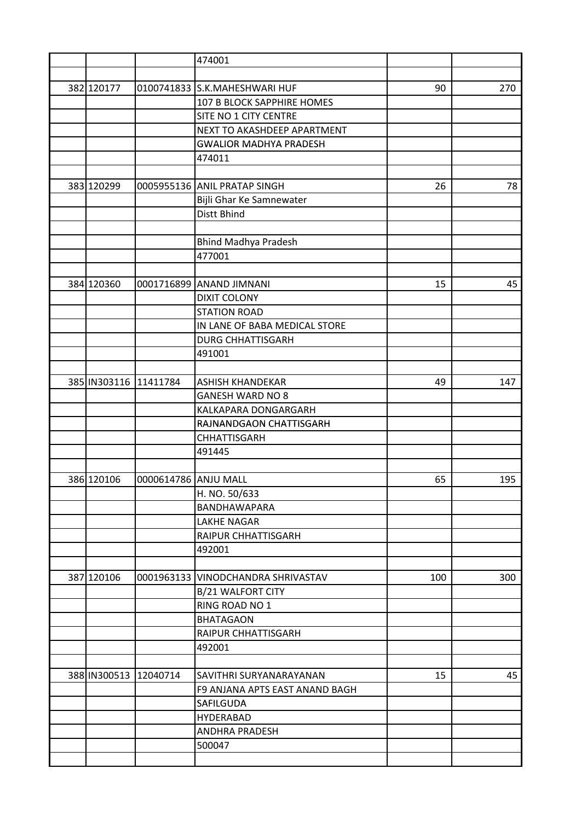|                       |                       | 474001                         |     |     |
|-----------------------|-----------------------|--------------------------------|-----|-----|
|                       |                       |                                |     |     |
| 382 120177            |                       | 0100741833 S.K.MAHESHWARI HUF  | 90  | 270 |
|                       |                       | 107 B BLOCK SAPPHIRE HOMES     |     |     |
|                       |                       | SITE NO 1 CITY CENTRE          |     |     |
|                       |                       | NEXT TO AKASHDEEP APARTMENT    |     |     |
|                       |                       | <b>GWALIOR MADHYA PRADESH</b>  |     |     |
|                       |                       | 474011                         |     |     |
|                       |                       |                                |     |     |
| 383 120299            |                       | 0005955136 ANIL PRATAP SINGH   | 26  | 78  |
|                       |                       | Bijli Ghar Ke Samnewater       |     |     |
|                       |                       | Distt Bhind                    |     |     |
|                       |                       |                                |     |     |
|                       |                       | Bhind Madhya Pradesh           |     |     |
|                       |                       | 477001                         |     |     |
|                       |                       |                                |     |     |
| 384 120360            |                       | 0001716899 ANAND JIMNANI       | 15  | 45  |
|                       |                       | <b>DIXIT COLONY</b>            |     |     |
|                       |                       | <b>STATION ROAD</b>            |     |     |
|                       |                       | IN LANE OF BABA MEDICAL STORE  |     |     |
|                       |                       |                                |     |     |
|                       |                       | <b>DURG CHHATTISGARH</b>       |     |     |
|                       |                       | 491001                         |     |     |
|                       |                       |                                |     |     |
| 385 IN303116 11411784 |                       | <b>ASHISH KHANDEKAR</b>        | 49  | 147 |
|                       |                       | <b>GANESH WARD NO 8</b>        |     |     |
|                       |                       | KALKAPARA DONGARGARH           |     |     |
|                       |                       | RAJNANDGAON CHATTISGARH        |     |     |
|                       |                       | <b>CHHATTISGARH</b>            |     |     |
|                       |                       | 491445                         |     |     |
|                       |                       |                                |     |     |
| 386 120106            | 0000614786 ANJU MALL  |                                | 65  | 195 |
|                       |                       | H. NO. 50/633                  |     |     |
|                       |                       | <b>BANDHAWAPARA</b>            |     |     |
|                       |                       | <b>LAKHE NAGAR</b>             |     |     |
|                       |                       | RAIPUR CHHATTISGARH            |     |     |
|                       |                       | 492001                         |     |     |
|                       |                       |                                |     |     |
| 387 120106            | 0001963133            | VINODCHANDRA SHRIVASTAV        | 100 | 300 |
|                       |                       | <b>B/21 WALFORT CITY</b>       |     |     |
|                       |                       | RING ROAD NO 1                 |     |     |
|                       |                       | <b>BHATAGAON</b>               |     |     |
|                       |                       | RAIPUR CHHATTISGARH            |     |     |
|                       |                       | 492001                         |     |     |
|                       |                       |                                |     |     |
|                       | 388 IN300513 12040714 | SAVITHRI SURYANARAYANAN        | 15  | 45  |
|                       |                       | F9 ANJANA APTS EAST ANAND BAGH |     |     |
|                       |                       | SAFILGUDA                      |     |     |
|                       |                       | HYDERABAD                      |     |     |
|                       |                       | ANDHRA PRADESH                 |     |     |
|                       |                       | 500047                         |     |     |
|                       |                       |                                |     |     |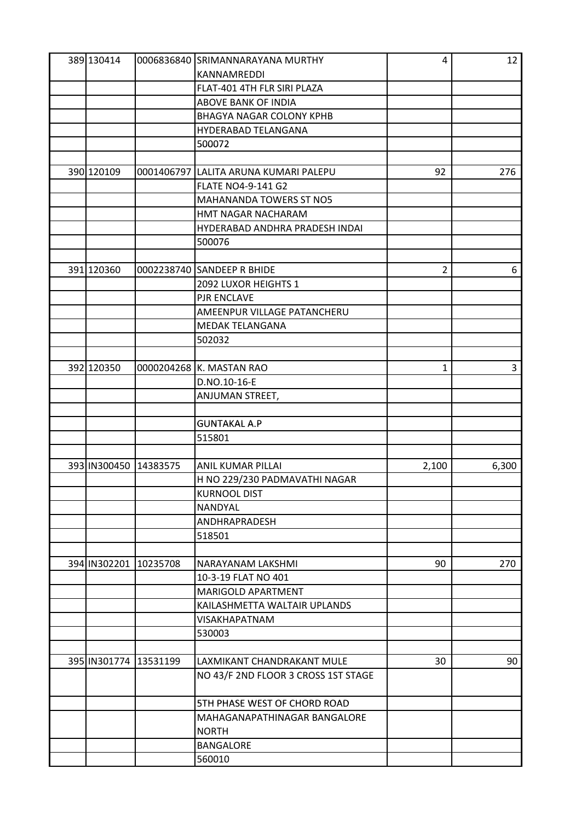| 389 130414            |                       | 0006836840 SRIMANNARAYANA MURTHY      | $\overline{4}$ | 12    |
|-----------------------|-----------------------|---------------------------------------|----------------|-------|
|                       |                       | KANNAMREDDI                           |                |       |
|                       |                       | FLAT-401 4TH FLR SIRI PLAZA           |                |       |
|                       |                       | ABOVE BANK OF INDIA                   |                |       |
|                       |                       | <b>BHAGYA NAGAR COLONY KPHB</b>       |                |       |
|                       |                       | HYDERABAD TELANGANA                   |                |       |
|                       |                       | 500072                                |                |       |
|                       |                       |                                       |                |       |
| 390 120109            |                       | 0001406797 LALITA ARUNA KUMARI PALEPU | 92             | 276   |
|                       |                       | <b>FLATE NO4-9-141 G2</b>             |                |       |
|                       |                       | <b>MAHANANDA TOWERS ST NO5</b>        |                |       |
|                       |                       | HMT NAGAR NACHARAM                    |                |       |
|                       |                       | HYDERABAD ANDHRA PRADESH INDAI        |                |       |
|                       |                       | 500076                                |                |       |
|                       |                       |                                       |                |       |
| 391 120360            |                       | 0002238740 SANDEEP R BHIDE            | 2              | 6     |
|                       |                       | 2092 LUXOR HEIGHTS 1                  |                |       |
|                       |                       | <b>PJR ENCLAVE</b>                    |                |       |
|                       |                       | AMEENPUR VILLAGE PATANCHERU           |                |       |
|                       |                       |                                       |                |       |
|                       |                       | <b>MEDAK TELANGANA</b>                |                |       |
|                       |                       | 502032                                |                |       |
|                       |                       |                                       |                |       |
| 392 120350            |                       | 0000204268 K. MASTAN RAO              | $\mathbf{1}$   | 3     |
|                       |                       | D.NO.10-16-E                          |                |       |
|                       |                       | ANJUMAN STREET,                       |                |       |
|                       |                       |                                       |                |       |
|                       |                       | <b>GUNTAKAL A.P</b>                   |                |       |
|                       |                       | 515801                                |                |       |
|                       |                       |                                       |                |       |
| 393 IN300450 14383575 |                       | ANIL KUMAR PILLAI                     | 2,100          | 6,300 |
|                       |                       | H NO 229/230 PADMAVATHI NAGAR         |                |       |
|                       |                       | <b>KURNOOL DIST</b>                   |                |       |
|                       |                       | <b>NANDYAL</b>                        |                |       |
|                       |                       | ANDHRAPRADESH                         |                |       |
|                       |                       | 518501                                |                |       |
|                       |                       |                                       |                |       |
| 394 IN302201 10235708 |                       | NARAYANAM LAKSHMI                     | 90             | 270   |
|                       |                       | 10-3-19 FLAT NO 401                   |                |       |
|                       |                       | MARIGOLD APARTMENT                    |                |       |
|                       |                       | KAILASHMETTA WALTAIR UPLANDS          |                |       |
|                       |                       | <b>VISAKHAPATNAM</b>                  |                |       |
|                       |                       | 530003                                |                |       |
|                       |                       |                                       |                |       |
|                       | 395 IN301774 13531199 | LAXMIKANT CHANDRAKANT MULE            | 30             | 90    |
|                       |                       | NO 43/F 2ND FLOOR 3 CROSS 1ST STAGE   |                |       |
|                       |                       |                                       |                |       |
|                       |                       | 5TH PHASE WEST OF CHORD ROAD          |                |       |
|                       |                       | MAHAGANAPATHINAGAR BANGALORE          |                |       |
|                       |                       | <b>NORTH</b>                          |                |       |
|                       |                       | <b>BANGALORE</b>                      |                |       |
|                       |                       | 560010                                |                |       |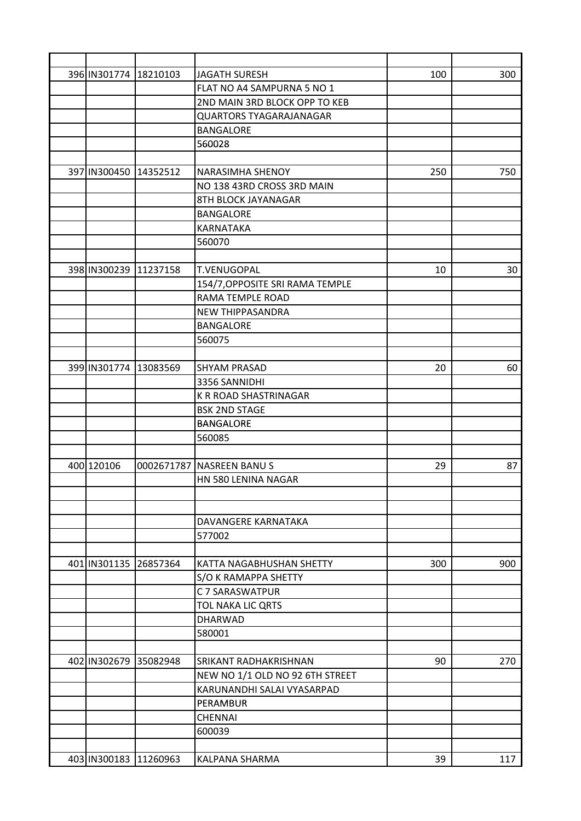| 396 IN301774 18210103 |          | <b>JAGATH SURESH</b>            | 100 | 300 |
|-----------------------|----------|---------------------------------|-----|-----|
|                       |          | FLAT NO A4 SAMPURNA 5 NO 1      |     |     |
|                       |          | 2ND MAIN 3RD BLOCK OPP TO KEB   |     |     |
|                       |          | <b>QUARTORS TYAGARAJANAGAR</b>  |     |     |
|                       |          | <b>BANGALORE</b>                |     |     |
|                       |          | 560028                          |     |     |
|                       |          |                                 |     |     |
| 397 IN300450          | 14352512 | <b>NARASIMHA SHENOY</b>         | 250 | 750 |
|                       |          | NO 138 43RD CROSS 3RD MAIN      |     |     |
|                       |          | 8TH BLOCK JAYANAGAR             |     |     |
|                       |          | <b>BANGALORE</b>                |     |     |
|                       |          | KARNATAKA                       |     |     |
|                       |          | 560070                          |     |     |
|                       |          |                                 |     |     |
| 398 IN300239 11237158 |          | T.VENUGOPAL                     | 10  | 30  |
|                       |          | 154/7, OPPOSITE SRI RAMA TEMPLE |     |     |
|                       |          | RAMA TEMPLE ROAD                |     |     |
|                       |          | <b>NEW THIPPASANDRA</b>         |     |     |
|                       |          | <b>BANGALORE</b>                |     |     |
|                       |          | 560075                          |     |     |
|                       |          |                                 |     |     |
| 399 IN301774 13083569 |          | <b>SHYAM PRASAD</b>             | 20  | 60  |
|                       |          | 3356 SANNIDHI                   |     |     |
|                       |          | <b>K R ROAD SHASTRINAGAR</b>    |     |     |
|                       |          | <b>BSK 2ND STAGE</b>            |     |     |
|                       |          | <b>BANGALORE</b>                |     |     |
|                       |          | 560085                          |     |     |
|                       |          |                                 |     |     |
| 400 120106            |          | 0002671787 NASREEN BANUS        | 29  | 87  |
|                       |          | HN 580 LENINA NAGAR             |     |     |
|                       |          |                                 |     |     |
|                       |          |                                 |     |     |
|                       |          | DAVANGERE KARNATAKA             |     |     |
|                       |          | 577002                          |     |     |
|                       |          |                                 |     |     |
| 401 IN301135 26857364 |          | KATTA NAGABHUSHAN SHETTY        | 300 | 900 |
|                       |          | S/O K RAMAPPA SHETTY            |     |     |
|                       |          | C 7 SARASWATPUR                 |     |     |
|                       |          | TOL NAKA LIC QRTS               |     |     |
|                       |          | <b>DHARWAD</b>                  |     |     |
|                       |          | 580001                          |     |     |
|                       |          |                                 |     |     |
| 402 IN302679 35082948 |          |                                 | 90  |     |
|                       |          | SRIKANT RADHAKRISHNAN           |     | 270 |
|                       |          | NEW NO 1/1 OLD NO 92 6TH STREET |     |     |
|                       |          | KARUNANDHI SALAI VYASARPAD      |     |     |
|                       |          | PERAMBUR                        |     |     |
|                       |          | <b>CHENNAI</b>                  |     |     |
|                       |          | 600039                          |     |     |
|                       |          |                                 |     |     |
| 403 IN300183 11260963 |          | KALPANA SHARMA                  | 39  | 117 |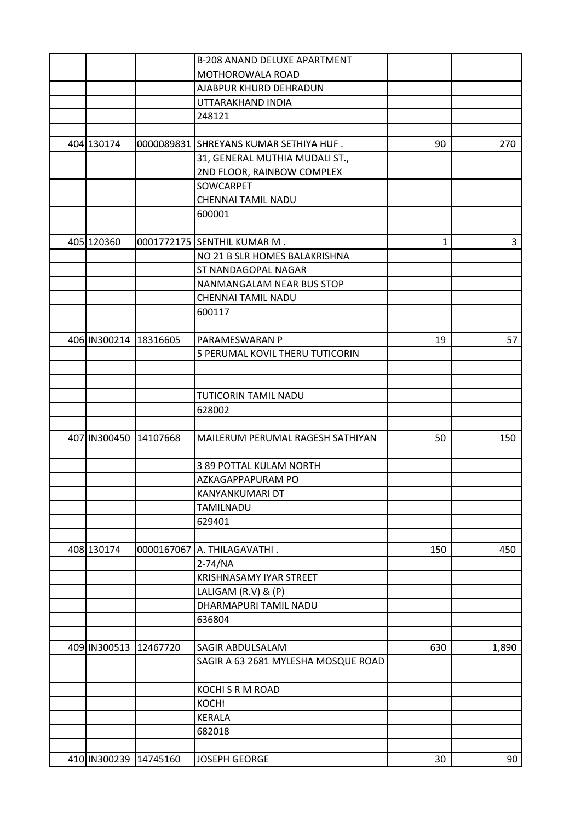|                       |          | <b>B-208 ANAND DELUXE APARTMENT</b>    |     |       |
|-----------------------|----------|----------------------------------------|-----|-------|
|                       |          | MOTHOROWALA ROAD                       |     |       |
|                       |          | AJABPUR KHURD DEHRADUN                 |     |       |
|                       |          | UTTARAKHAND INDIA                      |     |       |
|                       |          | 248121                                 |     |       |
|                       |          |                                        |     |       |
| 404 130174            |          | 0000089831 SHREYANS KUMAR SETHIYA HUF. | 90  | 270   |
|                       |          | 31, GENERAL MUTHIA MUDALI ST.,         |     |       |
|                       |          | 2ND FLOOR, RAINBOW COMPLEX             |     |       |
|                       |          | SOWCARPET                              |     |       |
|                       |          | CHENNAI TAMIL NADU                     |     |       |
|                       |          | 600001                                 |     |       |
|                       |          |                                        |     |       |
| 405 120360            |          | 0001772175 SENTHIL KUMAR M.            | 1   | 3     |
|                       |          | NO 21 B SLR HOMES BALAKRISHNA          |     |       |
|                       |          | ST NANDAGOPAL NAGAR                    |     |       |
|                       |          | NANMANGALAM NEAR BUS STOP              |     |       |
|                       |          | CHENNAI TAMIL NADU                     |     |       |
|                       |          | 600117                                 |     |       |
|                       |          |                                        |     |       |
| 406 IN300214 18316605 |          | PARAMESWARAN P                         | 19  | 57    |
|                       |          | 5 PERUMAL KOVIL THERU TUTICORIN        |     |       |
|                       |          |                                        |     |       |
|                       |          |                                        |     |       |
|                       |          | TUTICORIN TAMIL NADU                   |     |       |
|                       |          |                                        |     |       |
|                       |          | 628002                                 |     |       |
| 407 IN300450          | 14107668 | MAILERUM PERUMAL RAGESH SATHIYAN       |     | 150   |
|                       |          |                                        | 50  |       |
|                       |          | 3 89 POTTAL KULAM NORTH                |     |       |
|                       |          | AZKAGAPPAPURAM PO                      |     |       |
|                       |          | KANYANKUMARI DT                        |     |       |
|                       |          |                                        |     |       |
|                       |          | TAMILNADU                              |     |       |
|                       |          | 629401                                 |     |       |
|                       |          |                                        |     |       |
| 408 130174            |          | 0000167067 A. THILAGAVATHI.            | 150 | 450   |
|                       |          | $2-74/NA$                              |     |       |
|                       |          | KRISHNASAMY IYAR STREET                |     |       |
|                       |          | LALIGAM (R.V) & (P)                    |     |       |
|                       |          | DHARMAPURI TAMIL NADU                  |     |       |
|                       |          | 636804                                 |     |       |
|                       |          |                                        |     |       |
| 409 IN300513          | 12467720 | SAGIR ABDULSALAM                       | 630 | 1,890 |
|                       |          | SAGIR A 63 2681 MYLESHA MOSQUE ROAD    |     |       |
|                       |          |                                        |     |       |
|                       |          | KOCHI S R M ROAD                       |     |       |
|                       |          | <b>KOCHI</b>                           |     |       |
|                       |          | KERALA                                 |     |       |
|                       |          | 682018                                 |     |       |
|                       |          |                                        |     |       |
| 410 IN300239 14745160 |          | <b>JOSEPH GEORGE</b>                   | 30  | 90    |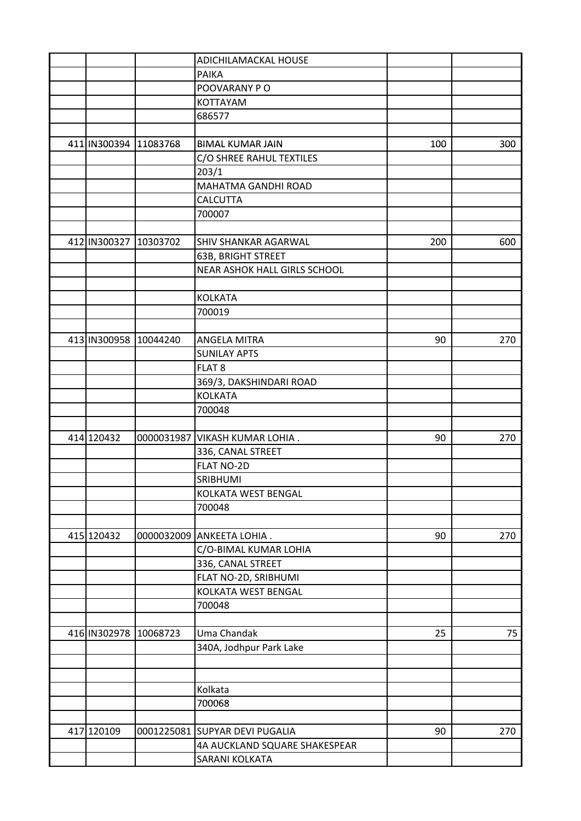|                       |          | ADICHILAMACKAL HOUSE           |     |     |
|-----------------------|----------|--------------------------------|-----|-----|
|                       |          | <b>PAIKA</b>                   |     |     |
|                       |          | POOVARANY PO                   |     |     |
|                       |          | KOTTAYAM                       |     |     |
|                       |          | 686577                         |     |     |
|                       |          |                                |     |     |
| 411 IN300394 11083768 |          | <b>BIMAL KUMAR JAIN</b>        | 100 | 300 |
|                       |          | C/O SHREE RAHUL TEXTILES       |     |     |
|                       |          | 203/1                          |     |     |
|                       |          | MAHATMA GANDHI ROAD            |     |     |
|                       |          | CALCUTTA                       |     |     |
|                       |          | 700007                         |     |     |
|                       |          |                                |     |     |
| 412 IN300327          | 10303702 | SHIV SHANKAR AGARWAL           | 200 | 600 |
|                       |          | <b>63B, BRIGHT STREET</b>      |     |     |
|                       |          | NEAR ASHOK HALL GIRLS SCHOOL   |     |     |
|                       |          |                                |     |     |
|                       |          | <b>KOLKATA</b>                 |     |     |
|                       |          | 700019                         |     |     |
|                       |          |                                |     |     |
| 413 IN300958 10044240 |          | <b>ANGELA MITRA</b>            | 90  | 270 |
|                       |          | <b>SUNILAY APTS</b>            |     |     |
|                       |          | FLAT <sub>8</sub>              |     |     |
|                       |          | 369/3, DAKSHINDARI ROAD        |     |     |
|                       |          | <b>KOLKATA</b>                 |     |     |
|                       |          | 700048                         |     |     |
|                       |          |                                |     |     |
| 414 120432            |          | 0000031987 VIKASH KUMAR LOHIA. | 90  | 270 |
|                       |          | 336, CANAL STREET              |     |     |
|                       |          | <b>FLAT NO-2D</b>              |     |     |
|                       |          | SRIBHUMI                       |     |     |
|                       |          | KOLKATA WEST BENGAL            |     |     |
|                       |          | 700048                         |     |     |
|                       |          |                                |     |     |
| 415 120432            |          | 0000032009 ANKEETA LOHIA.      | 90  | 270 |
|                       |          | C/O-BIMAL KUMAR LOHIA          |     |     |
|                       |          | 336, CANAL STREET              |     |     |
|                       |          | FLAT NO-2D, SRIBHUMI           |     |     |
|                       |          | <b>KOLKATA WEST BENGAL</b>     |     |     |
|                       |          | 700048                         |     |     |
|                       |          |                                |     |     |
| 416 IN302978          | 10068723 | Uma Chandak                    | 25  | 75  |
|                       |          | 340A, Jodhpur Park Lake        |     |     |
|                       |          |                                |     |     |
|                       |          |                                |     |     |
|                       |          | Kolkata                        |     |     |
|                       |          |                                |     |     |
|                       |          | 700068                         |     |     |
|                       |          |                                |     |     |
| 417 120109            |          | 0001225081 SUPYAR DEVI PUGALIA | 90  | 270 |
|                       |          | 4A AUCKLAND SQUARE SHAKESPEAR  |     |     |
|                       |          | SARANI KOLKATA                 |     |     |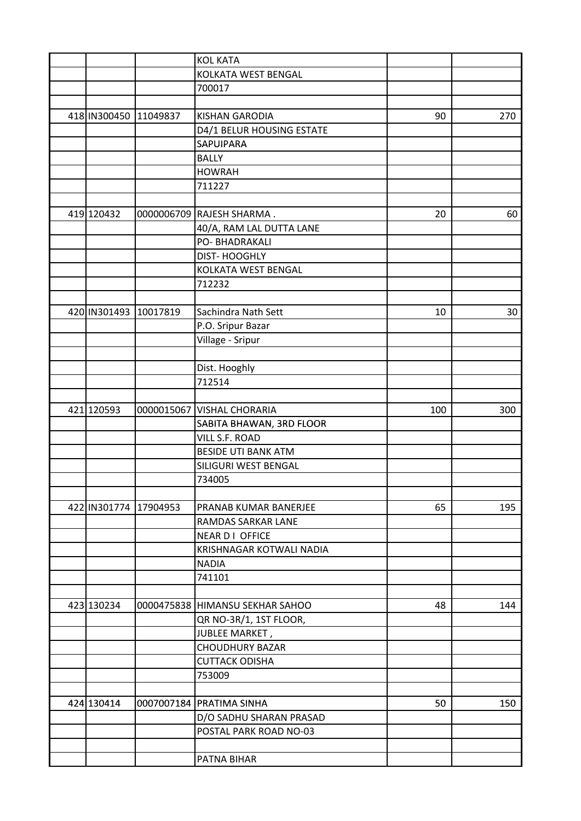|                       |            | <b>KOL KATA</b>                 |     |     |
|-----------------------|------------|---------------------------------|-----|-----|
|                       |            | <b>KOLKATA WEST BENGAL</b>      |     |     |
|                       |            | 700017                          |     |     |
|                       |            |                                 |     |     |
| 418 IN300450 11049837 |            | <b>KISHAN GARODIA</b>           | 90  | 270 |
|                       |            | D4/1 BELUR HOUSING ESTATE       |     |     |
|                       |            | SAPUIPARA                       |     |     |
|                       |            | <b>BALLY</b>                    |     |     |
|                       |            | <b>HOWRAH</b>                   |     |     |
|                       |            | 711227                          |     |     |
|                       |            |                                 |     |     |
| 419 120432            |            | 0000006709 RAJESH SHARMA.       | 20  | 60  |
|                       |            | 40/A, RAM LAL DUTTA LANE        |     |     |
|                       |            | PO- BHADRAKALI                  |     |     |
|                       |            | DIST-HOOGHLY                    |     |     |
|                       |            | KOLKATA WEST BENGAL             |     |     |
|                       |            | 712232                          |     |     |
|                       |            |                                 |     |     |
| 420 IN301493 10017819 |            | Sachindra Nath Sett             | 10  | 30  |
|                       |            | P.O. Sripur Bazar               |     |     |
|                       |            | Village - Sripur                |     |     |
|                       |            |                                 |     |     |
|                       |            | Dist. Hooghly                   |     |     |
|                       |            | 712514                          |     |     |
|                       |            |                                 |     |     |
| 421 120593            | 0000015067 | <b>VISHAL CHORARIA</b>          | 100 | 300 |
|                       |            | SABITA BHAWAN, 3RD FLOOR        |     |     |
|                       |            | VILL S.F. ROAD                  |     |     |
|                       |            | <b>BESIDE UTI BANK ATM</b>      |     |     |
|                       |            | SILIGURI WEST BENGAL            |     |     |
|                       |            | 734005                          |     |     |
|                       |            |                                 |     |     |
| 422 IN301774 17904953 |            | PRANAB KUMAR BANERJEE           | 65  | 195 |
|                       |            | RAMDAS SARKAR LANE              |     |     |
|                       |            | <b>NEAR DI OFFICE</b>           |     |     |
|                       |            | KRISHNAGAR KOTWALI NADIA        |     |     |
|                       |            | <b>NADIA</b>                    |     |     |
|                       |            | 741101                          |     |     |
|                       |            |                                 |     |     |
| 423 130234            |            | 0000475838 HIMANSU SEKHAR SAHOO | 48  | 144 |
|                       |            | QR NO-3R/1, 1ST FLOOR,          |     |     |
|                       |            | JUBLEE MARKET,                  |     |     |
|                       |            | <b>CHOUDHURY BAZAR</b>          |     |     |
|                       |            | <b>CUTTACK ODISHA</b>           |     |     |
|                       |            | 753009                          |     |     |
|                       |            |                                 |     |     |
| 424 130414            |            | 0007007184 PRATIMA SINHA        | 50  | 150 |
|                       |            | D/O SADHU SHARAN PRASAD         |     |     |
|                       |            | POSTAL PARK ROAD NO-03          |     |     |
|                       |            |                                 |     |     |
|                       |            | PATNA BIHAR                     |     |     |
|                       |            |                                 |     |     |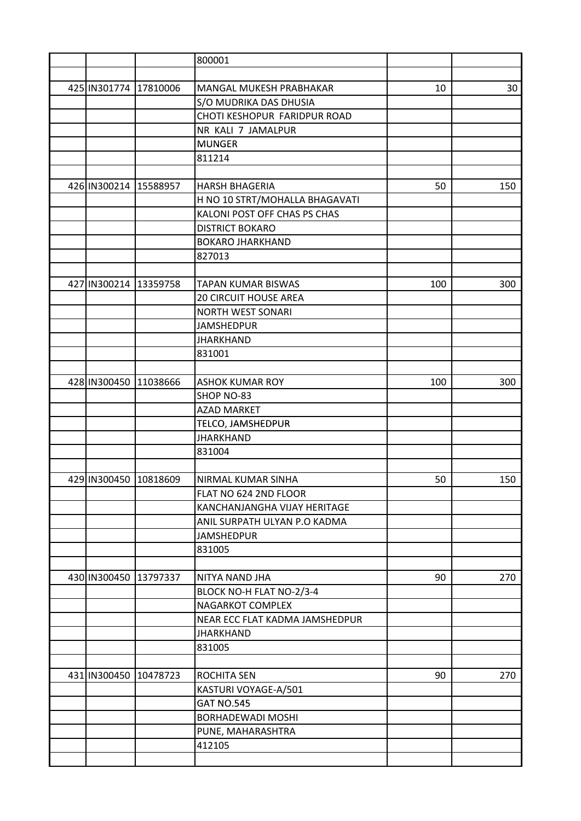|                       |          | 800001                         |     |     |
|-----------------------|----------|--------------------------------|-----|-----|
|                       |          |                                |     |     |
| 425 IN301774          | 17810006 | MANGAL MUKESH PRABHAKAR        | 10  | 30  |
|                       |          | S/O MUDRIKA DAS DHUSIA         |     |     |
|                       |          | CHOTI KESHOPUR FARIDPUR ROAD   |     |     |
|                       |          | NR KALI 7 JAMALPUR             |     |     |
|                       |          | <b>MUNGER</b>                  |     |     |
|                       |          | 811214                         |     |     |
|                       |          |                                |     |     |
| 426 IN300214          | 15588957 | <b>HARSH BHAGERIA</b>          | 50  | 150 |
|                       |          | H NO 10 STRT/MOHALLA BHAGAVATI |     |     |
|                       |          | KALONI POST OFF CHAS PS CHAS   |     |     |
|                       |          | <b>DISTRICT BOKARO</b>         |     |     |
|                       |          | <b>BOKARO JHARKHAND</b>        |     |     |
|                       |          | 827013                         |     |     |
|                       |          |                                |     |     |
| 427 IN300214 13359758 |          | <b>TAPAN KUMAR BISWAS</b>      | 100 | 300 |
|                       |          | <b>20 CIRCUIT HOUSE AREA</b>   |     |     |
|                       |          | <b>NORTH WEST SONARI</b>       |     |     |
|                       |          | <b>JAMSHEDPUR</b>              |     |     |
|                       |          | <b>JHARKHAND</b>               |     |     |
|                       |          | 831001                         |     |     |
|                       |          |                                |     |     |
| 428 IN300450          | 11038666 | <b>ASHOK KUMAR ROY</b>         | 100 | 300 |
|                       |          | SHOP NO-83                     |     |     |
|                       |          | <b>AZAD MARKET</b>             |     |     |
|                       |          | TELCO, JAMSHEDPUR              |     |     |
|                       |          | <b>JHARKHAND</b>               |     |     |
|                       |          | 831004                         |     |     |
|                       |          |                                |     |     |
| 429 IN300450 10818609 |          | NIRMAL KUMAR SINHA             | 50  | 150 |
|                       |          | FLAT NO 624 2ND FLOOR          |     |     |
|                       |          | KANCHANJANGHA VIJAY HERITAGE   |     |     |
|                       |          | ANIL SURPATH ULYAN P.O KADMA   |     |     |
|                       |          | <b>JAMSHEDPUR</b>              |     |     |
|                       |          | 831005                         |     |     |
|                       |          |                                |     |     |
| 430 IN300450 13797337 |          | NITYA NAND JHA                 | 90  | 270 |
|                       |          | BLOCK NO-H FLAT NO-2/3-4       |     |     |
|                       |          | NAGARKOT COMPLEX               |     |     |
|                       |          | NEAR ECC FLAT KADMA JAMSHEDPUR |     |     |
|                       |          | <b>JHARKHAND</b>               |     |     |
|                       |          | 831005                         |     |     |
|                       |          |                                |     |     |
| 431 IN300450 10478723 |          | <b>ROCHITA SEN</b>             | 90  | 270 |
|                       |          | KASTURI VOYAGE-A/501           |     |     |
|                       |          | <b>GAT NO.545</b>              |     |     |
|                       |          | <b>BORHADEWADI MOSHI</b>       |     |     |
|                       |          | PUNE, MAHARASHTRA              |     |     |
|                       |          | 412105                         |     |     |
|                       |          |                                |     |     |
|                       |          |                                |     |     |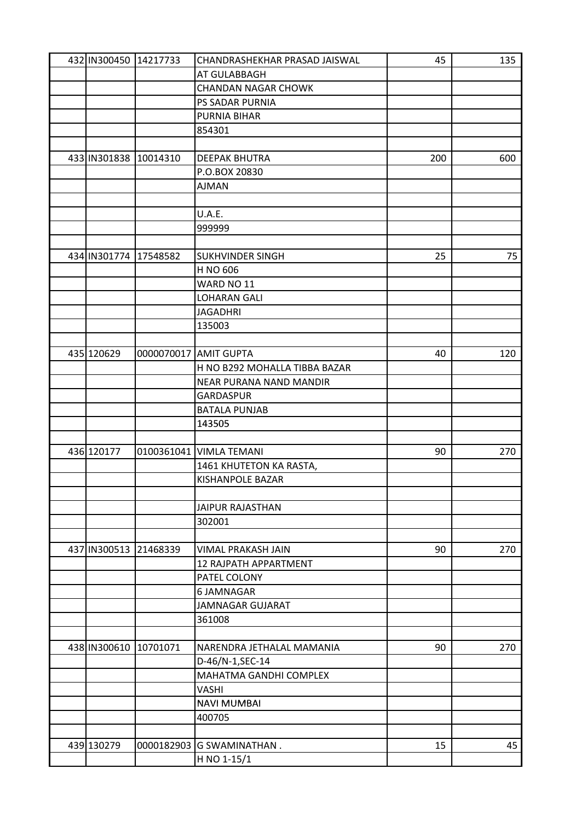|  | 432 IN300450 14217733 |            | CHANDRASHEKHAR PRASAD JAISWAL | 45  | 135 |
|--|-----------------------|------------|-------------------------------|-----|-----|
|  |                       |            | AT GULABBAGH                  |     |     |
|  |                       |            | <b>CHANDAN NAGAR CHOWK</b>    |     |     |
|  |                       |            | PS SADAR PURNIA               |     |     |
|  |                       |            | PURNIA BIHAR                  |     |     |
|  |                       |            | 854301                        |     |     |
|  |                       |            |                               |     |     |
|  | 433 IN301838 10014310 |            | <b>DEEPAK BHUTRA</b>          | 200 | 600 |
|  |                       |            | P.O.BOX 20830                 |     |     |
|  |                       |            | <b>AJMAN</b>                  |     |     |
|  |                       |            |                               |     |     |
|  |                       |            | <b>U.A.E.</b>                 |     |     |
|  |                       |            | 999999                        |     |     |
|  |                       |            |                               |     |     |
|  | 434 IN301774          | 17548582   | <b>SUKHVINDER SINGH</b>       | 25  | 75  |
|  |                       |            | H NO 606                      |     |     |
|  |                       |            | WARD NO 11                    |     |     |
|  |                       |            | <b>LOHARAN GALI</b>           |     |     |
|  |                       |            | <b>JAGADHRI</b>               |     |     |
|  |                       |            | 135003                        |     |     |
|  |                       |            |                               |     |     |
|  | 435 120629            |            | 0000070017 AMIT GUPTA         | 40  | 120 |
|  |                       |            | H NO B292 MOHALLA TIBBA BAZAR |     |     |
|  |                       |            | NEAR PURANA NAND MANDIR       |     |     |
|  |                       |            | <b>GARDASPUR</b>              |     |     |
|  |                       |            | <b>BATALA PUNJAB</b>          |     |     |
|  |                       |            | 143505                        |     |     |
|  |                       |            |                               |     |     |
|  | 436 120177            | 0100361041 | <b>VIMLA TEMANI</b>           | 90  | 270 |
|  |                       |            |                               |     |     |
|  |                       |            | 1461 KHUTETON KA RASTA,       |     |     |
|  |                       |            | KISHANPOLE BAZAR              |     |     |
|  |                       |            |                               |     |     |
|  |                       |            | JAIPUR RAJASTHAN              |     |     |
|  |                       |            | 302001                        |     |     |
|  |                       |            |                               |     |     |
|  | 437 IN300513 21468339 |            | VIMAL PRAKASH JAIN            | 90  | 270 |
|  |                       |            | 12 RAJPATH APPARTMENT         |     |     |
|  |                       |            | PATEL COLONY                  |     |     |
|  |                       |            | 6 JAMNAGAR                    |     |     |
|  |                       |            | <b>JAMNAGAR GUJARAT</b>       |     |     |
|  |                       |            | 361008                        |     |     |
|  |                       |            |                               |     |     |
|  | 438 IN300610          | 10701071   | NARENDRA JETHALAL MAMANIA     | 90  | 270 |
|  |                       |            | D-46/N-1, SEC-14              |     |     |
|  |                       |            | MAHATMA GANDHI COMPLEX        |     |     |
|  |                       |            | VASHI                         |     |     |
|  |                       |            | <b>NAVI MUMBAI</b>            |     |     |
|  |                       |            | 400705                        |     |     |
|  |                       |            |                               |     |     |
|  | 439 130279            |            | 0000182903 G SWAMINATHAN.     | 15  | 45  |
|  |                       |            | H NO 1-15/1                   |     |     |